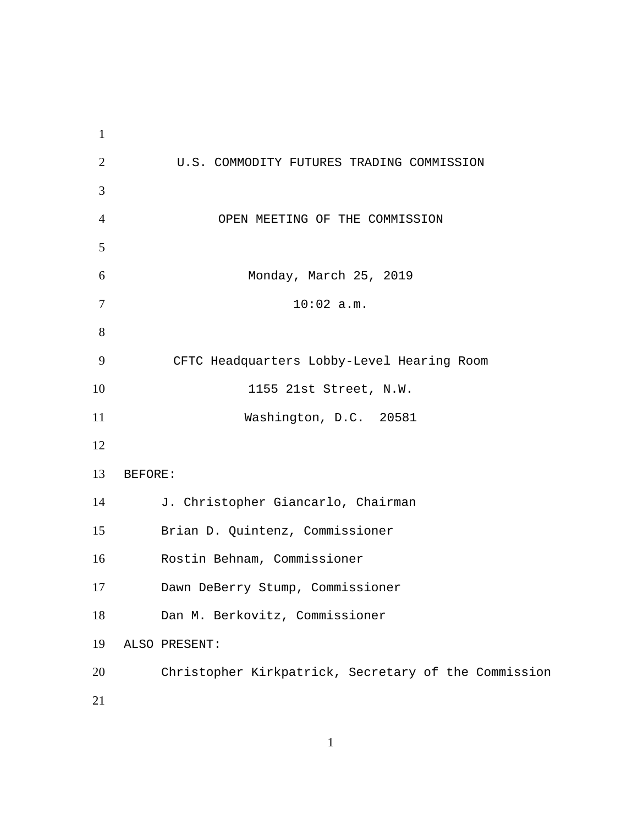U.S. COMMODITY FUTURES TRADING COMMISSION OPEN MEETING OF THE COMMISSION Monday, March 25, 2019 10:02 a.m. CFTC Headquarters Lobby-Level Hearing Room 1155 21st Street, N.W. Washington, D.C. 20581 BEFORE: J. Christopher Giancarlo, Chairman Brian D. Quintenz, Commissioner Rostin Behnam, Commissioner Dawn DeBerry Stump, Commissioner Dan M. Berkovitz, Commissioner ALSO PRESENT: Christopher Kirkpatrick, Secretary of the Commission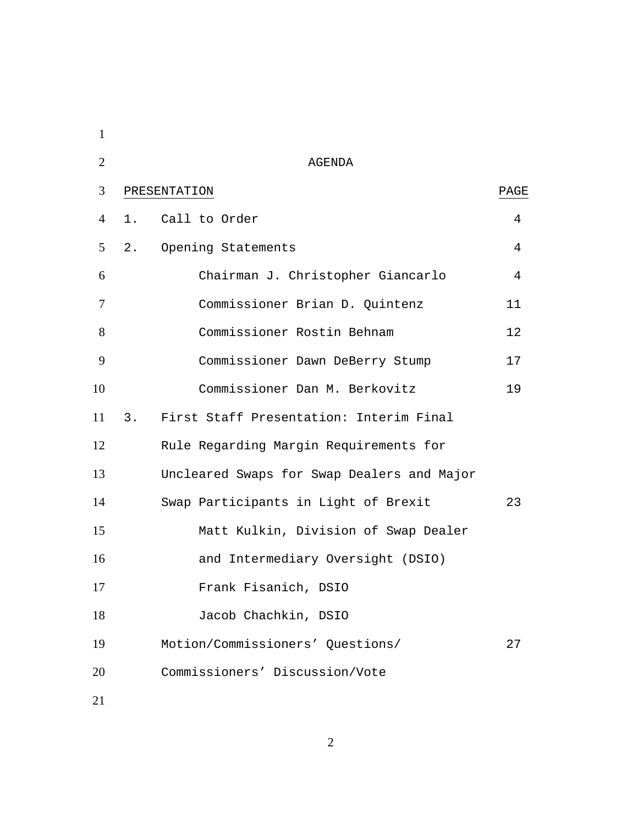| $\mathbf{1}$   |       |                                            |                 |
|----------------|-------|--------------------------------------------|-----------------|
| $\overline{2}$ |       | AGENDA                                     |                 |
| 3              |       | PRESENTATION                               | PAGE            |
| $\overline{4}$ |       | 1. Call to Order                           | 4               |
| 5              | $2$ . | Opening Statements                         | 4               |
| 6              |       | Chairman J. Christopher Giancarlo          | 4               |
| $\tau$         |       | Commissioner Brian D. Quintenz             | 11              |
| 8              |       | Commissioner Rostin Behnam                 | 12 <sup>°</sup> |
| 9              |       | Commissioner Dawn DeBerry Stump            | 17              |
| 10             |       | Commissioner Dan M. Berkovitz              | 19              |
| 11             |       | 3. First Staff Presentation: Interim Final |                 |
| 12             |       | Rule Regarding Margin Requirements for     |                 |
| 13             |       | Uncleared Swaps for Swap Dealers and Major |                 |
| 14             |       | Swap Participants in Light of Brexit       | 23              |
| 15             |       | Matt Kulkin, Division of Swap Dealer       |                 |
| 16             |       | and Intermediary Oversight (DSIO)          |                 |
| 17             |       | Frank Fisanich, DSIO                       |                 |
| 18             |       | Jacob Chachkin, DSIO                       |                 |
| 19             |       | Motion/Commissioners' Questions/           | 27              |
| 20             |       | Commissioners' Discussion/Vote             |                 |
|                |       |                                            |                 |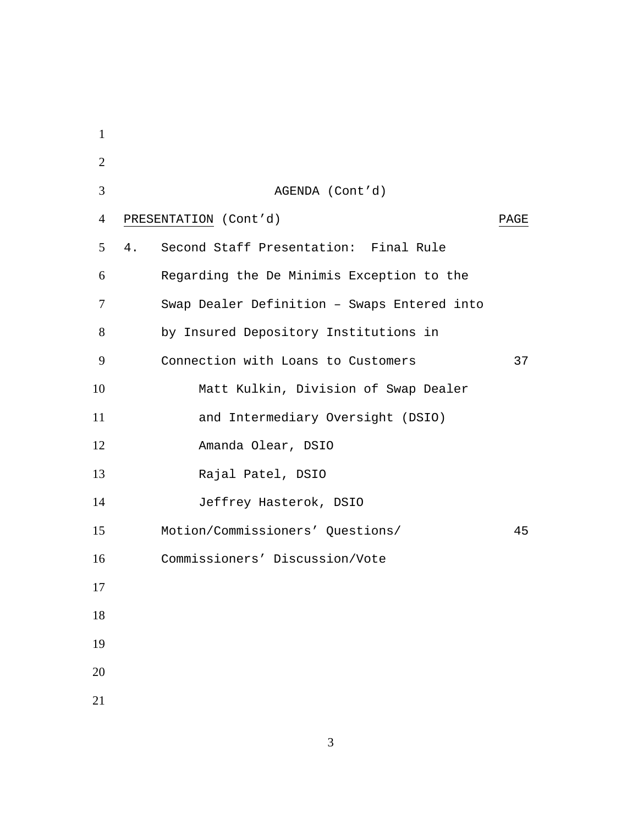| $\mathbf{1}$   |                                             |      |
|----------------|---------------------------------------------|------|
| $\overline{2}$ |                                             |      |
| 3              | AGENDA (Cont'd)                             |      |
| 4              | PRESENTATION (Cont'd)                       | PAGE |
| 5              | Second Staff Presentation: Final Rule<br>4. |      |
| 6              | Regarding the De Minimis Exception to the   |      |
| 7              | Swap Dealer Definition - Swaps Entered into |      |
| 8              | by Insured Depository Institutions in       |      |
| 9              | Connection with Loans to Customers          | 37   |
| 10             | Matt Kulkin, Division of Swap Dealer        |      |
| 11             | and Intermediary Oversight (DSIO)           |      |
| 12             | Amanda Olear, DSIO                          |      |
| 13             | Rajal Patel, DSIO                           |      |
| 14             | Jeffrey Hasterok, DSIO                      |      |
| 15             | Motion/Commissioners' Questions/            | 45   |
| 16             | Commissioners' Discussion/Vote              |      |
| 17             |                                             |      |
| 18             |                                             |      |
| 19             |                                             |      |
| 20             |                                             |      |
| 21             |                                             |      |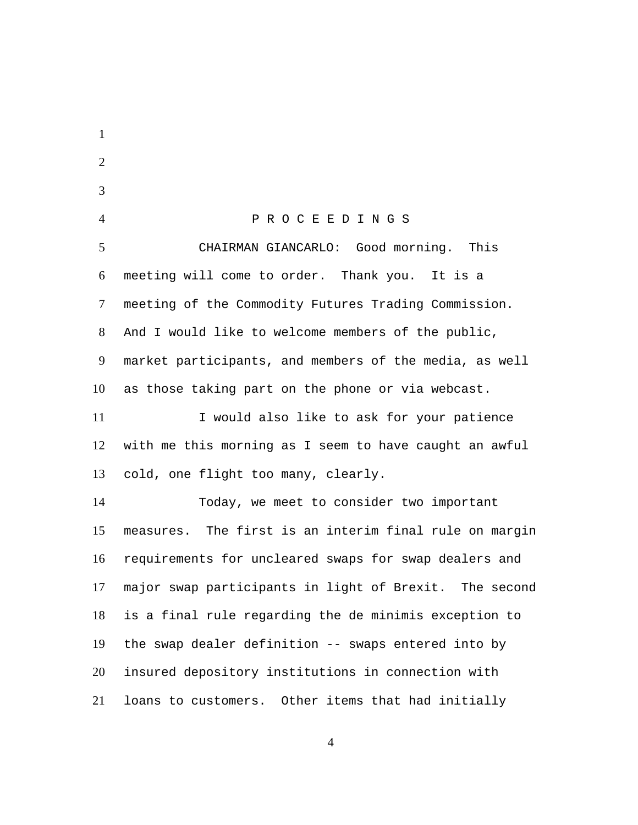1  $\mathfrak{D}$ 3 4 P R O C E E D I N G S CHAIRMAN GIANCARLO: Good morning. This meeting will come to order. Thank you. It is a meeting of the Commodity Futures Trading Commission. And I would like to welcome members of the public, market participants, and members of the media, as well as those taking part on the phone or via webcast. 5 6 7 8 9 10 I would also like to ask for your patience with me this morning as I seem to have caught an awful cold, one flight too many, clearly. 11 12 13 Today, we meet to consider two important measures. The first is an interim final rule on margin requirements for uncleared swaps for swap dealers and major swap participants in light of Brexit. The second is a final rule regarding the de minimis exception to the swap dealer definition -- swaps entered into by insured depository institutions in connection with loans to customers. Other items that had initially 14 15 16 17 18 19 20 21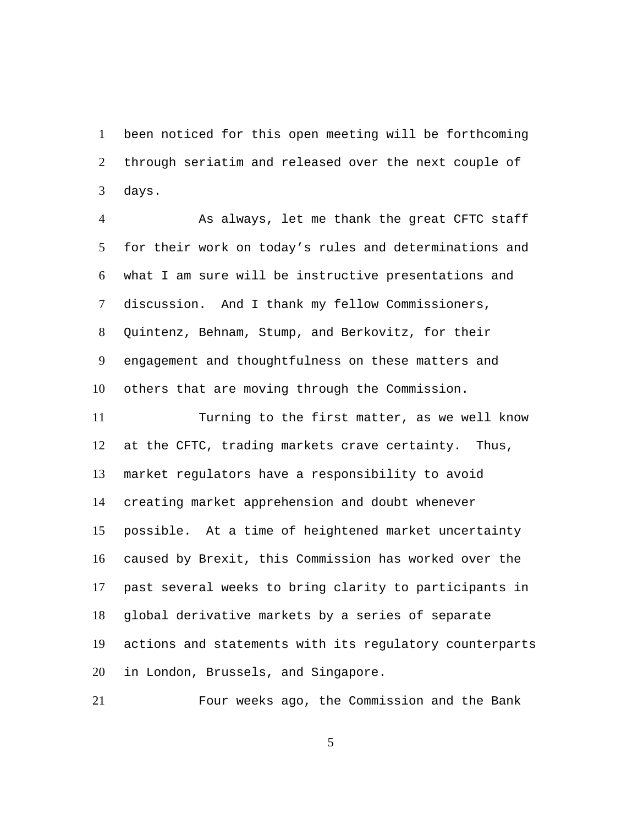been noticed for this open meeting will be forthcoming through seriatim and released over the next couple of days. 1  $\mathcal{L}$ 3

As always, let me thank the great CFTC staff for their work on today's rules and determinations and what I am sure will be instructive presentations and discussion. And I thank my fellow Commissioners, Quintenz, Behnam, Stump, and Berkovitz, for their engagement and thoughtfulness on these matters and others that are moving through the Commission. 4 5 6 7 8 9 10

Turning to the first matter, as we well know at the CFTC, trading markets crave certainty. Thus, market regulators have a responsibility to avoid creating market apprehension and doubt whenever possible. At a time of heightened market uncertainty caused by Brexit, this Commission has worked over the past several weeks to bring clarity to participants in global derivative markets by a series of separate actions and statements with its regulatory counterparts in London, Brussels, and Singapore. 11 12 13 14 15 16 17 18 19 20

21 Four weeks ago, the Commission and the Bank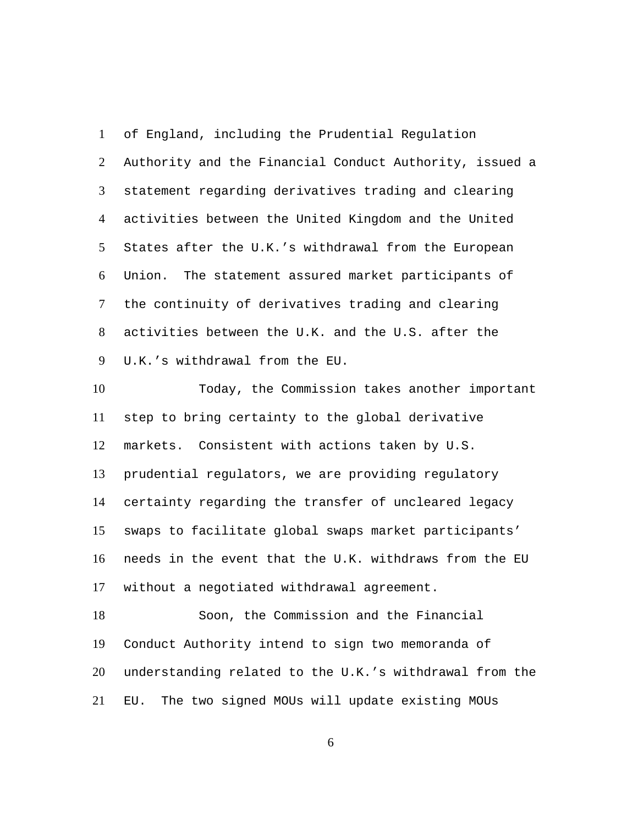of England, including the Prudential Regulation Authority and the Financial Conduct Authority, issued a statement regarding derivatives trading and clearing activities between the United Kingdom and the United States after the U.K.'s withdrawal from the European Union. The statement assured market participants of the continuity of derivatives trading and clearing activities between the U.K. and the U.S. after the U.K.'s withdrawal from the EU. 1  $\mathcal{L}$ 3 4 5 6 7 8 9

Today, the Commission takes another important step to bring certainty to the global derivative markets. Consistent with actions taken by U.S. prudential regulators, we are providing regulatory certainty regarding the transfer of uncleared legacy swaps to facilitate global swaps market participants' needs in the event that the U.K. withdraws from the EU without a negotiated withdrawal agreement. 10 11 12 13 14 15 16 17

Soon, the Commission and the Financial Conduct Authority intend to sign two memoranda of understanding related to the U.K.'s withdrawal from the EU. The two signed MOUs will update existing MOUs 18 19 20 21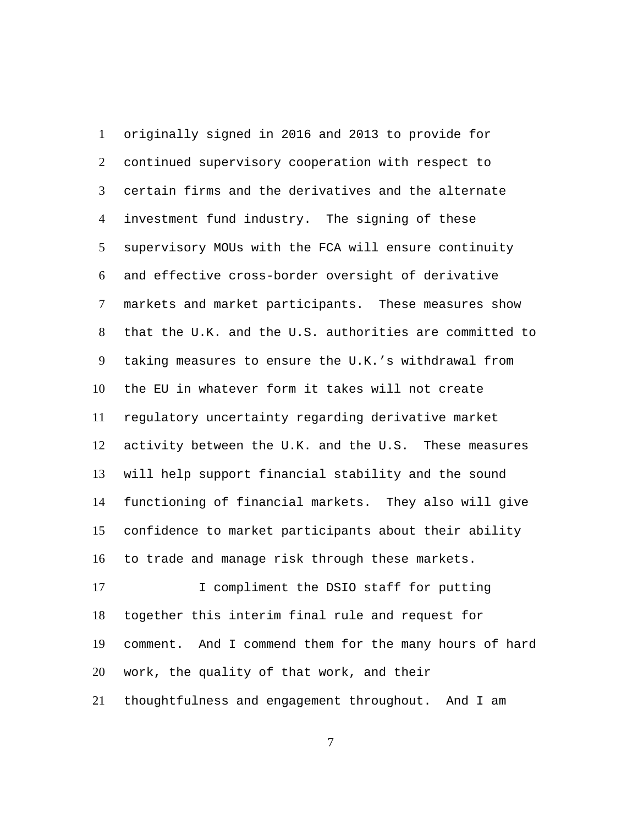originally signed in 2016 and 2013 to provide for continued supervisory cooperation with respect to certain firms and the derivatives and the alternate investment fund industry. The signing of these supervisory MOUs with the FCA will ensure continuity and effective cross-border oversight of derivative markets and market participants. These measures show that the U.K. and the U.S. authorities are committed to taking measures to ensure the U.K.'s withdrawal from the EU in whatever form it takes will not create regulatory uncertainty regarding derivative market activity between the U.K. and the U.S. These measures will help support financial stability and the sound functioning of financial markets. They also will give confidence to market participants about their ability to trade and manage risk through these markets. 1  $\mathcal{L}$ 3 4 5 6 7 8 9 10 11 12 13 14 15 16 I compliment the DSIO staff for putting 17

together this interim final rule and request for comment. And I commend them for the many hours of hard work, the quality of that work, and their thoughtfulness and engagement throughout. And I am 18 19 20 21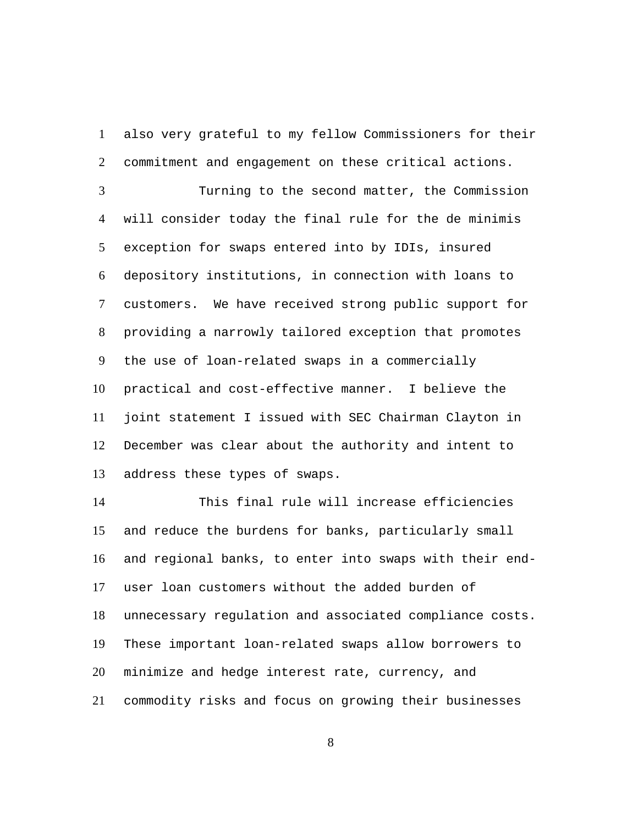also very grateful to my fellow Commissioners for their commitment and engagement on these critical actions. 1  $\mathcal{L}$ 

Turning to the second matter, the Commission will consider today the final rule for the de minimis exception for swaps entered into by IDIs, insured depository institutions, in connection with loans to customers. We have received strong public support for providing a narrowly tailored exception that promotes the use of loan-related swaps in a commercially practical and cost-effective manner. I believe the joint statement I issued with SEC Chairman Clayton in December was clear about the authority and intent to address these types of swaps. 3 4 5 6 7 8 9 10 11 12 13

This final rule will increase efficiencies and reduce the burdens for banks, particularly small and regional banks, to enter into swaps with their enduser loan customers without the added burden of unnecessary regulation and associated compliance costs. These important loan-related swaps allow borrowers to minimize and hedge interest rate, currency, and commodity risks and focus on growing their businesses 14 15 16 17 18 19 20 21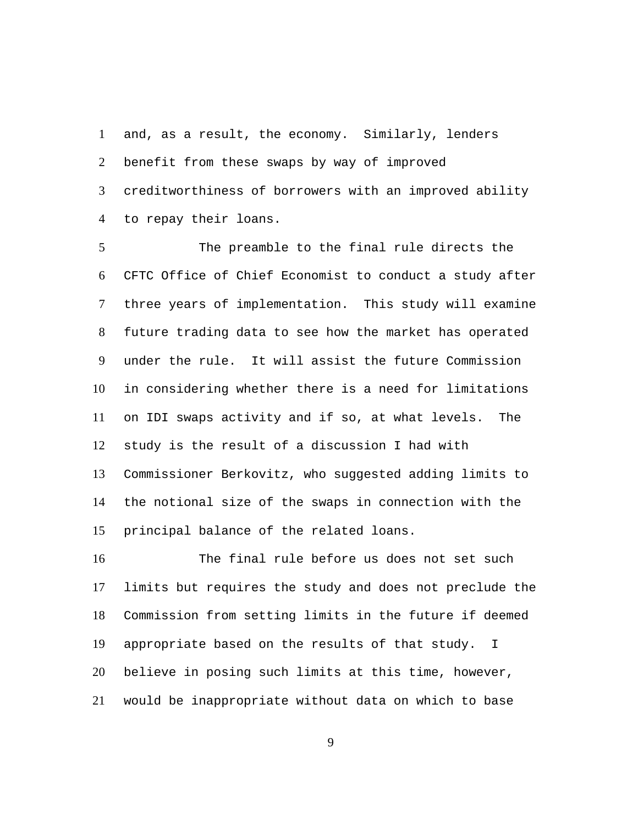and, as a result, the economy. Similarly, lenders benefit from these swaps by way of improved creditworthiness of borrowers with an improved ability to repay their loans. 1  $2^{\circ}$ 3 4

The preamble to the final rule directs the CFTC Office of Chief Economist to conduct a study after three years of implementation. This study will examine future trading data to see how the market has operated under the rule. It will assist the future Commission in considering whether there is a need for limitations on IDI swaps activity and if so, at what levels. The study is the result of a discussion I had with Commissioner Berkovitz, who suggested adding limits to the notional size of the swaps in connection with the principal balance of the related loans. 5 6 7 8 9 10 11 12 13 14 15

The final rule before us does not set such limits but requires the study and does not preclude the Commission from setting limits in the future if deemed appropriate based on the results of that study. I believe in posing such limits at this time, however, would be inappropriate without data on which to base 16 17 18 19 20 21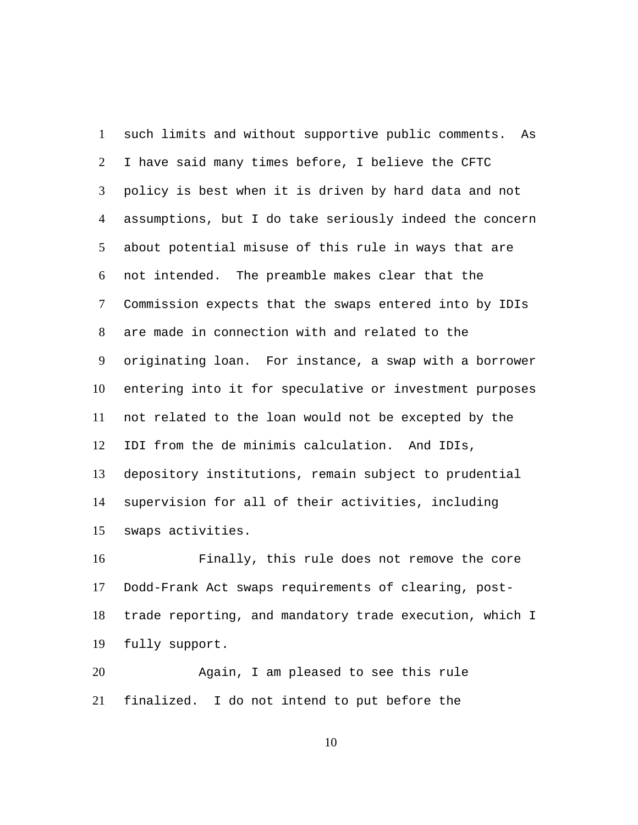such limits and without supportive public comments. As I have said many times before, I believe the CFTC policy is best when it is driven by hard data and not assumptions, but I do take seriously indeed the concern about potential misuse of this rule in ways that are not intended. The preamble makes clear that the Commission expects that the swaps entered into by IDIs are made in connection with and related to the originating loan. For instance, a swap with a borrower entering into it for speculative or investment purposes not related to the loan would not be excepted by the IDI from the de minimis calculation. And IDIs, depository institutions, remain subject to prudential supervision for all of their activities, including swaps activities. 1  $\mathcal{L}$ 3 4 5 6 7 8 9 10 11 12 13 14 15

Finally, this rule does not remove the core Dodd-Frank Act swaps requirements of clearing, posttrade reporting, and mandatory trade execution, which I fully support. 16 17 18 19

Again, I am pleased to see this rule finalized. I do not intend to put before the 20 21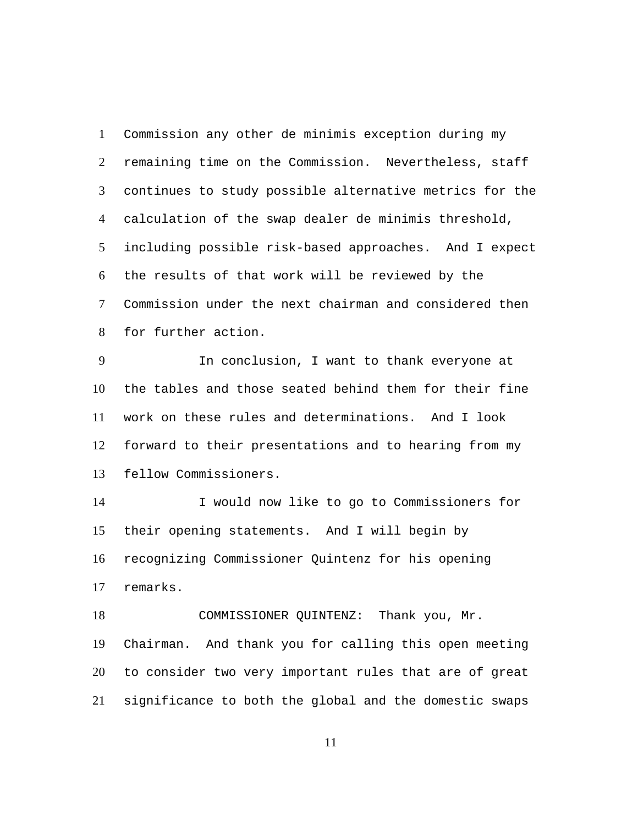Commission any other de minimis exception during my remaining time on the Commission. Nevertheless, staff continues to study possible alternative metrics for the calculation of the swap dealer de minimis threshold, including possible risk-based approaches. And I expect the results of that work will be reviewed by the Commission under the next chairman and considered then for further action. 1  $\mathcal{L}$ 3 4 5 6 7 8

In conclusion, I want to thank everyone at the tables and those seated behind them for their fine work on these rules and determinations. And I look forward to their presentations and to hearing from my fellow Commissioners. 9 10 11 12 13

I would now like to go to Commissioners for their opening statements. And I will begin by recognizing Commissioner Quintenz for his opening remarks. 14 15 16 17

COMMISSIONER QUINTENZ: Thank you, Mr. Chairman. And thank you for calling this open meeting to consider two very important rules that are of great significance to both the global and the domestic swaps 18 19 20 21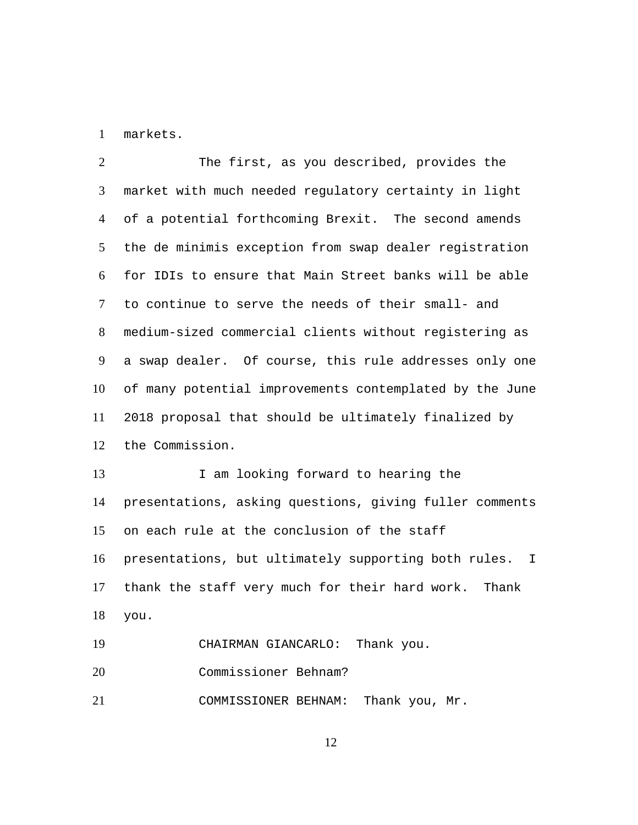1 markets.

15

The first, as you described, provides the market with much needed regulatory certainty in light of a potential forthcoming Brexit. The second amends the de minimis exception from swap dealer registration for IDIs to ensure that Main Street banks will be able to continue to serve the needs of their small- and medium-sized commercial clients without registering as a swap dealer. Of course, this rule addresses only one of many potential improvements contemplated by the June 2018 proposal that should be ultimately finalized by the Commission.  $\mathcal{L}$ 3 4 5 6 7 8 9 10 11 12 I am looking forward to hearing the presentations, asking questions, giving fuller comments 13 14

on each rule at the conclusion of the staff presentations, but ultimately supporting both rules. I thank the staff very much for their hard work. Thank you. 16 17 18

19 CHAIRMAN GIANCARLO: Thank you. 20 Commissioner Behnam? 21 COMMISSIONER BEHNAM: Thank you, Mr.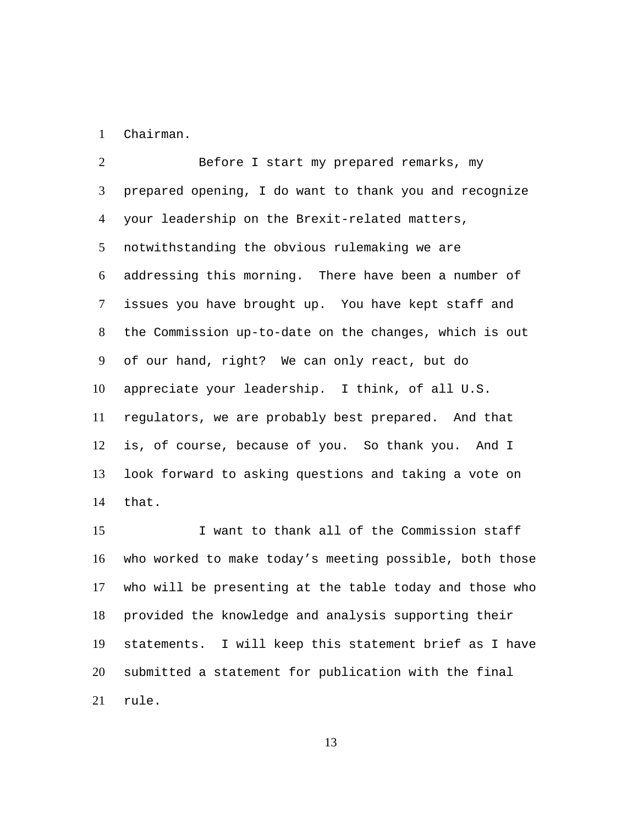1 Chairman.

Before I start my prepared remarks, my prepared opening, I do want to thank you and recognize your leadership on the Brexit-related matters, notwithstanding the obvious rulemaking we are addressing this morning. There have been a number of issues you have brought up. You have kept staff and the Commission up-to-date on the changes, which is out of our hand, right? We can only react, but do appreciate your leadership. I think, of all U.S. regulators, we are probably best prepared. And that is, of course, because of you. So thank you. And I look forward to asking questions and taking a vote on that.  $\mathcal{L}$ 3 4 5 6 7 8 9 10 11 12 13 14

I want to thank all of the Commission staff who worked to make today's meeting possible, both those who will be presenting at the table today and those who provided the knowledge and analysis supporting their statements. I will keep this statement brief as I have submitted a statement for publication with the final rule. 15 16 17 18 19 20 21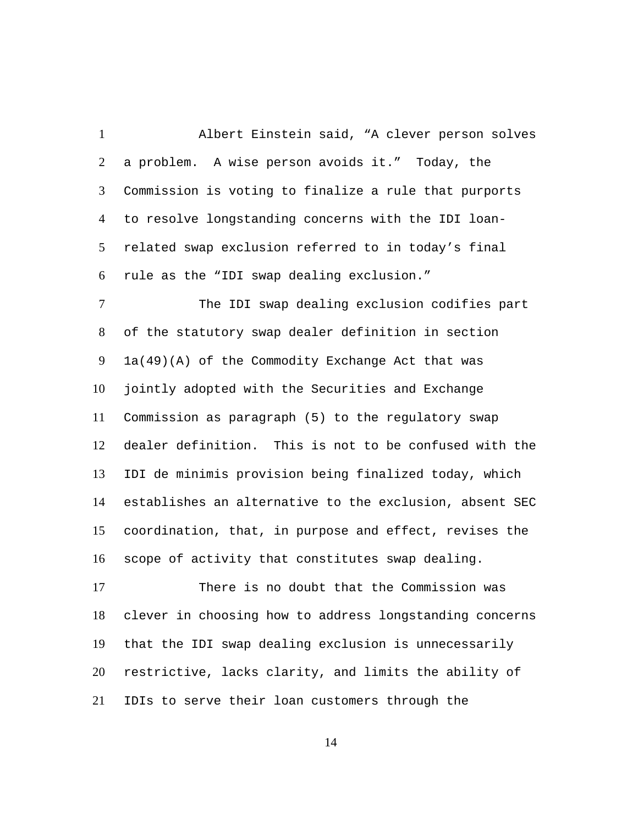Albert Einstein said, "A clever person solves a problem. A wise person avoids it." Today, the Commission is voting to finalize a rule that purports to resolve longstanding concerns with the IDI loanrelated swap exclusion referred to in today's final rule as the "IDI swap dealing exclusion." 1  $\mathcal{L}$ 3 4 5 6

The IDI swap dealing exclusion codifies part of the statutory swap dealer definition in section 1a(49)(A) of the Commodity Exchange Act that was jointly adopted with the Securities and Exchange Commission as paragraph (5) to the regulatory swap dealer definition. This is not to be confused with the IDI de minimis provision being finalized today, which establishes an alternative to the exclusion, absent SEC coordination, that, in purpose and effect, revises the scope of activity that constitutes swap dealing. 7 8 9 10 11 12 13 14 15 16

There is no doubt that the Commission was clever in choosing how to address longstanding concerns that the IDI swap dealing exclusion is unnecessarily restrictive, lacks clarity, and limits the ability of IDIs to serve their loan customers through the 17 18 19 20 21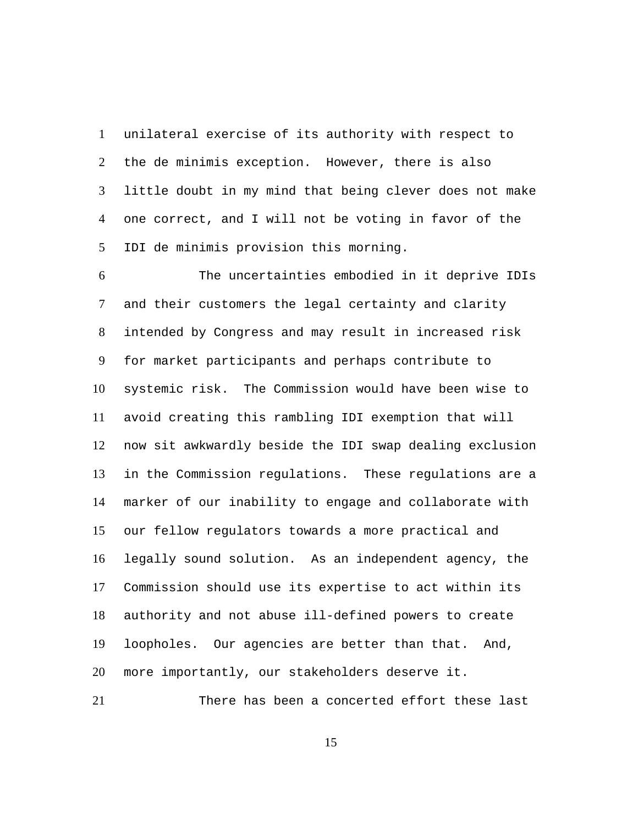unilateral exercise of its authority with respect to the de minimis exception. However, there is also little doubt in my mind that being clever does not make one correct, and I will not be voting in favor of the IDI de minimis provision this morning. 1  $\mathcal{L}$ 3 4 5

The uncertainties embodied in it deprive IDIs and their customers the legal certainty and clarity intended by Congress and may result in increased risk for market participants and perhaps contribute to systemic risk. The Commission would have been wise to avoid creating this rambling IDI exemption that will now sit awkwardly beside the IDI swap dealing exclusion in the Commission regulations. These regulations are a marker of our inability to engage and collaborate with our fellow regulators towards a more practical and legally sound solution. As an independent agency, the Commission should use its expertise to act within its authority and not abuse ill-defined powers to create loopholes. Our agencies are better than that. And, more importantly, our stakeholders deserve it. 6 7 8 9 10 11 12 13 14 15 16 17 18 19 20

21 There has been a concerted effort these last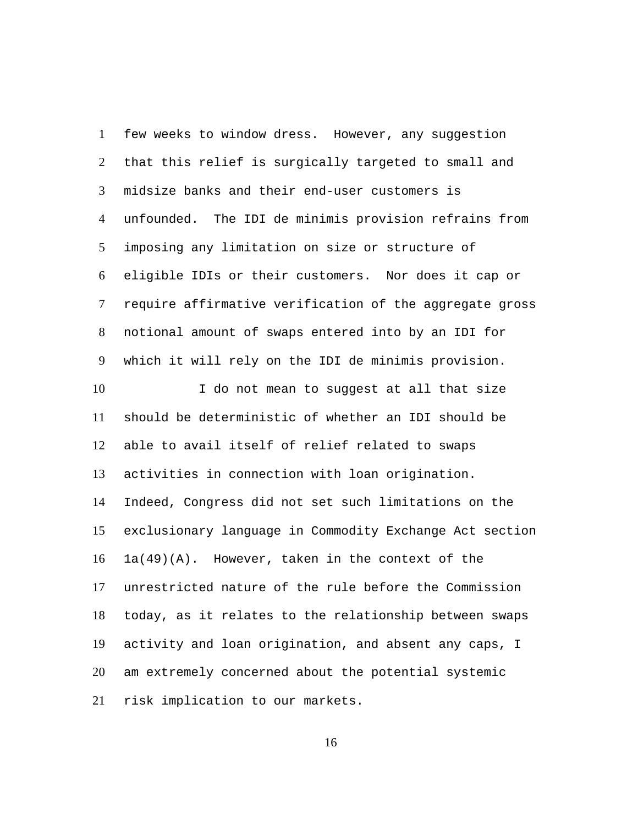few weeks to window dress. However, any suggestion that this relief is surgically targeted to small and midsize banks and their end-user customers is unfounded. The IDI de minimis provision refrains from imposing any limitation on size or structure of eligible IDIs or their customers. Nor does it cap or require affirmative verification of the aggregate gross notional amount of swaps entered into by an IDI for which it will rely on the IDI de minimis provision. 1  $\mathcal{L}$ 3 4 5 6 7 8 9 I do not mean to suggest at all that size should be deterministic of whether an IDI should be able to avail itself of relief related to swaps activities in connection with loan origination. Indeed, Congress did not set such limitations on the exclusionary language in Commodity Exchange Act section 1a(49)(A). However, taken in the context of the unrestricted nature of the rule before the Commission today, as it relates to the relationship between swaps activity and loan origination, and absent any caps, I am extremely concerned about the potential systemic risk implication to our markets. 10 11 12 13 14 15 16 17 18 19 20 21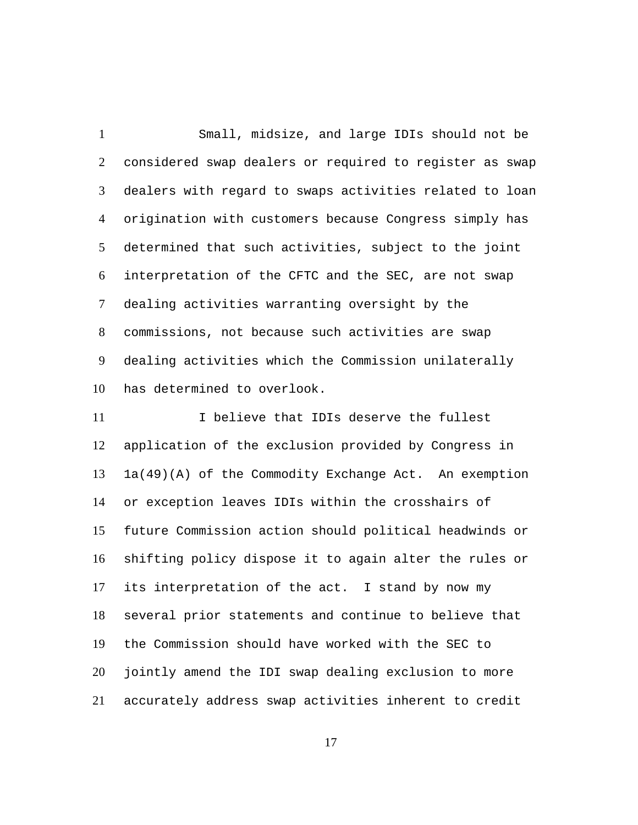Small, midsize, and large IDIs should not be considered swap dealers or required to register as swap dealers with regard to swaps activities related to loan origination with customers because Congress simply has determined that such activities, subject to the joint interpretation of the CFTC and the SEC, are not swap dealing activities warranting oversight by the commissions, not because such activities are swap dealing activities which the Commission unilaterally has determined to overlook. 1  $\mathcal{L}$ 3 4 5 6 7 8 9 10

I believe that IDIs deserve the fullest application of the exclusion provided by Congress in 1a(49)(A) of the Commodity Exchange Act. An exemption or exception leaves IDIs within the crosshairs of future Commission action should political headwinds or shifting policy dispose it to again alter the rules or its interpretation of the act. I stand by now my several prior statements and continue to believe that the Commission should have worked with the SEC to jointly amend the IDI swap dealing exclusion to more accurately address swap activities inherent to credit 11 12 13 14 15 16 17 18 19 20 21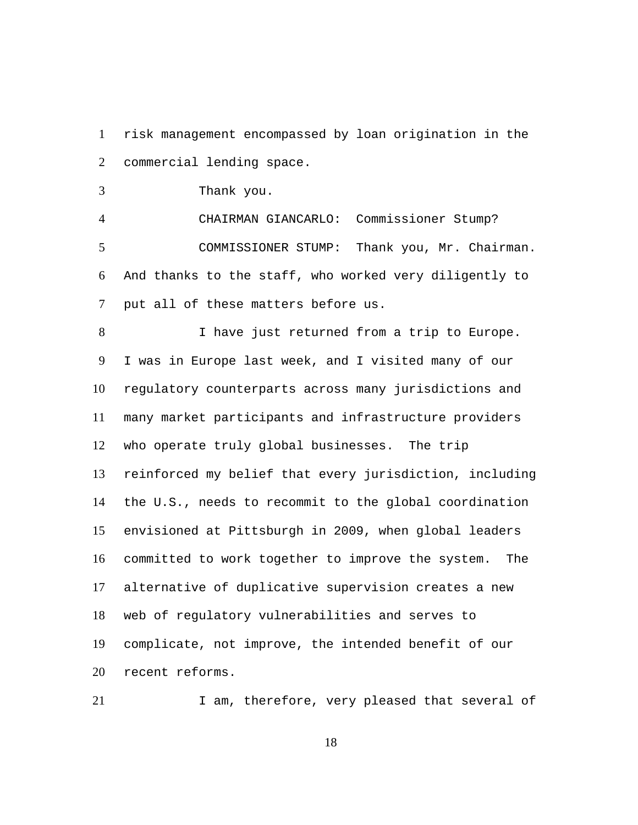risk management encompassed by loan origination in the commercial lending space. 1  $\mathcal{L}$ 

3 Thank you.

4 CHAIRMAN GIANCARLO: Commissioner Stump? COMMISSIONER STUMP: Thank you, Mr. Chairman. And thanks to the staff, who worked very diligently to put all of these matters before us. 5 6 7

I have just returned from a trip to Europe. I was in Europe last week, and I visited many of our regulatory counterparts across many jurisdictions and many market participants and infrastructure providers who operate truly global businesses. The trip reinforced my belief that every jurisdiction, including the U.S., needs to recommit to the global coordination envisioned at Pittsburgh in 2009, when global leaders committed to work together to improve the system. The alternative of duplicative supervision creates a new web of regulatory vulnerabilities and serves to complicate, not improve, the intended benefit of our recent reforms. 8 9 10 11 12 13 14 15 16 17 18 19 20

21 1 am, therefore, very pleased that several of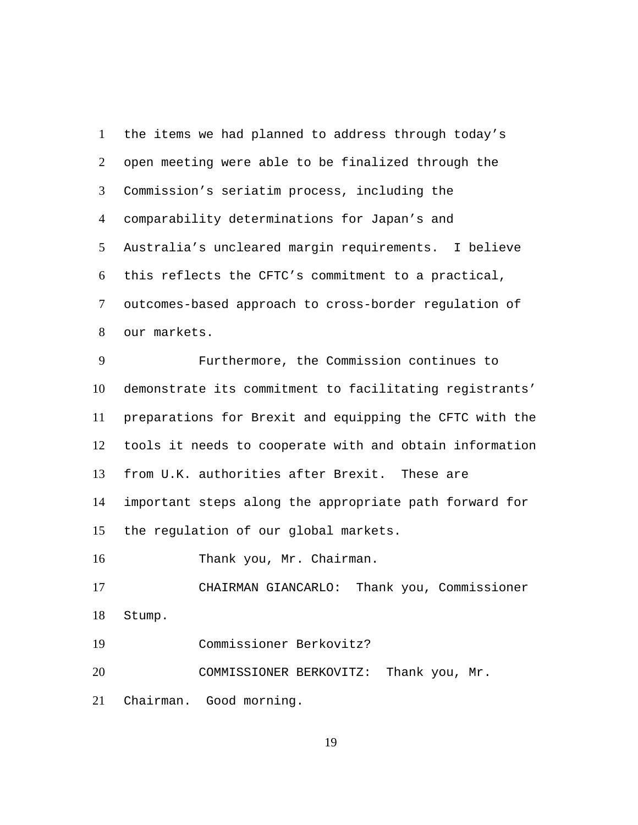the items we had planned to address through today's open meeting were able to be finalized through the Commission's seriatim process, including the comparability determinations for Japan's and Australia's uncleared margin requirements. I believe this reflects the CFTC's commitment to a practical, outcomes-based approach to cross-border regulation of our markets. 1  $\mathcal{L}$ 3 4 5 6 7 8 Furthermore, the Commission continues to demonstrate its commitment to facilitating registrants' preparations for Brexit and equipping the CFTC with the tools it needs to cooperate with and obtain information from U.K. authorities after Brexit. These are important steps along the appropriate path forward for the regulation of our global markets. 9 10 11 12 13 14 15 16 Thank you, Mr. Chairman. CHAIRMAN GIANCARLO: Thank you, Commissioner Stump. 17 18 19 Commissioner Berkovitz?

COMMISSIONER BERKOVITZ: Thank you, Mr. 20

Chairman. Good morning. 21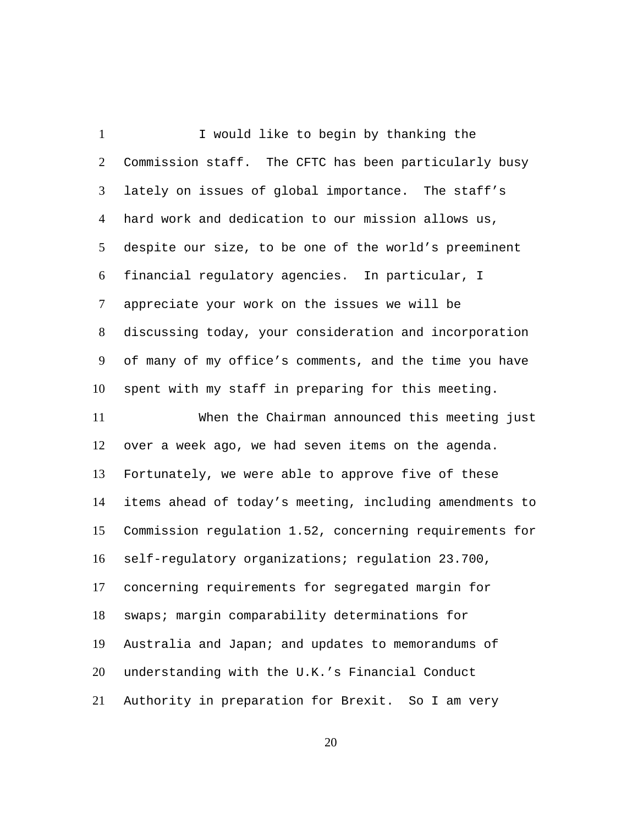I would like to begin by thanking the Commission staff. The CFTC has been particularly busy lately on issues of global importance. The staff's hard work and dedication to our mission allows us, despite our size, to be one of the world's preeminent financial regulatory agencies. In particular, I appreciate your work on the issues we will be discussing today, your consideration and incorporation of many of my office's comments, and the time you have spent with my staff in preparing for this meeting. 1  $\mathcal{L}$ 3 4 5 6 7 8 9 10 When the Chairman announced this meeting just over a week ago, we had seven items on the agenda. Fortunately, we were able to approve five of these items ahead of today's meeting, including amendments to Commission regulation 1.52, concerning requirements for self-regulatory organizations; regulation 23.700, concerning requirements for segregated margin for swaps; margin comparability determinations for Australia and Japan; and updates to memorandums of understanding with the U.K.'s Financial Conduct Authority in preparation for Brexit. So I am very 11 12 13 14 15 16 17 18 19 20 21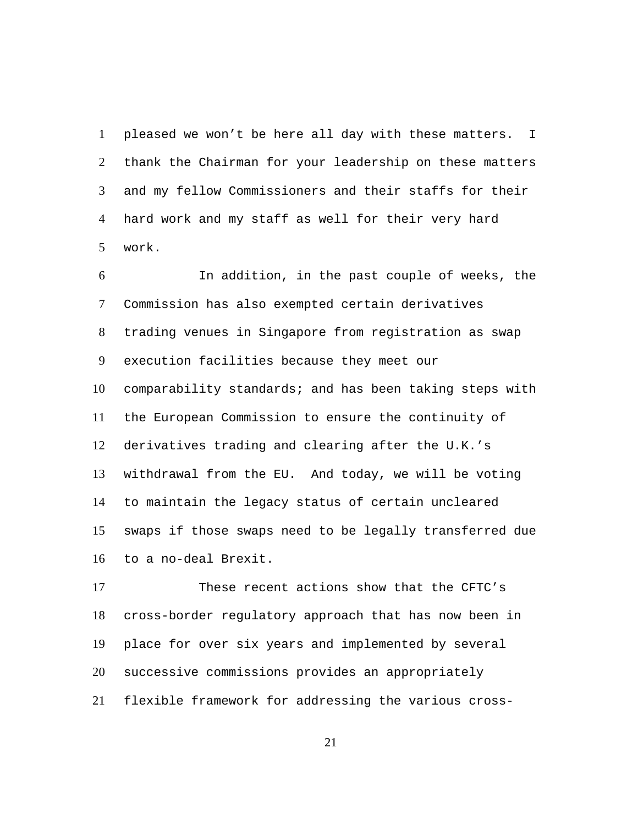pleased we won't be here all day with these matters. I thank the Chairman for your leadership on these matters and my fellow Commissioners and their staffs for their hard work and my staff as well for their very hard work. 1  $\mathfrak{D}$ 3 4 5

In addition, in the past couple of weeks, the Commission has also exempted certain derivatives trading venues in Singapore from registration as swap execution facilities because they meet our comparability standards; and has been taking steps with the European Commission to ensure the continuity of derivatives trading and clearing after the U.K.'s withdrawal from the EU. And today, we will be voting to maintain the legacy status of certain uncleared swaps if those swaps need to be legally transferred due to a no-deal Brexit. 6 7 8 9 10 11 12 13 14 15 16

These recent actions show that the CFTC's cross-border regulatory approach that has now been in place for over six years and implemented by several successive commissions provides an appropriately flexible framework for addressing the various cross-17 18 19 20 21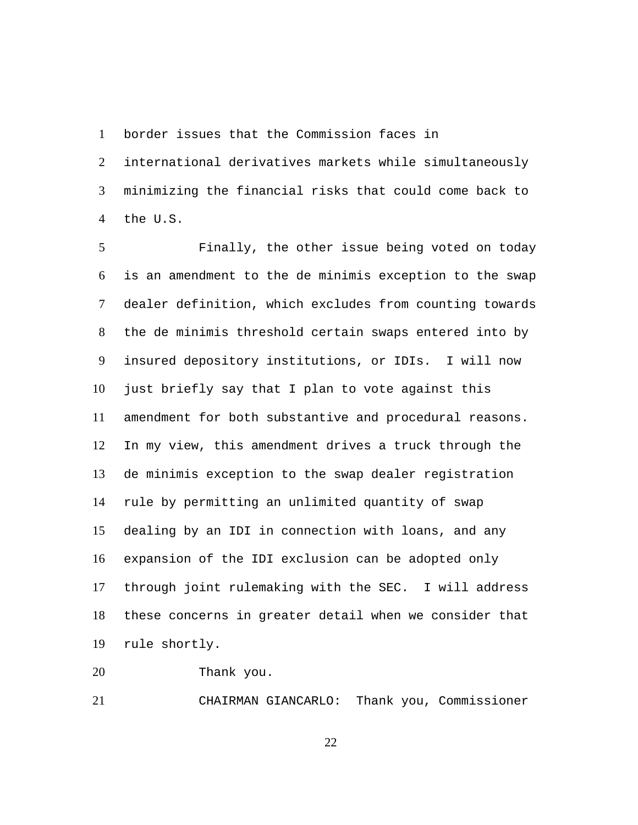border issues that the Commission faces in 1

international derivatives markets while simultaneously minimizing the financial risks that could come back to the U.S.  $\mathcal{L}$ 3 4

Finally, the other issue being voted on today is an amendment to the de minimis exception to the swap dealer definition, which excludes from counting towards the de minimis threshold certain swaps entered into by insured depository institutions, or IDIs. I will now just briefly say that I plan to vote against this amendment for both substantive and procedural reasons. In my view, this amendment drives a truck through the de minimis exception to the swap dealer registration rule by permitting an unlimited quantity of swap dealing by an IDI in connection with loans, and any expansion of the IDI exclusion can be adopted only through joint rulemaking with the SEC. I will address these concerns in greater detail when we consider that rule shortly. 5 6 7 8 9 10 11 12 13 14 15 16 17 18 19

20 Thank you.

21 CHAIRMAN GIANCARLO: Thank you, Commissioner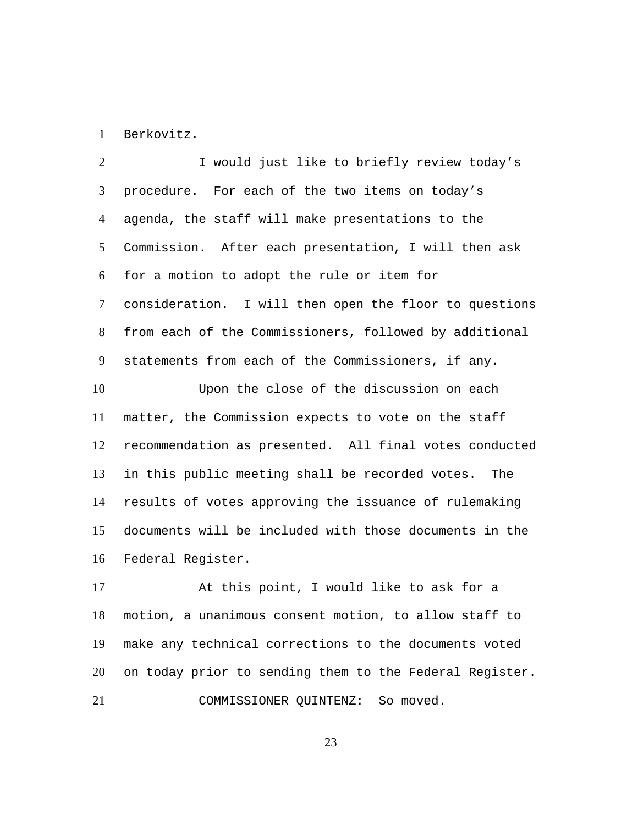1 Berkovitz.

I would just like to briefly review today's procedure. For each of the two items on today's agenda, the staff will make presentations to the Commission. After each presentation, I will then ask for a motion to adopt the rule or item for consideration. I will then open the floor to questions from each of the Commissioners, followed by additional statements from each of the Commissioners, if any.  $\mathcal{L}$ 3 4 5 6 7 8 9 Upon the close of the discussion on each matter, the Commission expects to vote on the staff recommendation as presented. All final votes conducted in this public meeting shall be recorded votes. The results of votes approving the issuance of rulemaking documents will be included with those documents in the Federal Register. 10 11 12 13 14 15 16

At this point, I would like to ask for a motion, a unanimous consent motion, to allow staff to make any technical corrections to the documents voted on today prior to sending them to the Federal Register. 17 18 19 20 21 COMMISSIONER QUINTENZ: So moved.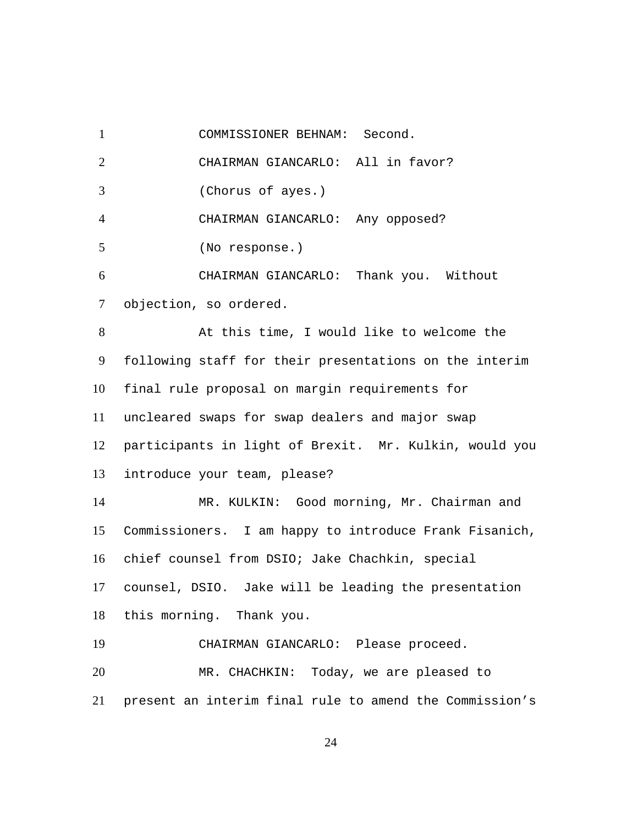1 COMMISSIONER BEHNAM: Second. 2 CHAIRMAN GIANCARLO: All in favor? 3 (Chorus of ayes.) 4 CHAIRMAN GIANCARLO: Any opposed? 5 (No response.) CHAIRMAN GIANCARLO: Thank you. Without objection, so ordered. 6 7 At this time, I would like to welcome the following staff for their presentations on the interim final rule proposal on margin requirements for uncleared swaps for swap dealers and major swap participants in light of Brexit. Mr. Kulkin, would you introduce your team, please? 8 9 10 11 12 13 MR. KULKIN: Good morning, Mr. Chairman and Commissioners. I am happy to introduce Frank Fisanich, chief counsel from DSIO; Jake Chachkin, special counsel, DSIO. Jake will be leading the presentation this morning. Thank you. 14 15 16 17 18 19 CHAIRMAN GIANCARLO: Please proceed. MR. CHACHKIN: Today, we are pleased to present an interim final rule to amend the Commission's 20 21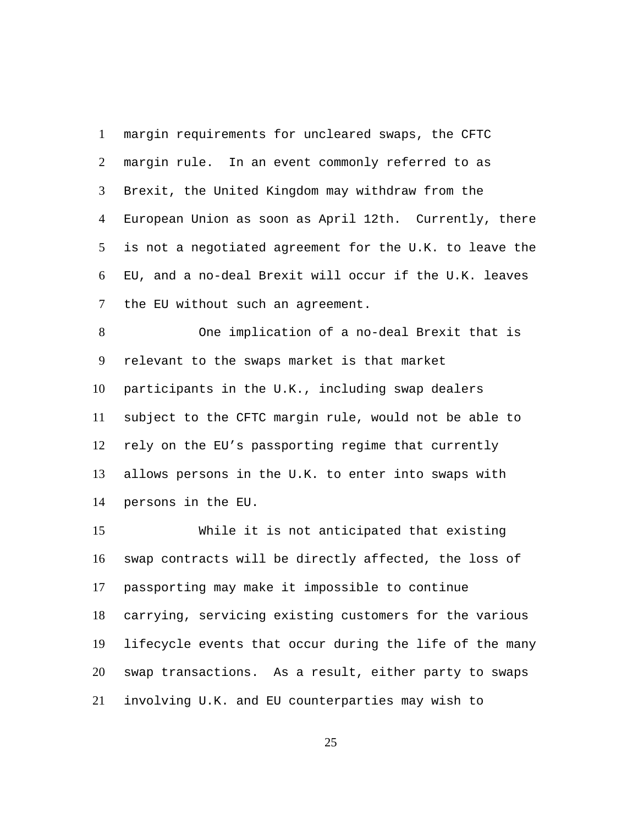margin requirements for uncleared swaps, the CFTC margin rule. In an event commonly referred to as Brexit, the United Kingdom may withdraw from the European Union as soon as April 12th. Currently, there is not a negotiated agreement for the U.K. to leave the EU, and a no-deal Brexit will occur if the U.K. leaves the EU without such an agreement. 1  $\mathcal{L}$ 3 4 5 6 7

One implication of a no-deal Brexit that is relevant to the swaps market is that market participants in the U.K., including swap dealers subject to the CFTC margin rule, would not be able to rely on the EU's passporting regime that currently allows persons in the U.K. to enter into swaps with persons in the EU. 8 9 10 11 12 13 14

While it is not anticipated that existing swap contracts will be directly affected, the loss of passporting may make it impossible to continue carrying, servicing existing customers for the various lifecycle events that occur during the life of the many swap transactions. As a result, either party to swaps involving U.K. and EU counterparties may wish to 15 16 17 18 19 20 21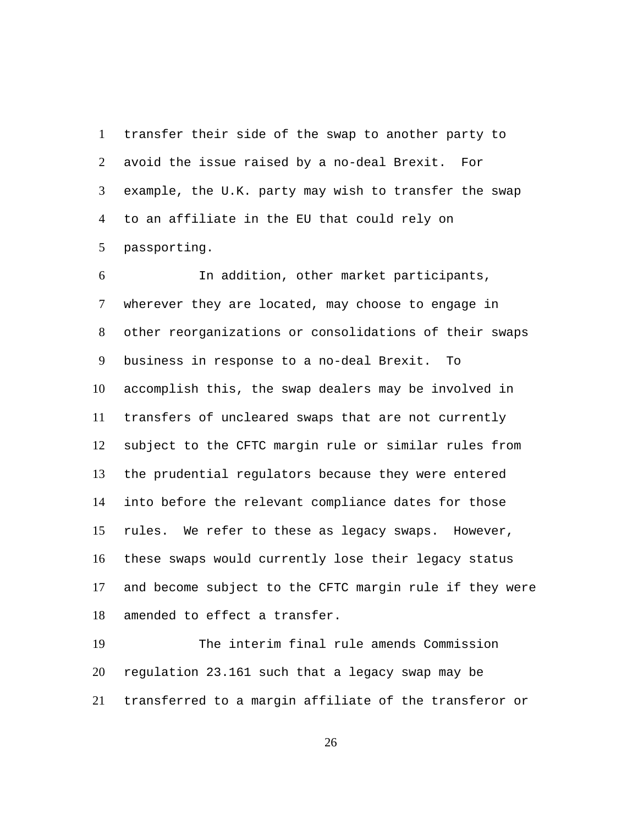transfer their side of the swap to another party to avoid the issue raised by a no-deal Brexit. For example, the U.K. party may wish to transfer the swap to an affiliate in the EU that could rely on passporting. 1  $\mathcal{L}$ 3 4 5

In addition, other market participants, wherever they are located, may choose to engage in other reorganizations or consolidations of their swaps business in response to a no-deal Brexit. To accomplish this, the swap dealers may be involved in transfers of uncleared swaps that are not currently subject to the CFTC margin rule or similar rules from the prudential regulators because they were entered into before the relevant compliance dates for those rules. We refer to these as legacy swaps. However, these swaps would currently lose their legacy status and become subject to the CFTC margin rule if they were amended to effect a transfer. 6 7 8 9 10 11 12 13 14 15 16 17 18

The interim final rule amends Commission regulation 23.161 such that a legacy swap may be transferred to a margin affiliate of the transferor or 19 20 21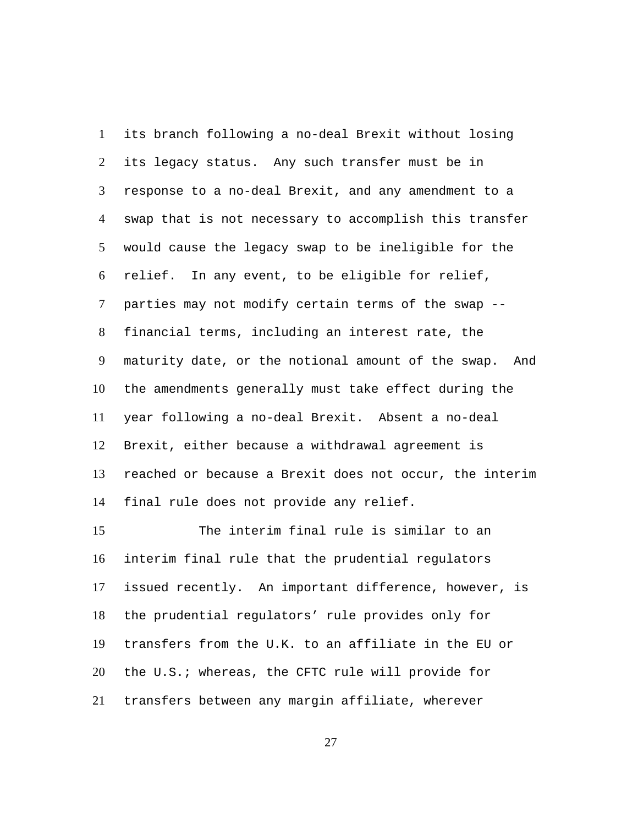its branch following a no-deal Brexit without losing its legacy status. Any such transfer must be in response to a no-deal Brexit, and any amendment to a swap that is not necessary to accomplish this transfer would cause the legacy swap to be ineligible for the relief. In any event, to be eligible for relief, parties may not modify certain terms of the swap - financial terms, including an interest rate, the maturity date, or the notional amount of the swap. And the amendments generally must take effect during the year following a no-deal Brexit. Absent a no-deal Brexit, either because a withdrawal agreement is reached or because a Brexit does not occur, the interim final rule does not provide any relief. 1  $\mathcal{L}$ 3 4 5 6 7 8 9 10 11 12 13 14

The interim final rule is similar to an interim final rule that the prudential regulators issued recently. An important difference, however, is the prudential regulators' rule provides only for transfers from the U.K. to an affiliate in the EU or the U.S.; whereas, the CFTC rule will provide for transfers between any margin affiliate, wherever 15 16 17 18 19 20 21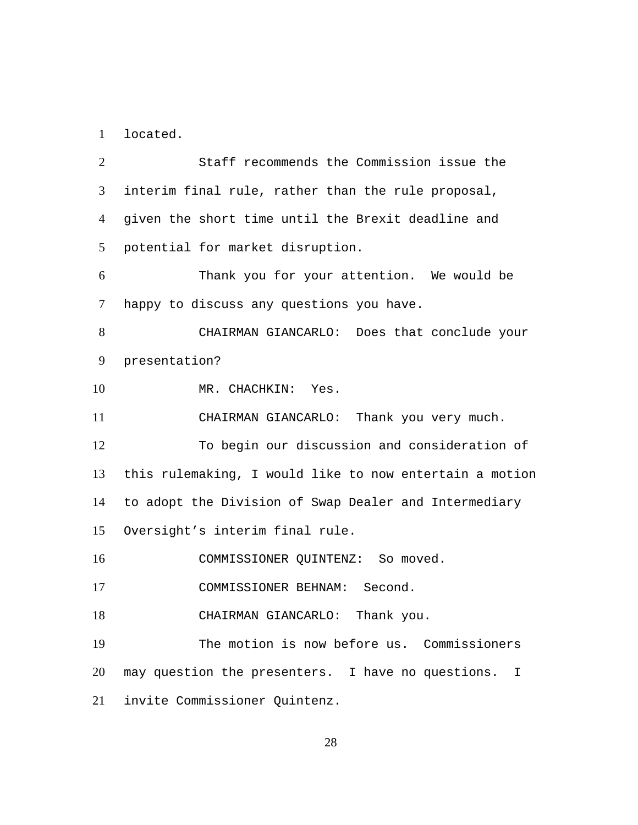1 located.

Staff recommends the Commission issue the interim final rule, rather than the rule proposal, given the short time until the Brexit deadline and potential for market disruption.  $\mathcal{L}$ 3 4 5 Thank you for your attention. We would be happy to discuss any questions you have. 6 7 CHAIRMAN GIANCARLO: Does that conclude your presentation? 8 9 10 MR. CHACHKIN: Yes. 11 CHAIRMAN GIANCARLO: Thank you very much. To begin our discussion and consideration of this rulemaking, I would like to now entertain a motion to adopt the Division of Swap Dealer and Intermediary Oversight's interim final rule. 12 13 14 15 16 COMMISSIONER QUINTENZ: So moved. 17 COMMISSIONER BEHNAM: Second. 18 CHAIRMAN GIANCARLO: Thank you. The motion is now before us. Commissioners may question the presenters. I have no questions. I invite Commissioner Quintenz. 19 20 21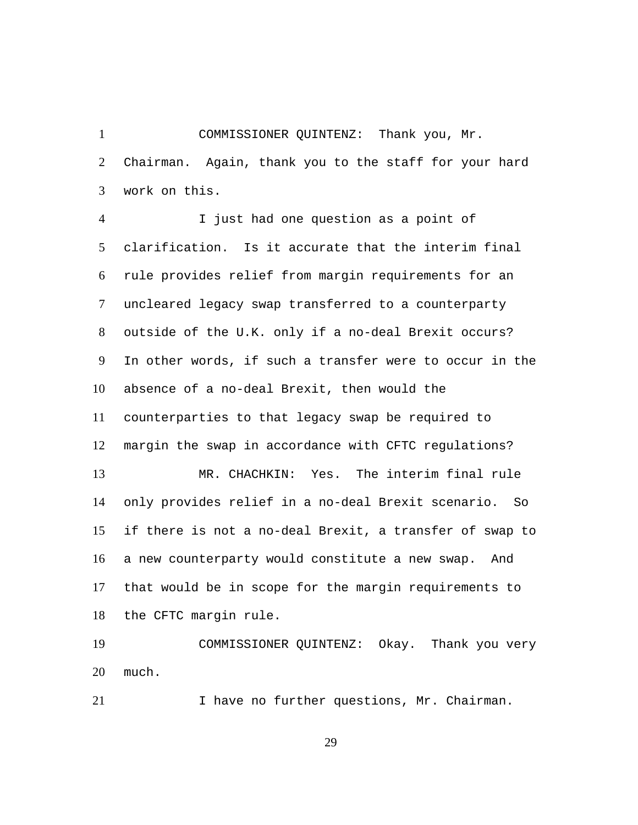COMMISSIONER QUINTENZ: Thank you, Mr. Chairman. Again, thank you to the staff for your hard work on this. 1  $\mathcal{L}$ 3

I just had one question as a point of clarification. Is it accurate that the interim final rule provides relief from margin requirements for an uncleared legacy swap transferred to a counterparty outside of the U.K. only if a no-deal Brexit occurs? In other words, if such a transfer were to occur in the absence of a no-deal Brexit, then would the counterparties to that legacy swap be required to margin the swap in accordance with CFTC regulations? 4 5 6 7 8 9 10 11 12 MR. CHACHKIN: Yes. The interim final rule only provides relief in a no-deal Brexit scenario. So if there is not a no-deal Brexit, a transfer of swap to a new counterparty would constitute a new swap. And that would be in scope for the margin requirements to the CFTC margin rule. 13 14 15 16 17 18

COMMISSIONER QUINTENZ: Okay. Thank you very much. 19 20

21 I have no further questions, Mr. Chairman.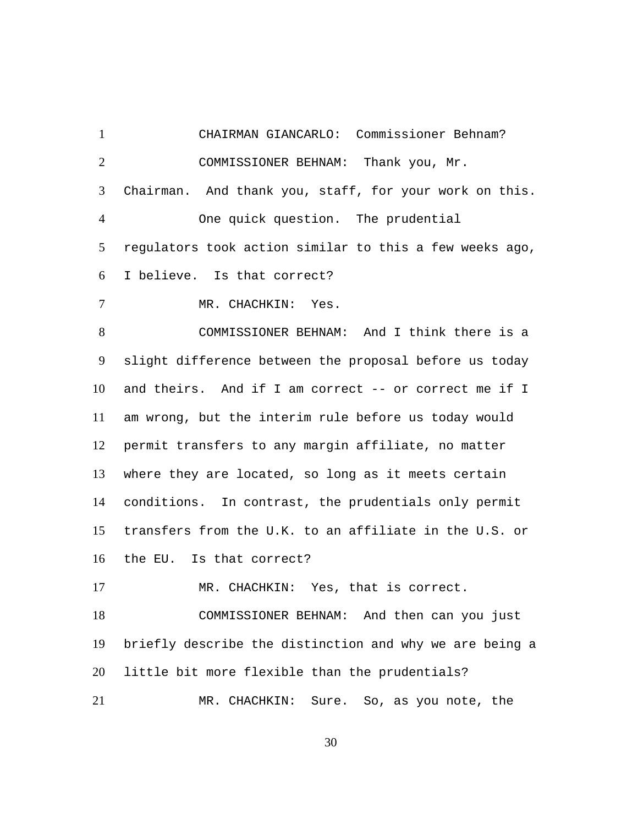1 CHAIRMAN GIANCARLO: Commissioner Behnam? COMMISSIONER BEHNAM: Thank you, Mr. Chairman. And thank you, staff, for your work on this.  $\mathcal{L}$ 3 One quick question. The prudential regulators took action similar to this a few weeks ago, I believe. Is that correct? 4 5 6 7 MR. CHACHKIN: Yes. COMMISSIONER BEHNAM: And I think there is a slight difference between the proposal before us today and theirs. And if I am correct -- or correct me if I am wrong, but the interim rule before us today would permit transfers to any margin affiliate, no matter where they are located, so long as it meets certain conditions. In contrast, the prudentials only permit transfers from the U.K. to an affiliate in the U.S. or the EU. Is that correct? 8 9 10 11 12 13 14 15 16 17 MR. CHACHKIN: Yes, that is correct. COMMISSIONER BEHNAM: And then can you just briefly describe the distinction and why we are being a little bit more flexible than the prudentials? 18 19 20 21 MR. CHACHKIN: Sure. So, as you note, the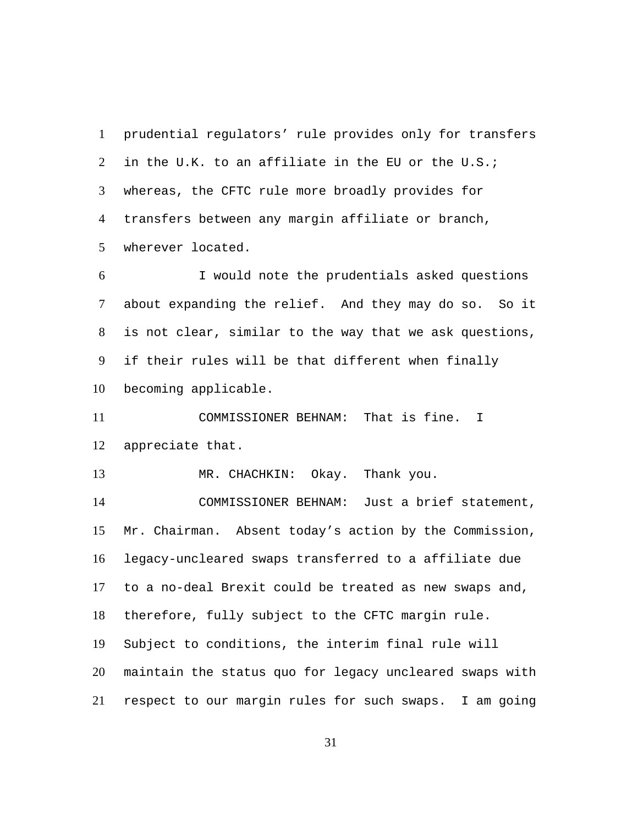prudential regulators' rule provides only for transfers in the U.K. to an affiliate in the EU or the U.S.; whereas, the CFTC rule more broadly provides for transfers between any margin affiliate or branch, wherever located. 1  $\mathfrak{D}$ 3 4 5

I would note the prudentials asked questions about expanding the relief. And they may do so. So it is not clear, similar to the way that we ask questions, if their rules will be that different when finally becoming applicable. 6 7 8 9 10

COMMISSIONER BEHNAM: That is fine. I appreciate that. 11 12

13 MR. CHACHKIN: Okay. Thank you.

COMMISSIONER BEHNAM: Just a brief statement, Mr. Chairman. Absent today's action by the Commission, legacy-uncleared swaps transferred to a affiliate due to a no-deal Brexit could be treated as new swaps and, therefore, fully subject to the CFTC margin rule. Subject to conditions, the interim final rule will maintain the status quo for legacy uncleared swaps with respect to our margin rules for such swaps. I am going 14 15 16 17 18 19 20 21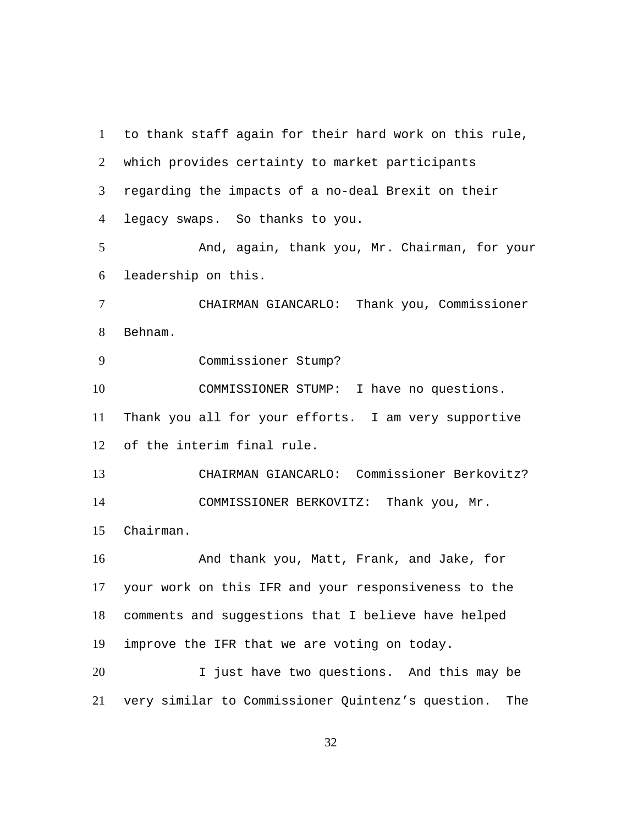to thank staff again for their hard work on this rule, which provides certainty to market participants regarding the impacts of a no-deal Brexit on their legacy swaps. So thanks to you. 1  $2<sup>1</sup>$ 3 4 And, again, thank you, Mr. Chairman, for your leadership on this. 5 6 CHAIRMAN GIANCARLO: Thank you, Commissioner Behnam. 7 8 9 Commissioner Stump? COMMISSIONER STUMP: I have no questions. Thank you all for your efforts. I am very supportive of the interim final rule. 10 11 12 13 CHAIRMAN GIANCARLO: Commissioner Berkovitz? COMMISSIONER BERKOVITZ: Thank you, Mr. Chairman. 14 15 And thank you, Matt, Frank, and Jake, for your work on this IFR and your responsiveness to the comments and suggestions that I believe have helped improve the IFR that we are voting on today. 16 17 18 19 I just have two questions. And this may be very similar to Commissioner Quintenz's question. The 20 21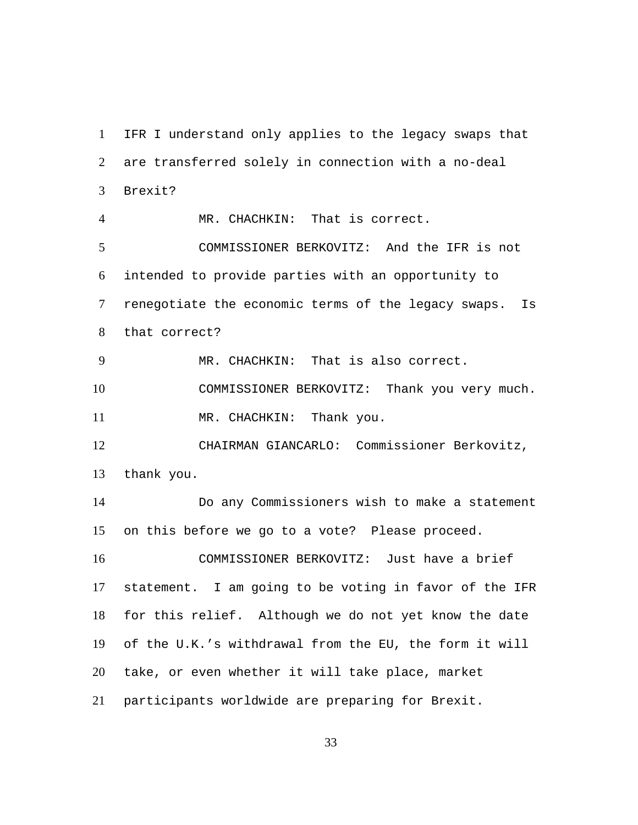IFR I understand only applies to the legacy swaps that are transferred solely in connection with a no-deal Brexit? 1  $2<sup>1</sup>$ 3 4 MR. CHACHKIN: That is correct. COMMISSIONER BERKOVITZ: And the IFR is not intended to provide parties with an opportunity to renegotiate the economic terms of the legacy swaps. Is that correct? 5 6 7 8 9 MR. CHACHKIN: That is also correct. 10 COMMISSIONER BERKOVITZ: Thank you very much. 11 MR. CHACHKIN: Thank you. CHAIRMAN GIANCARLO: Commissioner Berkovitz, thank you. 12 13 Do any Commissioners wish to make a statement on this before we go to a vote? Please proceed. 14 15 COMMISSIONER BERKOVITZ: Just have a brief statement. I am going to be voting in favor of the IFR for this relief. Although we do not yet know the date of the U.K.'s withdrawal from the EU, the form it will take, or even whether it will take place, market participants worldwide are preparing for Brexit. 16 17 18 19 20 21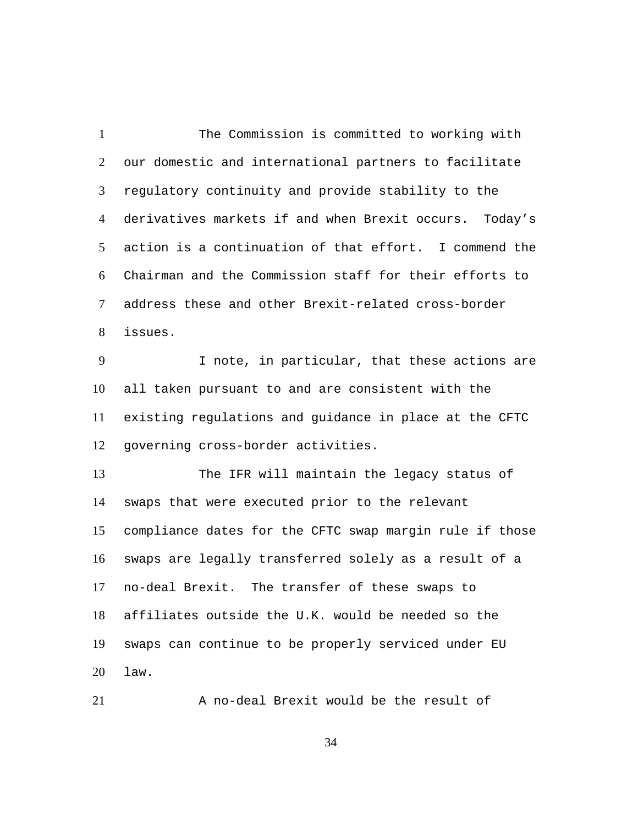The Commission is committed to working with our domestic and international partners to facilitate regulatory continuity and provide stability to the derivatives markets if and when Brexit occurs. Today's action is a continuation of that effort. I commend the Chairman and the Commission staff for their efforts to address these and other Brexit-related cross-border issues. 1  $\mathfrak{D}$ 3 4 5 6 7 8 I note, in particular, that these actions are all taken pursuant to and are consistent with the existing regulations and guidance in place at the CFTC governing cross-border activities. 9 10 11 12 The IFR will maintain the legacy status of swaps that were executed prior to the relevant compliance dates for the CFTC swap margin rule if those swaps are legally transferred solely as a result of a no-deal Brexit. The transfer of these swaps to affiliates outside the U.K. would be needed so the swaps can continue to be properly serviced under EU law. 13 14 15 16 17 18 19 20

21 A no-deal Brexit would be the result of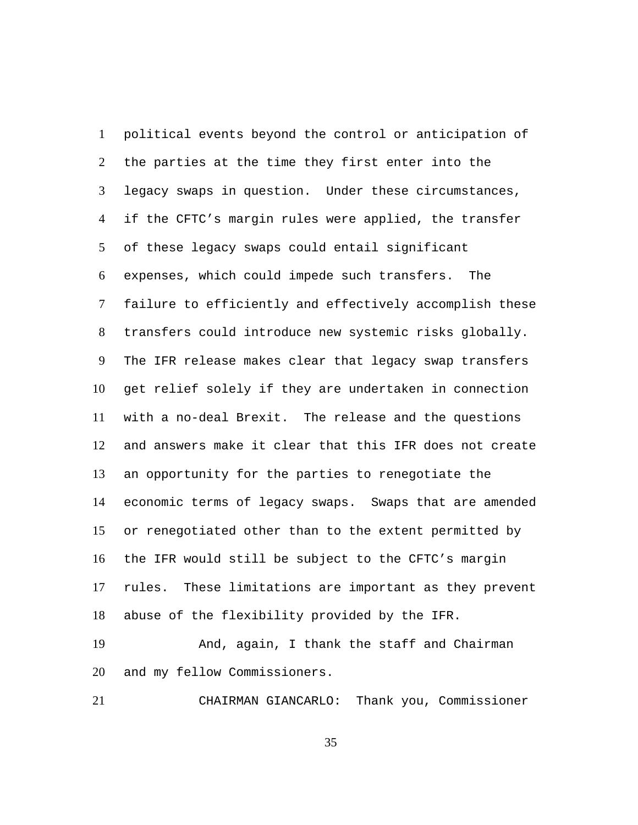political events beyond the control or anticipation of the parties at the time they first enter into the legacy swaps in question. Under these circumstances, if the CFTC's margin rules were applied, the transfer of these legacy swaps could entail significant expenses, which could impede such transfers. The failure to efficiently and effectively accomplish these transfers could introduce new systemic risks globally. The IFR release makes clear that legacy swap transfers get relief solely if they are undertaken in connection with a no-deal Brexit. The release and the questions and answers make it clear that this IFR does not create an opportunity for the parties to renegotiate the economic terms of legacy swaps. Swaps that are amended or renegotiated other than to the extent permitted by the IFR would still be subject to the CFTC's margin rules. These limitations are important as they prevent abuse of the flexibility provided by the IFR. 1  $\mathcal{L}$ 3 4 5 6 7 8 9 10 11 12 13 14 15 16 17 18

And, again, I thank the staff and Chairman and my fellow Commissioners. 19 20

21 CHAIRMAN GIANCARLO: Thank you, Commissioner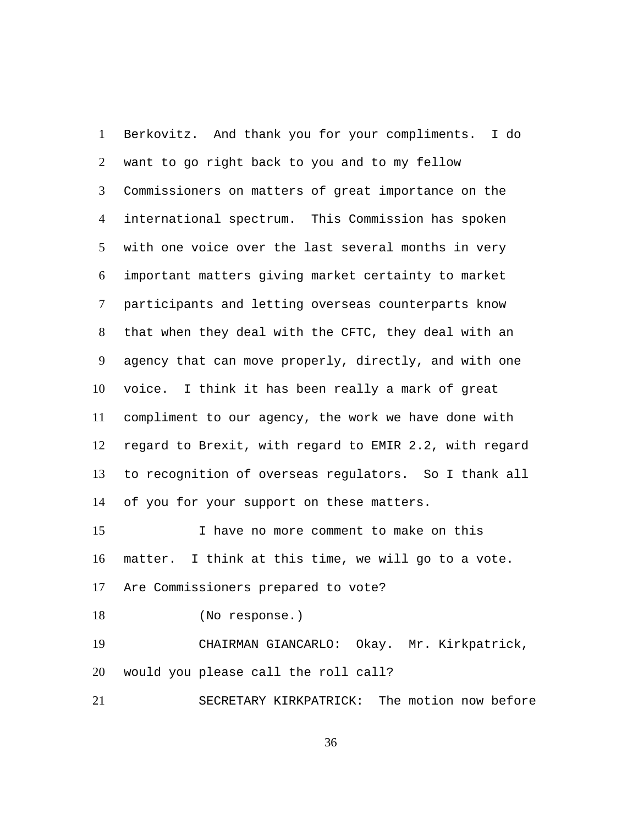Berkovitz. And thank you for your compliments. I do want to go right back to you and to my fellow Commissioners on matters of great importance on the international spectrum. This Commission has spoken with one voice over the last several months in very important matters giving market certainty to market participants and letting overseas counterparts know that when they deal with the CFTC, they deal with an agency that can move properly, directly, and with one voice. I think it has been really a mark of great compliment to our agency, the work we have done with regard to Brexit, with regard to EMIR 2.2, with regard to recognition of overseas regulators. So I thank all of you for your support on these matters. 1  $\mathcal{L}$ 3 4 5 6 7 8 9 10 11 12 13 14

I have no more comment to make on this matter. I think at this time, we will go to a vote. Are Commissioners prepared to vote? 15 16 17

18 (No response.)

CHAIRMAN GIANCARLO: Okay. Mr. Kirkpatrick, would you please call the roll call? 19 20

21 SECRETARY KIRKPATRICK: The motion now before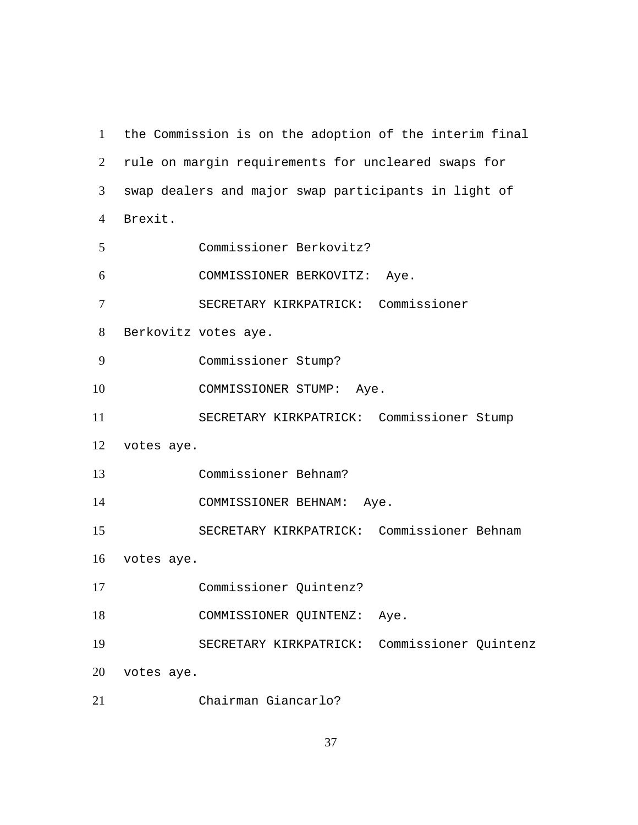the Commission is on the adoption of the interim final rule on margin requirements for uncleared swaps for swap dealers and major swap participants in light of Brexit. Commissioner Berkovitz? COMMISSIONER BERKOVITZ: Aye. SECRETARY KIRKPATRICK: Commissioner Berkovitz votes aye. Commissioner Stump? 10 COMMISSIONER STUMP: Aye. SECRETARY KIRKPATRICK: Commissioner Stump votes aye. Commissioner Behnam? COMMISSIONER BEHNAM: Aye. SECRETARY KIRKPATRICK: Commissioner Behnam votes aye. Commissioner Quintenz? COMMISSIONER QUINTENZ: Aye. SECRETARY KIRKPATRICK: Commissioner Quintenz votes aye. Chairman Giancarlo?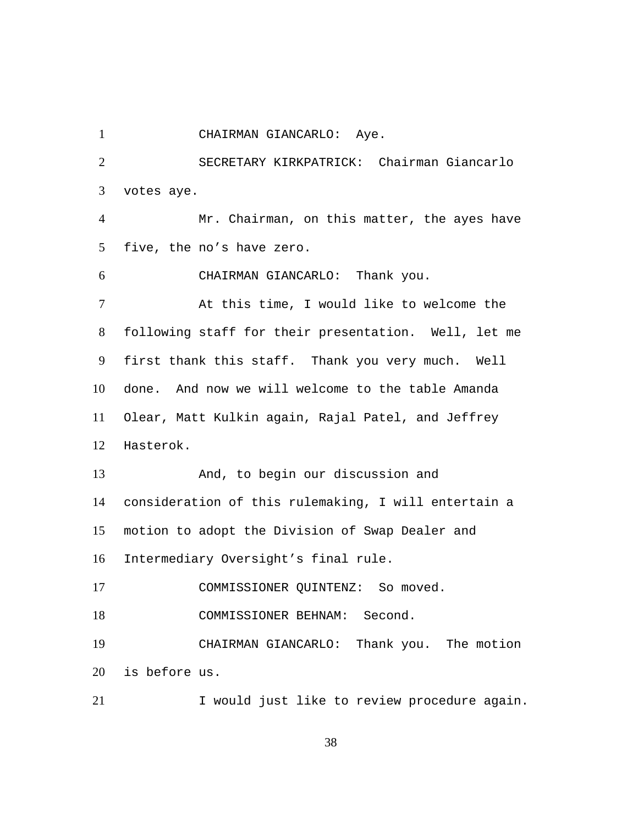1 CHAIRMAN GIANCARLO: Aye. SECRETARY KIRKPATRICK: Chairman Giancarlo votes aye.  $\mathcal{L}$ 3 Mr. Chairman, on this matter, the ayes have five, the no's have zero. 4 5 6 CHAIRMAN GIANCARLO: Thank you. At this time, I would like to welcome the following staff for their presentation. Well, let me first thank this staff. Thank you very much. Well done. And now we will welcome to the table Amanda Olear, Matt Kulkin again, Rajal Patel, and Jeffrey Hasterok. 7 8 9 10 11 12 And, to begin our discussion and consideration of this rulemaking, I will entertain a motion to adopt the Division of Swap Dealer and Intermediary Oversight's final rule. 13 14 15 16 17 COMMISSIONER QUINTENZ: So moved. 18 COMMISSIONER BEHNAM: Second. CHAIRMAN GIANCARLO: Thank you. The motion is before us. 19 20 21 1 Vould just like to review procedure again.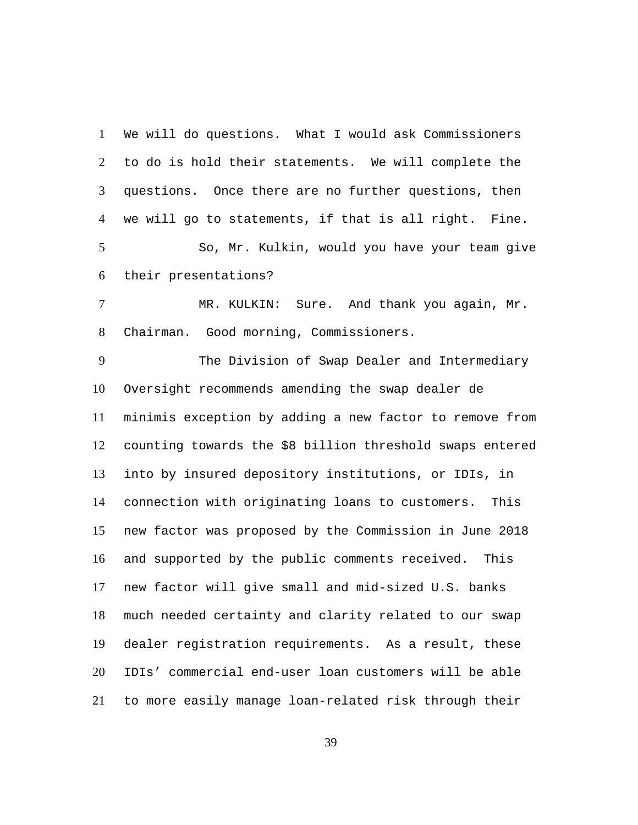We will do questions. What I would ask Commissioners to do is hold their statements. We will complete the questions. Once there are no further questions, then we will go to statements, if that is all right. Fine. 1  $\mathcal{L}$ 3 4 So, Mr. Kulkin, would you have your team give their presentations? 5 6 MR. KULKIN: Sure. And thank you again, Mr. 7

Chairman. Good morning, Commissioners. 8

The Division of Swap Dealer and Intermediary Oversight recommends amending the swap dealer de minimis exception by adding a new factor to remove from counting towards the \$8 billion threshold swaps entered into by insured depository institutions, or IDIs, in connection with originating loans to customers. This new factor was proposed by the Commission in June 2018 and supported by the public comments received. This new factor will give small and mid-sized U.S. banks much needed certainty and clarity related to our swap dealer registration requirements. As a result, these IDIs' commercial end-user loan customers will be able to more easily manage loan-related risk through their 9 10 11 12 13 14 15 16 17 18 19 20 21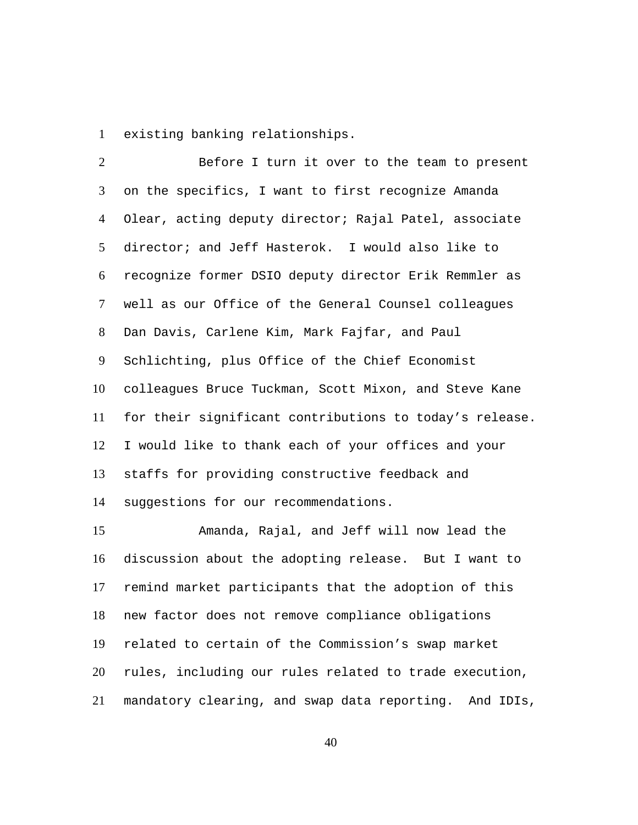1 existing banking relationships.

Before I turn it over to the team to present on the specifics, I want to first recognize Amanda Olear, acting deputy director; Rajal Patel, associate director; and Jeff Hasterok. I would also like to recognize former DSIO deputy director Erik Remmler as well as our Office of the General Counsel colleagues Dan Davis, Carlene Kim, Mark Fajfar, and Paul Schlichting, plus Office of the Chief Economist colleagues Bruce Tuckman, Scott Mixon, and Steve Kane for their significant contributions to today's release. I would like to thank each of your offices and your staffs for providing constructive feedback and suggestions for our recommendations.  $\mathcal{L}$ 3 4 5 6 7 8 9 10 11 12 13 14

Amanda, Rajal, and Jeff will now lead the discussion about the adopting release. But I want to remind market participants that the adoption of this new factor does not remove compliance obligations related to certain of the Commission's swap market rules, including our rules related to trade execution, mandatory clearing, and swap data reporting. And IDIs, 15 16 17 18 19 20 21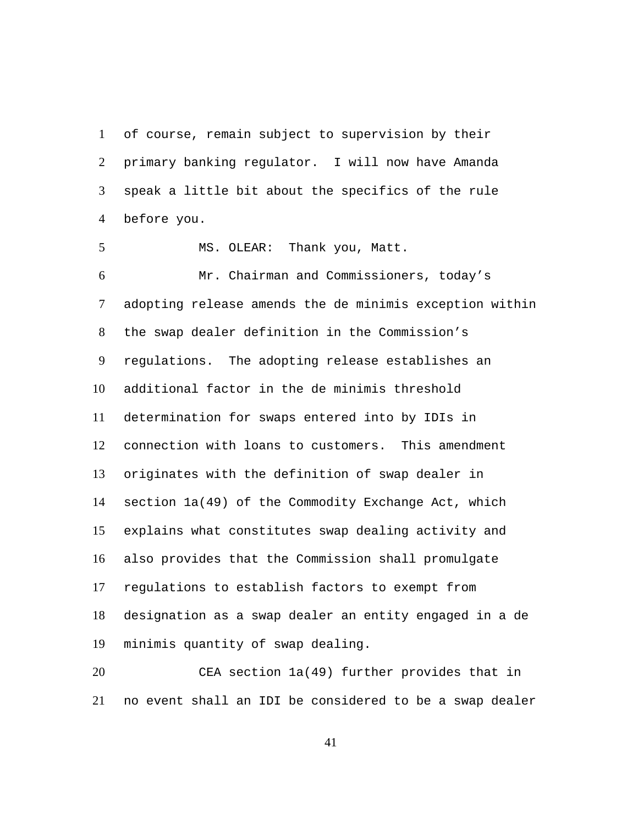of course, remain subject to supervision by their primary banking regulator. I will now have Amanda speak a little bit about the specifics of the rule before you. 1  $\mathcal{L}$ 3 4

5 MS. OLEAR: Thank you, Matt.

Mr. Chairman and Commissioners, today's adopting release amends the de minimis exception within the swap dealer definition in the Commission's regulations. The adopting release establishes an additional factor in the de minimis threshold determination for swaps entered into by IDIs in connection with loans to customers. This amendment originates with the definition of swap dealer in section 1a(49) of the Commodity Exchange Act, which explains what constitutes swap dealing activity and also provides that the Commission shall promulgate regulations to establish factors to exempt from designation as a swap dealer an entity engaged in a de minimis quantity of swap dealing. 6 7 8 9 10 11 12 13 14 15 16 17 18 19

CEA section 1a(49) further provides that in no event shall an IDI be considered to be a swap dealer 20 21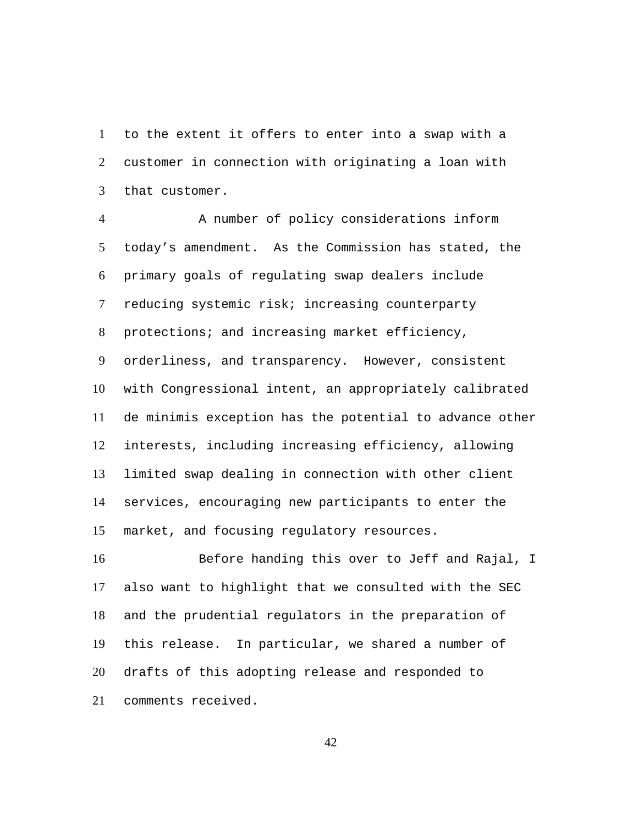to the extent it offers to enter into a swap with a customer in connection with originating a loan with that customer. 1  $\mathcal{L}$ 3

A number of policy considerations inform today's amendment. As the Commission has stated, the primary goals of regulating swap dealers include reducing systemic risk; increasing counterparty protections; and increasing market efficiency, orderliness, and transparency. However, consistent with Congressional intent, an appropriately calibrated de minimis exception has the potential to advance other interests, including increasing efficiency, allowing limited swap dealing in connection with other client services, encouraging new participants to enter the market, and focusing regulatory resources. 4 5 6 7 8 9 10 11 12 13 14 15

Before handing this over to Jeff and Rajal, I also want to highlight that we consulted with the SEC and the prudential regulators in the preparation of this release. In particular, we shared a number of drafts of this adopting release and responded to comments received. 16 17 18 19 20 21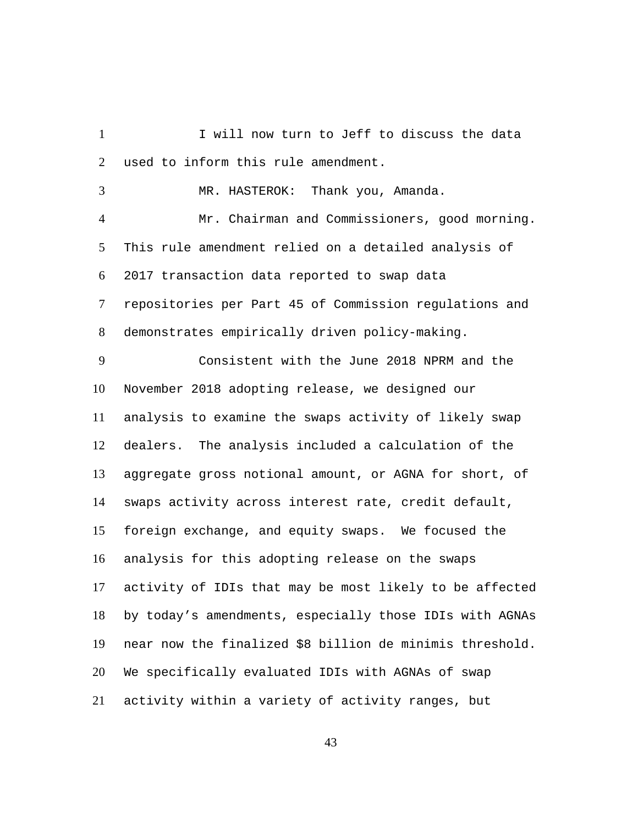I will now turn to Jeff to discuss the data used to inform this rule amendment. 1  $\mathcal{L}$ 

3 MR. HASTEROK: Thank you, Amanda.

Mr. Chairman and Commissioners, good morning. This rule amendment relied on a detailed analysis of 2017 transaction data reported to swap data repositories per Part 45 of Commission regulations and demonstrates empirically driven policy-making. 4 5 6 7 8

Consistent with the June 2018 NPRM and the November 2018 adopting release, we designed our analysis to examine the swaps activity of likely swap dealers. The analysis included a calculation of the aggregate gross notional amount, or AGNA for short, of swaps activity across interest rate, credit default, foreign exchange, and equity swaps. We focused the analysis for this adopting release on the swaps activity of IDIs that may be most likely to be affected by today's amendments, especially those IDIs with AGNAs near now the finalized \$8 billion de minimis threshold. We specifically evaluated IDIs with AGNAs of swap activity within a variety of activity ranges, but 9 10 11 12 13 14 15 16 17 18 19 20 21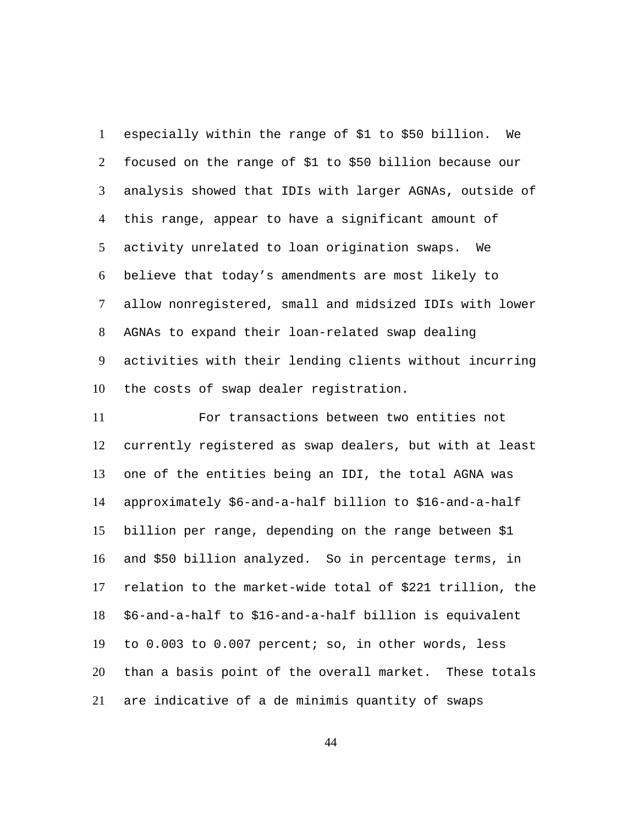especially within the range of \$1 to \$50 billion. We focused on the range of \$1 to \$50 billion because our analysis showed that IDIs with larger AGNAs, outside of this range, appear to have a significant amount of activity unrelated to loan origination swaps. We believe that today's amendments are most likely to allow nonregistered, small and midsized IDIs with lower AGNAs to expand their loan-related swap dealing activities with their lending clients without incurring the costs of swap dealer registration. 1  $\mathcal{L}$ 3 4 5 6 7 8 9 10

For transactions between two entities not currently registered as swap dealers, but with at least one of the entities being an IDI, the total AGNA was approximately \$6-and-a-half billion to \$16-and-a-half billion per range, depending on the range between \$1 and \$50 billion analyzed. So in percentage terms, in relation to the market-wide total of \$221 trillion, the \$6-and-a-half to \$16-and-a-half billion is equivalent to 0.003 to 0.007 percent; so, in other words, less than a basis point of the overall market. These totals are indicative of a de minimis quantity of swaps 11 12 13 14 15 16 17 18 19 20 21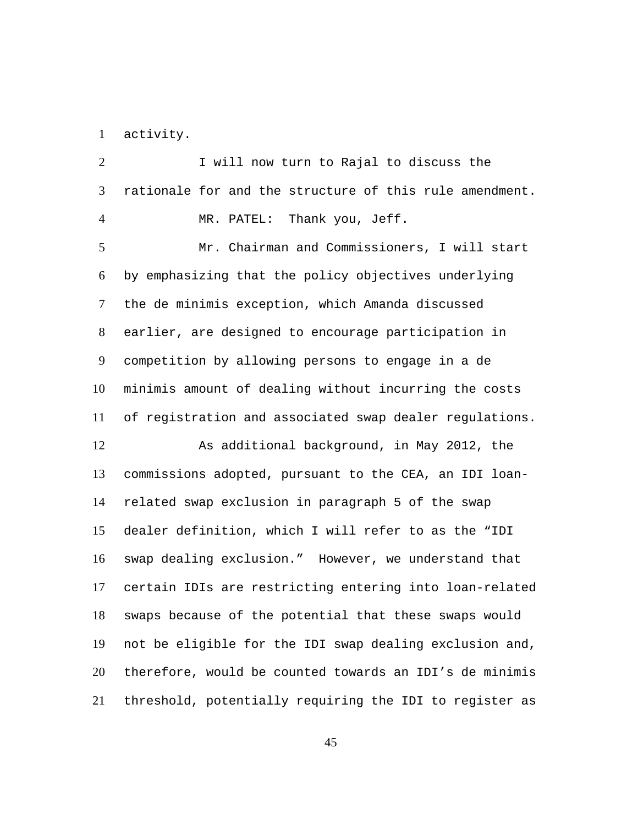1 activity.

I will now turn to Rajal to discuss the rationale for and the structure of this rule amendment.  $\mathcal{L}$ 3 4 MR. PATEL: Thank you, Jeff. Mr. Chairman and Commissioners, I will start by emphasizing that the policy objectives underlying the de minimis exception, which Amanda discussed earlier, are designed to encourage participation in competition by allowing persons to engage in a de minimis amount of dealing without incurring the costs of registration and associated swap dealer regulations. 5 6 7 8 9 10 11 As additional background, in May 2012, the commissions adopted, pursuant to the CEA, an IDI loanrelated swap exclusion in paragraph 5 of the swap dealer definition, which I will refer to as the "IDI swap dealing exclusion." However, we understand that certain IDIs are restricting entering into loan-related swaps because of the potential that these swaps would not be eligible for the IDI swap dealing exclusion and, therefore, would be counted towards an IDI's de minimis threshold, potentially requiring the IDI to register as 12 13 14 15 16 17 18 19 20 21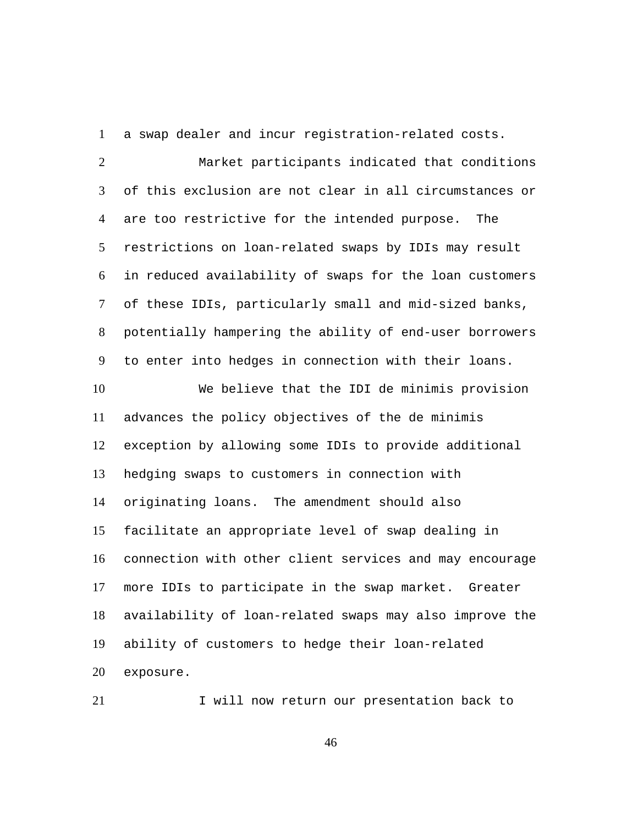1 a swap dealer and incur registration-related costs. Market participants indicated that conditions of this exclusion are not clear in all circumstances or are too restrictive for the intended purpose. The restrictions on loan-related swaps by IDIs may result in reduced availability of swaps for the loan customers of these IDIs, particularly small and mid-sized banks, potentially hampering the ability of end-user borrowers to enter into hedges in connection with their loans.  $\mathcal{L}$ 3 4 5 6 7 8 9 We believe that the IDI de minimis provision advances the policy objectives of the de minimis exception by allowing some IDIs to provide additional hedging swaps to customers in connection with originating loans. The amendment should also facilitate an appropriate level of swap dealing in connection with other client services and may encourage more IDIs to participate in the swap market. Greater availability of loan-related swaps may also improve the ability of customers to hedge their loan-related exposure. 10 11 12 13 14 15 16 17 18 19 20

21 I will now return our presentation back to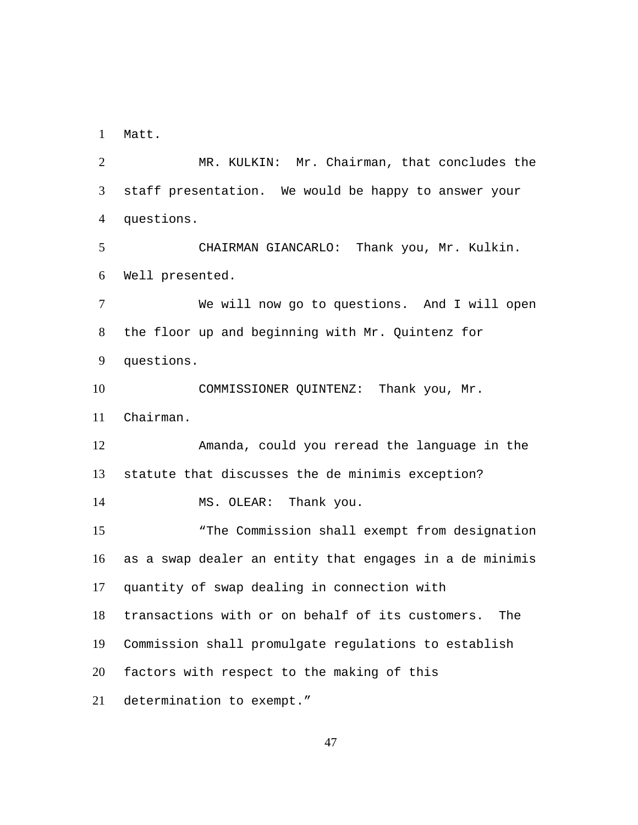1 Matt.

MR. KULKIN: Mr. Chairman, that concludes the staff presentation. We would be happy to answer your questions.  $\mathcal{L}$ 3 4 CHAIRMAN GIANCARLO: Thank you, Mr. Kulkin. Well presented. 5 6 We will now go to questions. And I will open the floor up and beginning with Mr. Quintenz for questions. 7 8 9 COMMISSIONER QUINTENZ: Thank you, Mr. Chairman. 10 11 Amanda, could you reread the language in the statute that discusses the de minimis exception? 12 13 14 MS. OLEAR: Thank you. "The Commission shall exempt from designation as a swap dealer an entity that engages in a de minimis quantity of swap dealing in connection with transactions with or on behalf of its customers. The Commission shall promulgate regulations to establish factors with respect to the making of this determination to exempt." 15 16 17 18 19 20 21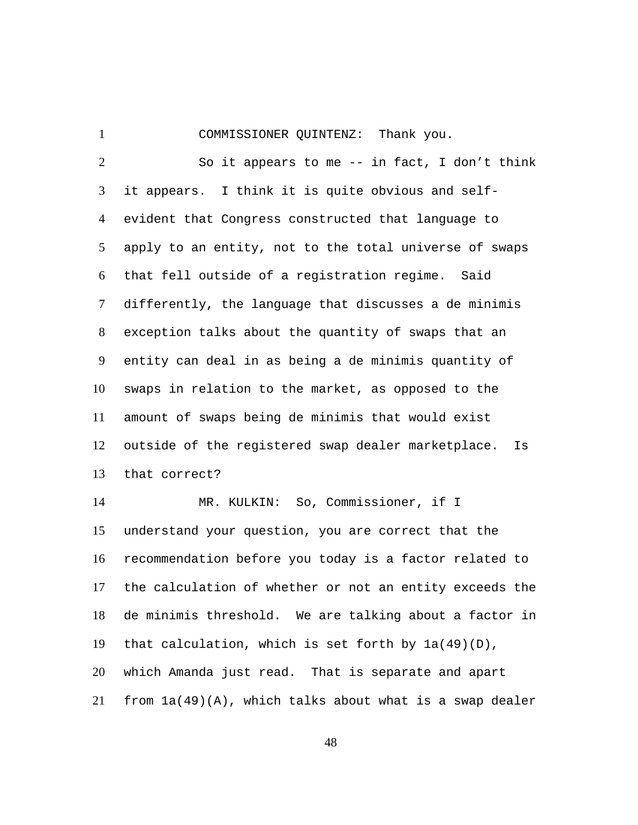1 COMMISSIONER QUINTENZ: Thank you.

So it appears to me -- in fact, I don't think it appears. I think it is quite obvious and selfevident that Congress constructed that language to apply to an entity, not to the total universe of swaps that fell outside of a registration regime. Said differently, the language that discusses a de minimis exception talks about the quantity of swaps that an entity can deal in as being a de minimis quantity of swaps in relation to the market, as opposed to the amount of swaps being de minimis that would exist outside of the registered swap dealer marketplace. Is that correct?  $\mathcal{L}$ 3 4 5 6 7 8 9 10 11 12 13

MR. KULKIN: So, Commissioner, if I understand your question, you are correct that the recommendation before you today is a factor related to the calculation of whether or not an entity exceeds the de minimis threshold. We are talking about a factor in that calculation, which is set forth by 1a(49)(D), which Amanda just read. That is separate and apart from  $1a(49)(A)$ , which talks about what is a swap dealer 14 15 16 17 18 19 20 21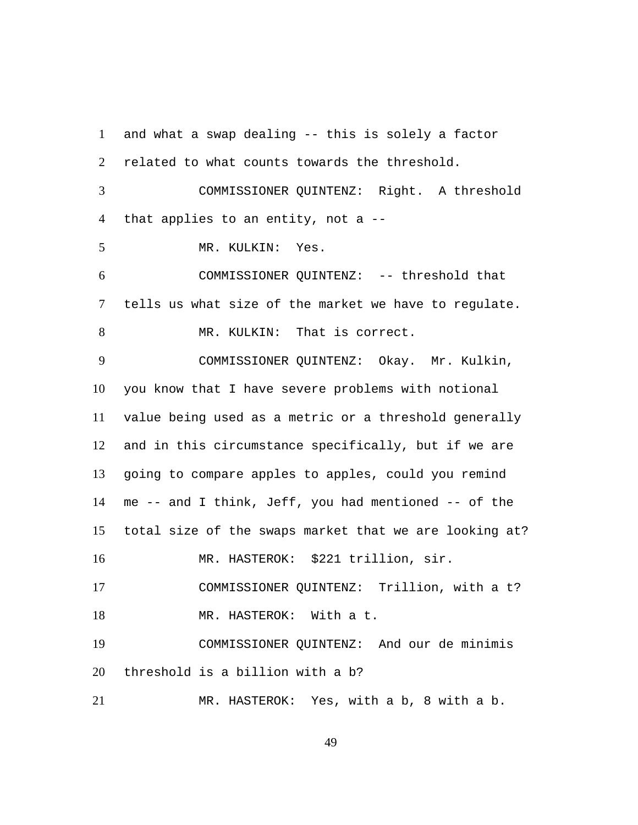and what a swap dealing -- this is solely a factor related to what counts towards the threshold. 1  $\mathfrak{D}$ COMMISSIONER QUINTENZ: Right. A threshold that applies to an entity, not a -- 3 4 5 MR. KULKIN: Yes. COMMISSIONER QUINTENZ: -- threshold that tells us what size of the market we have to regulate. 6 7 8 MR. KULKIN: That is correct. COMMISSIONER QUINTENZ: Okay. Mr. Kulkin, you know that I have severe problems with notional value being used as a metric or a threshold generally and in this circumstance specifically, but if we are going to compare apples to apples, could you remind me -- and I think, Jeff, you had mentioned -- of the total size of the swaps market that we are looking at? 9 10 11 12 13 14 15 16 MR. HASTEROK: \$221 trillion, sir. 17 COMMISSIONER QUINTENZ: Trillion, with a t? 18 MR. HASTEROK: With a t. COMMISSIONER QUINTENZ: And our de minimis threshold is a billion with a b? 19 20 21 MR. HASTEROK: Yes, with a b, 8 with a b.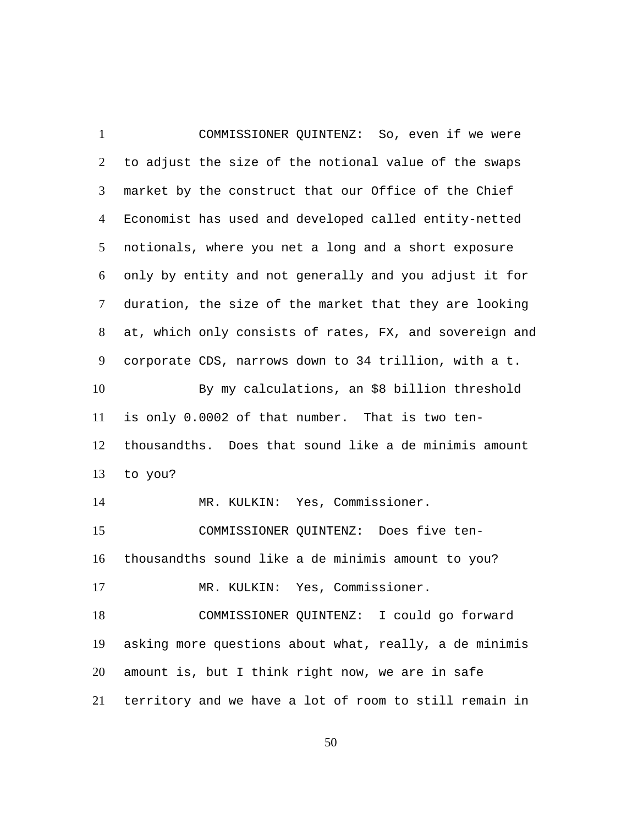COMMISSIONER QUINTENZ: So, even if we were to adjust the size of the notional value of the swaps market by the construct that our Office of the Chief Economist has used and developed called entity-netted notionals, where you net a long and a short exposure only by entity and not generally and you adjust it for duration, the size of the market that they are looking at, which only consists of rates, FX, and sovereign and corporate CDS, narrows down to 34 trillion, with a t. 1  $\mathcal{L}$ 3 4 5 6 7 8 9 By my calculations, an \$8 billion threshold is only 0.0002 of that number. That is two tenthousandths. Does that sound like a de minimis amount to you? 10 11 12 13 14 MR. KULKIN: Yes, Commissioner. COMMISSIONER QUINTENZ: Does five tenthousandths sound like a de minimis amount to you? 15 16 17 MR. KULKIN: Yes, Commissioner. COMMISSIONER QUINTENZ: I could go forward asking more questions about what, really, a de minimis amount is, but I think right now, we are in safe territory and we have a lot of room to still remain in 18 19 20 21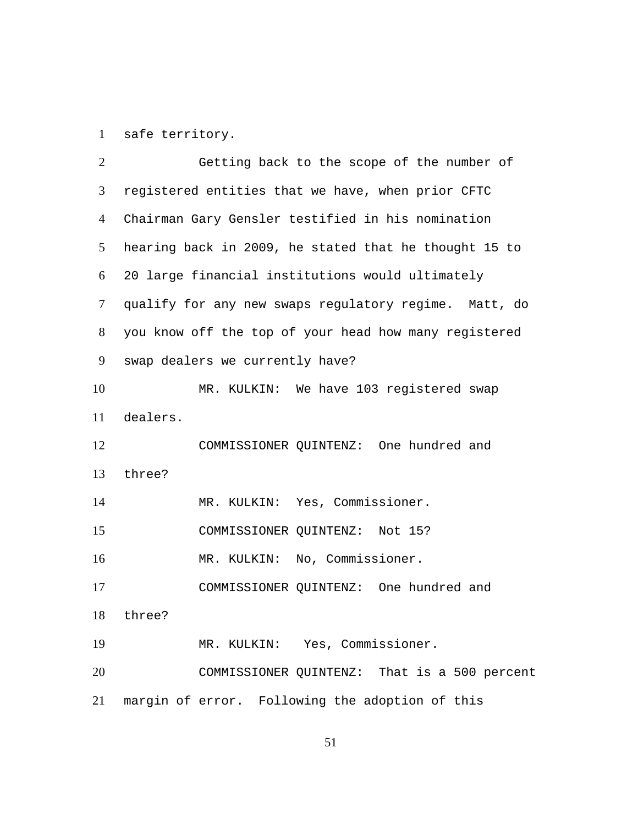1 safe territory.

| 2  | Getting back to the scope of the number of            |
|----|-------------------------------------------------------|
| 3  | registered entities that we have, when prior CFTC     |
| 4  | Chairman Gary Gensler testified in his nomination     |
| 5  | hearing back in 2009, he stated that he thought 15 to |
| 6  | 20 large financial institutions would ultimately      |
| 7  | qualify for any new swaps regulatory regime. Matt, do |
| 8  | you know off the top of your head how many registered |
| 9  | swap dealers we currently have?                       |
| 10 | MR. KULKIN: We have 103 registered swap               |
| 11 | dealers.                                              |
| 12 | COMMISSIONER QUINTENZ: One hundred and                |
| 13 | three?                                                |
| 14 | MR. KULKIN: Yes, Commissioner.                        |
| 15 | COMMISSIONER QUINTENZ: Not 15?                        |
| 16 | MR. KULKIN: No, Commissioner.                         |
| 17 | COMMISSIONER QUINTENZ: One hundred and                |
| 18 | three?                                                |
| 19 | MR. KULKIN: Yes, Commissioner.                        |
| 20 | COMMISSIONER QUINTENZ: That is a 500 percent          |
| 21 | margin of error. Following the adoption of this       |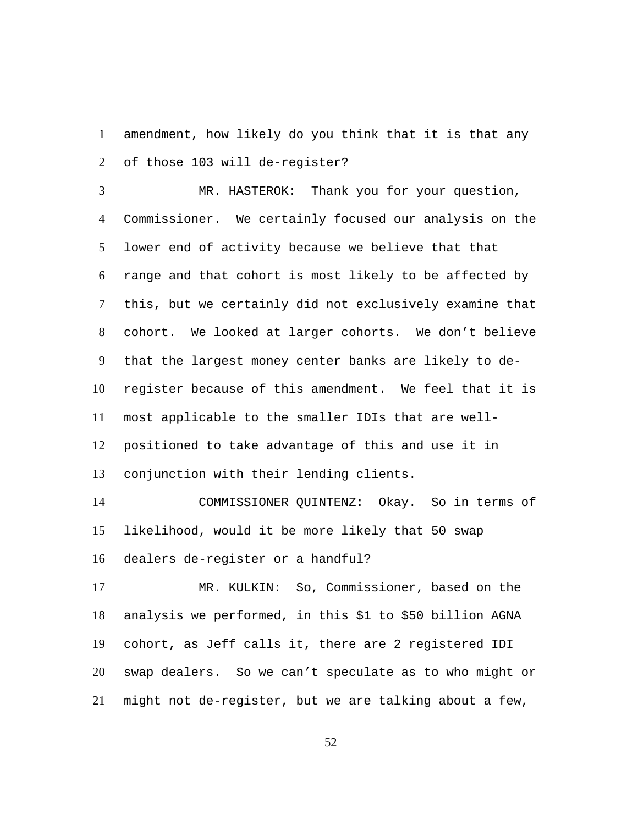amendment, how likely do you think that it is that any of those 103 will de-register? 1  $\mathcal{L}$ 

MR. HASTEROK: Thank you for your question, Commissioner. We certainly focused our analysis on the lower end of activity because we believe that that range and that cohort is most likely to be affected by this, but we certainly did not exclusively examine that cohort. We looked at larger cohorts. We don't believe that the largest money center banks are likely to deregister because of this amendment. We feel that it is most applicable to the smaller IDIs that are wellpositioned to take advantage of this and use it in conjunction with their lending clients. 3 4 5 6 7 8 9 10 11 12 13

COMMISSIONER QUINTENZ: Okay. So in terms of likelihood, would it be more likely that 50 swap dealers de-register or a handful? 14 15 16

MR. KULKIN: So, Commissioner, based on the analysis we performed, in this \$1 to \$50 billion AGNA cohort, as Jeff calls it, there are 2 registered IDI swap dealers. So we can't speculate as to who might or might not de-register, but we are talking about a few, 17 18 19 20 21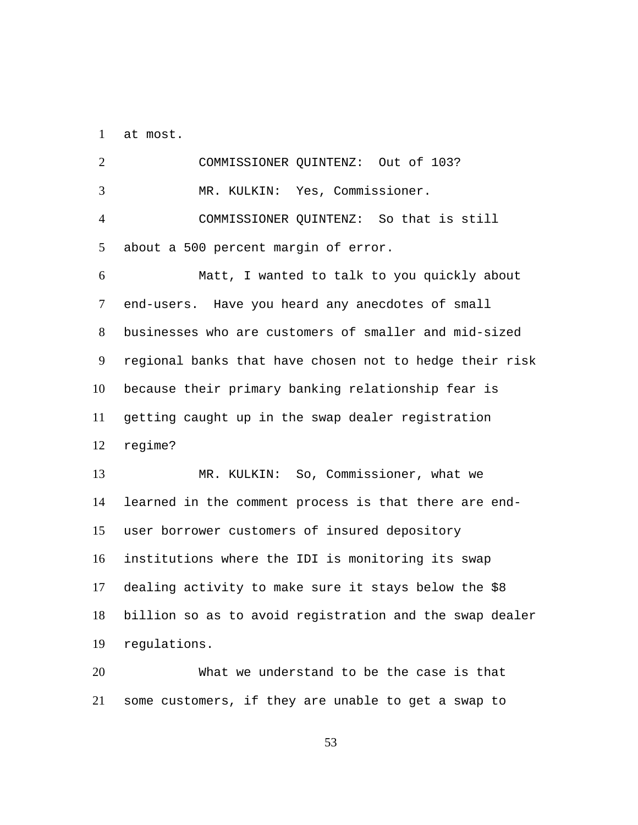1 at most.

2 COMMISSIONER QUINTENZ: Out of 103? 3 MR. KULKIN: Yes, Commissioner. COMMISSIONER QUINTENZ: So that is still about a 500 percent margin of error. 4 5 Matt, I wanted to talk to you quickly about end-users. Have you heard any anecdotes of small businesses who are customers of smaller and mid-sized regional banks that have chosen not to hedge their risk because their primary banking relationship fear is getting caught up in the swap dealer registration regime? 6 7 8 9 10 11 12 MR. KULKIN: So, Commissioner, what we learned in the comment process is that there are enduser borrower customers of insured depository institutions where the IDI is monitoring its swap dealing activity to make sure it stays below the \$8 billion so as to avoid registration and the swap dealer regulations. 13 14 15 16 17 18 19

What we understand to be the case is that some customers, if they are unable to get a swap to 20 21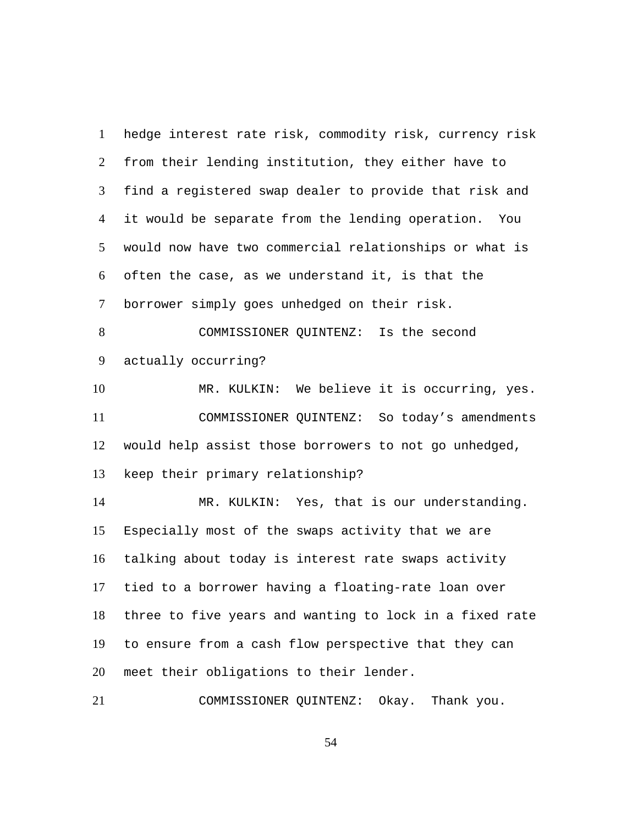hedge interest rate risk, commodity risk, currency risk from their lending institution, they either have to find a registered swap dealer to provide that risk and it would be separate from the lending operation. You would now have two commercial relationships or what is often the case, as we understand it, is that the borrower simply goes unhedged on their risk. 1  $\mathcal{L}$ 3 4 5 6 7 COMMISSIONER QUINTENZ: Is the second actually occurring? 8 9 10 MR. KULKIN: We believe it is occurring, yes. COMMISSIONER QUINTENZ: So today's amendments would help assist those borrowers to not go unhedged, keep their primary relationship? 11 12 13 MR. KULKIN: Yes, that is our understanding. Especially most of the swaps activity that we are talking about today is interest rate swaps activity tied to a borrower having a floating-rate loan over three to five years and wanting to lock in a fixed rate to ensure from a cash flow perspective that they can meet their obligations to their lender. 14 15 16 17 18 19 20

21 COMMISSIONER QUINTENZ: Okay. Thank you.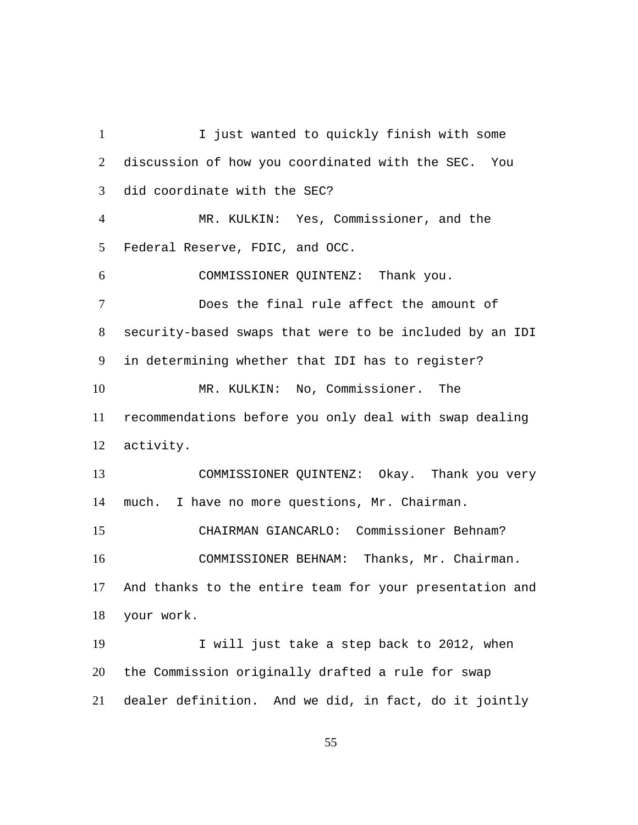I just wanted to quickly finish with some discussion of how you coordinated with the SEC. You did coordinate with the SEC? 1  $\mathfrak{D}$ 3 MR. KULKIN: Yes, Commissioner, and the Federal Reserve, FDIC, and OCC. 4 5 6 COMMISSIONER QUINTENZ: Thank you. Does the final rule affect the amount of security-based swaps that were to be included by an IDI in determining whether that IDI has to register? 7 8 9 MR. KULKIN: No, Commissioner. The recommendations before you only deal with swap dealing activity. 10 11 12 COMMISSIONER QUINTENZ: Okay. Thank you very much. I have no more questions, Mr. Chairman. 13 14 15 CHAIRMAN GIANCARLO: Commissioner Behnam? COMMISSIONER BEHNAM: Thanks, Mr. Chairman. And thanks to the entire team for your presentation and your work. 16 17 18 I will just take a step back to 2012, when the Commission originally drafted a rule for swap dealer definition. And we did, in fact, do it jointly 19 20 21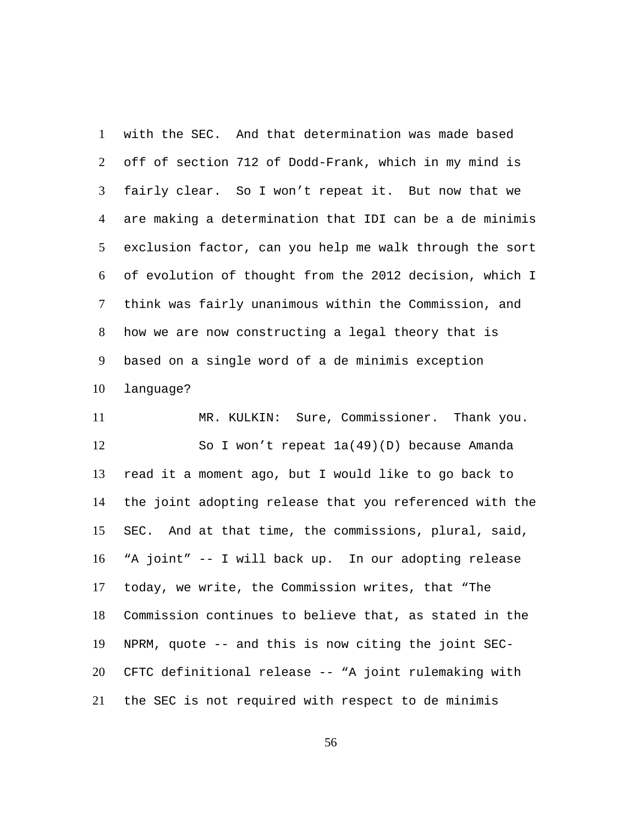with the SEC. And that determination was made based off of section 712 of Dodd-Frank, which in my mind is fairly clear. So I won't repeat it. But now that we are making a determination that IDI can be a de minimis exclusion factor, can you help me walk through the sort of evolution of thought from the 2012 decision, which I think was fairly unanimous within the Commission, and how we are now constructing a legal theory that is based on a single word of a de minimis exception language? 1  $\mathcal{L}$ 3 4 5 6 7 8 9 10

11 MR. KULKIN: Sure, Commissioner. Thank you. So I won't repeat 1a(49)(D) because Amanda read it a moment ago, but I would like to go back to the joint adopting release that you referenced with the SEC. And at that time, the commissions, plural, said, "A joint" -- I will back up. In our adopting release today, we write, the Commission writes, that "The Commission continues to believe that, as stated in the NPRM, quote -- and this is now citing the joint SEC-CFTC definitional release -- "A joint rulemaking with the SEC is not required with respect to de minimis 12 13 14 15 16 17 18 19 20 21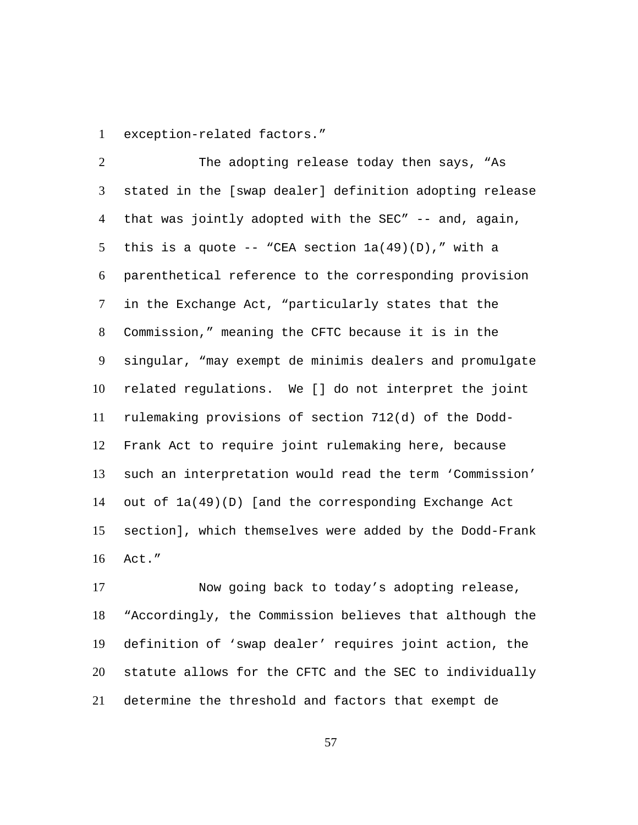1 exception-related factors."

The adopting release today then says, "As stated in the [swap dealer] definition adopting release that was jointly adopted with the SEC" -- and, again, this is a quote -- "CEA section  $la(49)(D)$ ," with a parenthetical reference to the corresponding provision in the Exchange Act, "particularly states that the Commission," meaning the CFTC because it is in the singular, "may exempt de minimis dealers and promulgate related regulations. We [] do not interpret the joint rulemaking provisions of section 712(d) of the Dodd-Frank Act to require joint rulemaking here, because such an interpretation would read the term 'Commission' out of 1a(49)(D) [and the corresponding Exchange Act section], which themselves were added by the Dodd-Frank Act."  $\mathcal{L}$ 3 4 5 6 7 8 9 10 11 12 13 14 15 16

Now going back to today's adopting release, "Accordingly, the Commission believes that although the definition of 'swap dealer' requires joint action, the statute allows for the CFTC and the SEC to individually determine the threshold and factors that exempt de 17 18 19 20 21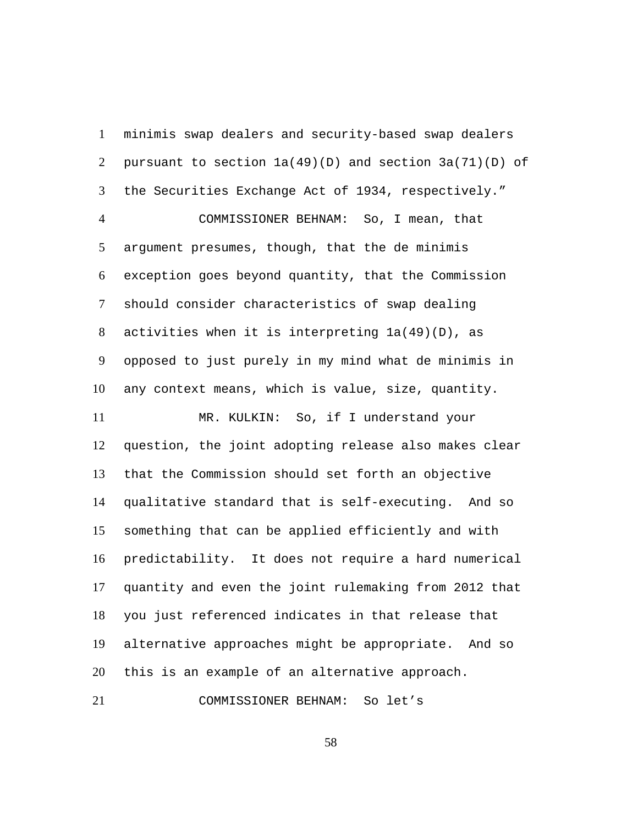minimis swap dealers and security-based swap dealers pursuant to section  $1a(49)(D)$  and section  $3a(71)(D)$  of the Securities Exchange Act of 1934, respectively." 1  $\mathcal{L}$ 3 COMMISSIONER BEHNAM: So, I mean, that argument presumes, though, that the de minimis exception goes beyond quantity, that the Commission should consider characteristics of swap dealing activities when it is interpreting 1a(49)(D), as opposed to just purely in my mind what de minimis in 4 5 6 7 8 9

any context means, which is value, size, quantity. 10

MR. KULKIN: So, if I understand your question, the joint adopting release also makes clear that the Commission should set forth an objective qualitative standard that is self-executing. And so something that can be applied efficiently and with predictability. It does not require a hard numerical quantity and even the joint rulemaking from 2012 that you just referenced indicates in that release that alternative approaches might be appropriate. And so this is an example of an alternative approach. 11 12 13 14 15 16 17 18 19 20

21 COMMISSIONER BEHNAM: So let's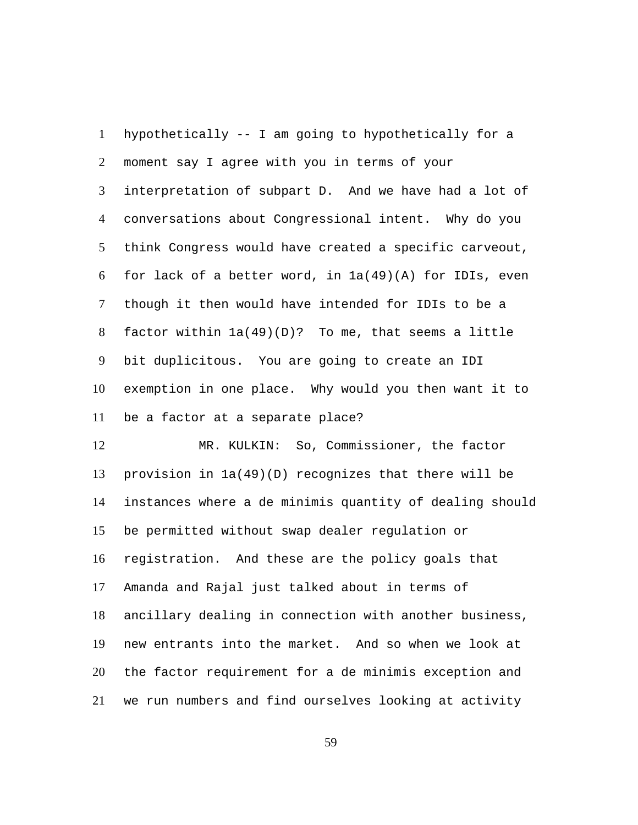hypothetically -- I am going to hypothetically for a moment say I agree with you in terms of your interpretation of subpart D. And we have had a lot of conversations about Congressional intent. Why do you think Congress would have created a specific carveout, for lack of a better word, in 1a(49)(A) for IDIs, even though it then would have intended for IDIs to be a factor within  $1a(49)(D)$ ? To me, that seems a little bit duplicitous. You are going to create an IDI exemption in one place. Why would you then want it to be a factor at a separate place? 1  $\mathcal{L}$ 3 4 5 6 7 8 9 10 11

MR. KULKIN: So, Commissioner, the factor provision in 1a(49)(D) recognizes that there will be instances where a de minimis quantity of dealing should be permitted without swap dealer regulation or registration. And these are the policy goals that Amanda and Rajal just talked about in terms of ancillary dealing in connection with another business, new entrants into the market. And so when we look at the factor requirement for a de minimis exception and we run numbers and find ourselves looking at activity 12 13 14 15 16 17 18 19 20 21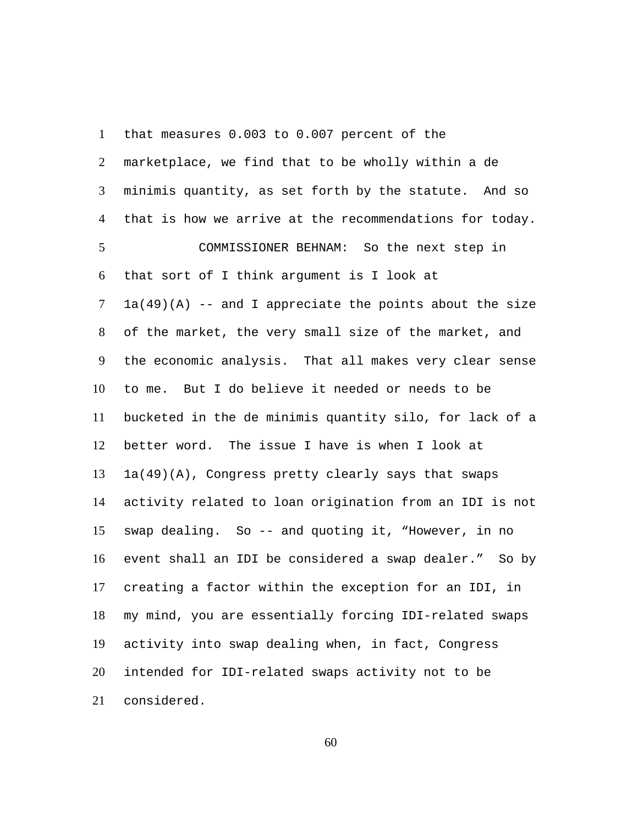that measures 0.003 to 0.007 percent of the marketplace, we find that to be wholly within a de minimis quantity, as set forth by the statute. And so that is how we arrive at the recommendations for today. 1  $\mathcal{L}$ 3 4 COMMISSIONER BEHNAM: So the next step in that sort of I think argument is I look at  $1a(49)(A)$  -- and I appreciate the points about the size of the market, the very small size of the market, and the economic analysis. That all makes very clear sense to me. But I do believe it needed or needs to be bucketed in the de minimis quantity silo, for lack of a better word. The issue I have is when I look at 1a(49)(A), Congress pretty clearly says that swaps activity related to loan origination from an IDI is not swap dealing. So -- and quoting it, "However, in no event shall an IDI be considered a swap dealer." So by creating a factor within the exception for an IDI, in my mind, you are essentially forcing IDI-related swaps activity into swap dealing when, in fact, Congress intended for IDI-related swaps activity not to be considered. 5 6 7 8 9 10 11 12 13 14 15 16 17 18 19 20 21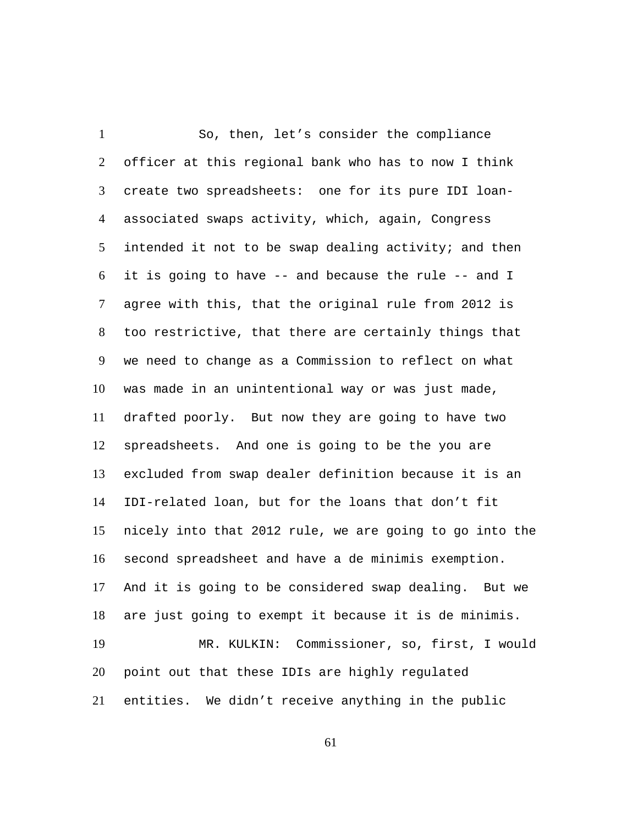So, then, let's consider the compliance officer at this regional bank who has to now I think create two spreadsheets: one for its pure IDI loanassociated swaps activity, which, again, Congress intended it not to be swap dealing activity; and then it is going to have -- and because the rule -- and I agree with this, that the original rule from 2012 is too restrictive, that there are certainly things that we need to change as a Commission to reflect on what was made in an unintentional way or was just made, drafted poorly. But now they are going to have two spreadsheets. And one is going to be the you are excluded from swap dealer definition because it is an IDI-related loan, but for the loans that don't fit nicely into that 2012 rule, we are going to go into the second spreadsheet and have a de minimis exemption. And it is going to be considered swap dealing. But we are just going to exempt it because it is de minimis. 1  $\mathcal{L}$ 3 4 5 6 7 8 9 10 11 12 13 14 15 16 17 18 MR. KULKIN: Commissioner, so, first, I would point out that these IDIs are highly regulated entities. We didn't receive anything in the public 19 20 21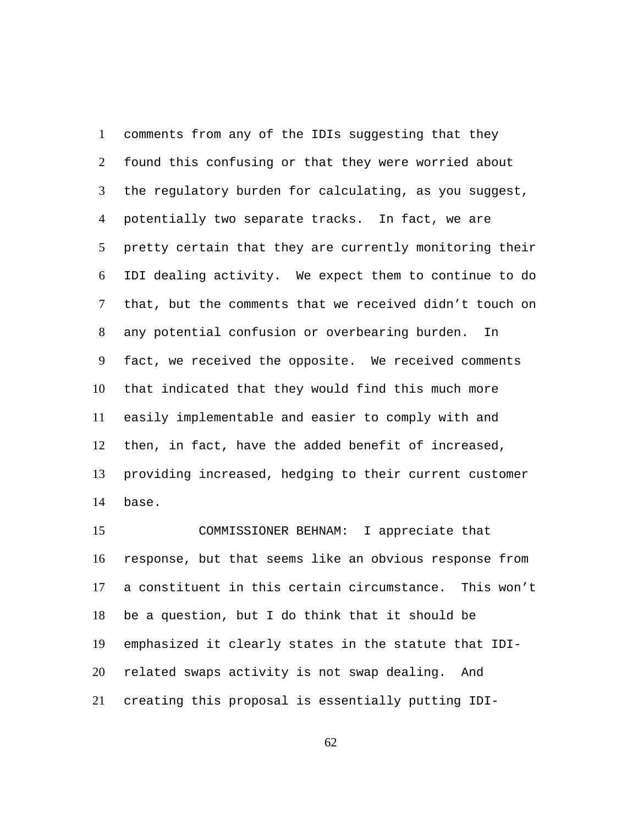comments from any of the IDIs suggesting that they found this confusing or that they were worried about the regulatory burden for calculating, as you suggest, potentially two separate tracks. In fact, we are pretty certain that they are currently monitoring their IDI dealing activity. We expect them to continue to do that, but the comments that we received didn't touch on any potential confusion or overbearing burden. In fact, we received the opposite. We received comments that indicated that they would find this much more easily implementable and easier to comply with and then, in fact, have the added benefit of increased, providing increased, hedging to their current customer base. 1  $\mathcal{L}$ 3 4 5 6 7 8 9 10 11 12 13 14

COMMISSIONER BEHNAM: I appreciate that response, but that seems like an obvious response from a constituent in this certain circumstance. This won't be a question, but I do think that it should be emphasized it clearly states in the statute that IDIrelated swaps activity is not swap dealing. And creating this proposal is essentially putting IDI-15 16 17 18 19 20 21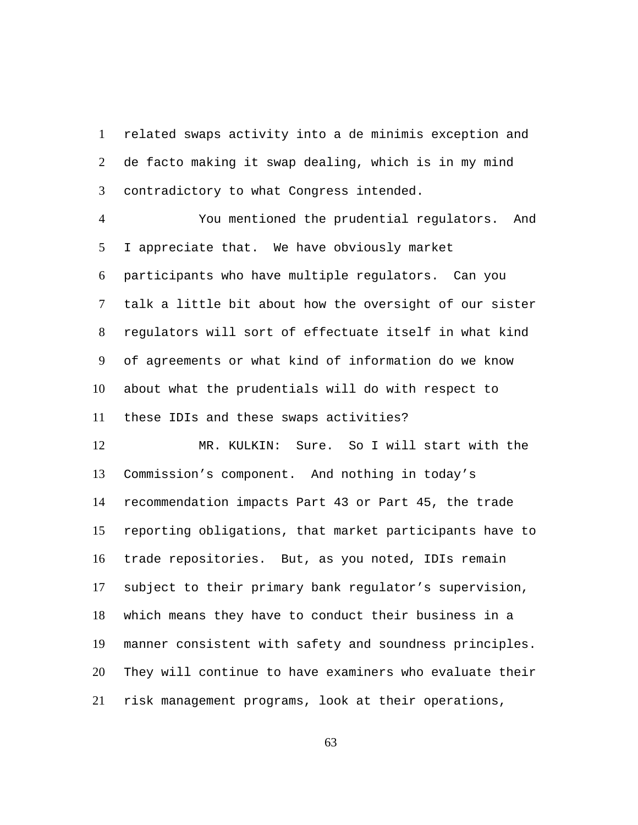related swaps activity into a de minimis exception and de facto making it swap dealing, which is in my mind contradictory to what Congress intended. 1  $\mathcal{L}$ 3

You mentioned the prudential regulators. And I appreciate that. We have obviously market participants who have multiple regulators. Can you talk a little bit about how the oversight of our sister regulators will sort of effectuate itself in what kind of agreements or what kind of information do we know about what the prudentials will do with respect to these IDIs and these swaps activities? 4 5 6 7 8 9 10 11

MR. KULKIN: Sure. So I will start with the Commission's component. And nothing in today's recommendation impacts Part 43 or Part 45, the trade reporting obligations, that market participants have to trade repositories. But, as you noted, IDIs remain subject to their primary bank regulator's supervision, which means they have to conduct their business in a manner consistent with safety and soundness principles. They will continue to have examiners who evaluate their risk management programs, look at their operations, 12 13 14 15 16 17 18 19 20 21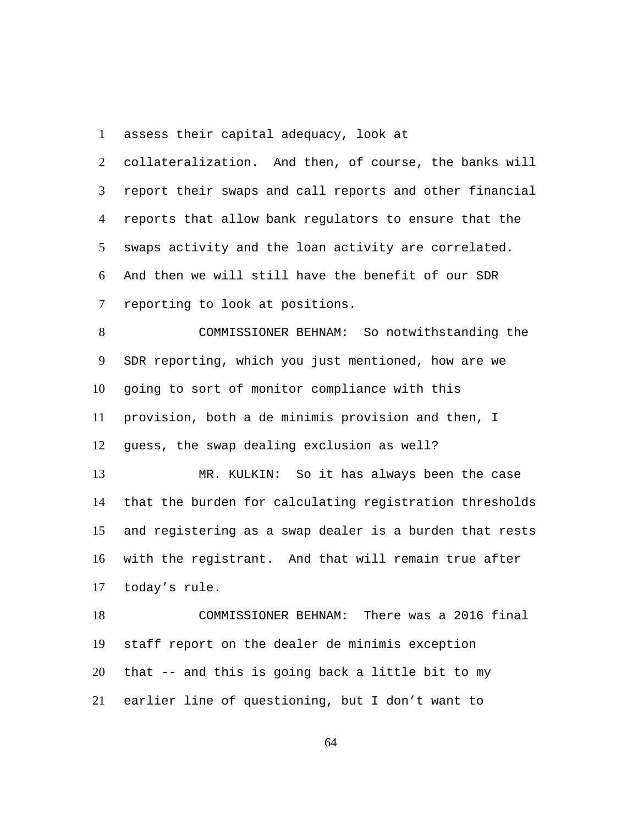assess their capital adequacy, look at 1

collateralization. And then, of course, the banks will report their swaps and call reports and other financial reports that allow bank regulators to ensure that the swaps activity and the loan activity are correlated. And then we will still have the benefit of our SDR reporting to look at positions.  $\mathcal{L}$ 3 4 5 6 7

COMMISSIONER BEHNAM: So notwithstanding the SDR reporting, which you just mentioned, how are we going to sort of monitor compliance with this provision, both a de minimis provision and then, I guess, the swap dealing exclusion as well? 8 9 10 11 12

MR. KULKIN: So it has always been the case that the burden for calculating registration thresholds and registering as a swap dealer is a burden that rests with the registrant. And that will remain true after today's rule. 13 14 15 16 17

COMMISSIONER BEHNAM: There was a 2016 final staff report on the dealer de minimis exception that -- and this is going back a little bit to my earlier line of questioning, but I don't want to 18 19 20 21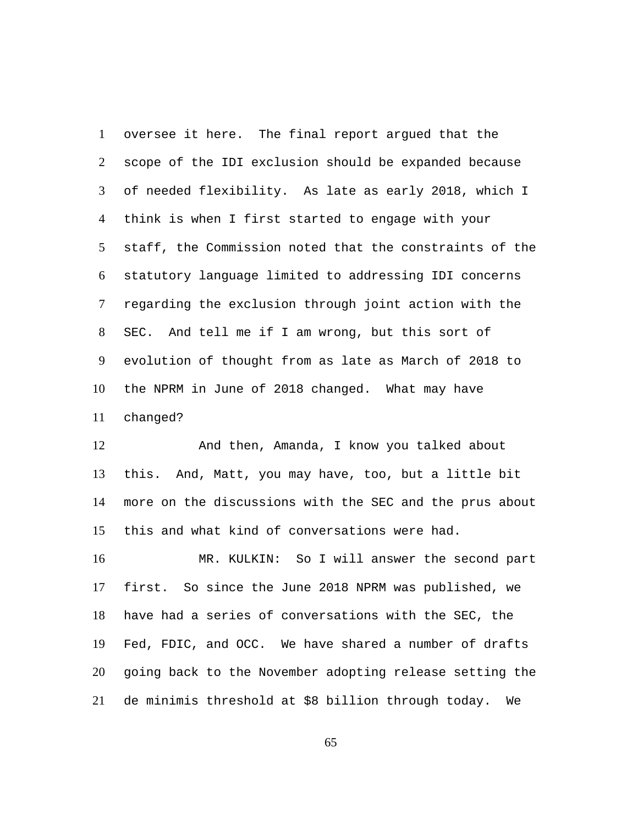oversee it here. The final report argued that the scope of the IDI exclusion should be expanded because of needed flexibility. As late as early 2018, which I think is when I first started to engage with your staff, the Commission noted that the constraints of the statutory language limited to addressing IDI concerns regarding the exclusion through joint action with the SEC. And tell me if I am wrong, but this sort of evolution of thought from as late as March of 2018 to the NPRM in June of 2018 changed. What may have changed? 1  $\mathcal{L}$ 3 4 5 6 7 8 9 10 11

And then, Amanda, I know you talked about this. And, Matt, you may have, too, but a little bit more on the discussions with the SEC and the prus about this and what kind of conversations were had. 12 13 14 15

MR. KULKIN: So I will answer the second part first. So since the June 2018 NPRM was published, we have had a series of conversations with the SEC, the Fed, FDIC, and OCC. We have shared a number of drafts going back to the November adopting release setting the de minimis threshold at \$8 billion through today. We 16 17 18 19 20 21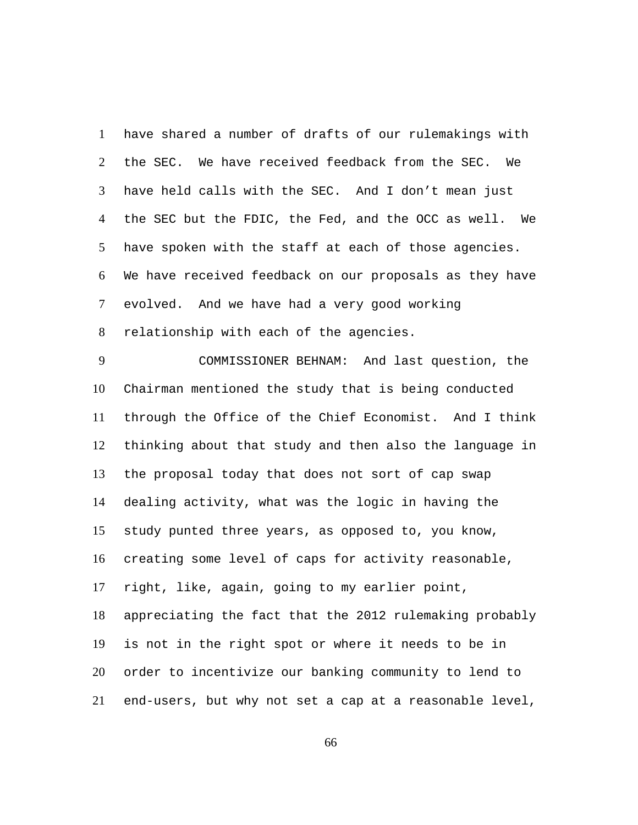have shared a number of drafts of our rulemakings with the SEC. We have received feedback from the SEC. We have held calls with the SEC. And I don't mean just the SEC but the FDIC, the Fed, and the OCC as well. We have spoken with the staff at each of those agencies. We have received feedback on our proposals as they have evolved. And we have had a very good working relationship with each of the agencies. 1  $\mathcal{L}$ 3 4 5 6 7 8

COMMISSIONER BEHNAM: And last question, the Chairman mentioned the study that is being conducted through the Office of the Chief Economist. And I think thinking about that study and then also the language in the proposal today that does not sort of cap swap dealing activity, what was the logic in having the study punted three years, as opposed to, you know, creating some level of caps for activity reasonable, right, like, again, going to my earlier point, appreciating the fact that the 2012 rulemaking probably is not in the right spot or where it needs to be in order to incentivize our banking community to lend to end-users, but why not set a cap at a reasonable level, 9 10 11 12 13 14 15 16 17 18 19 20 21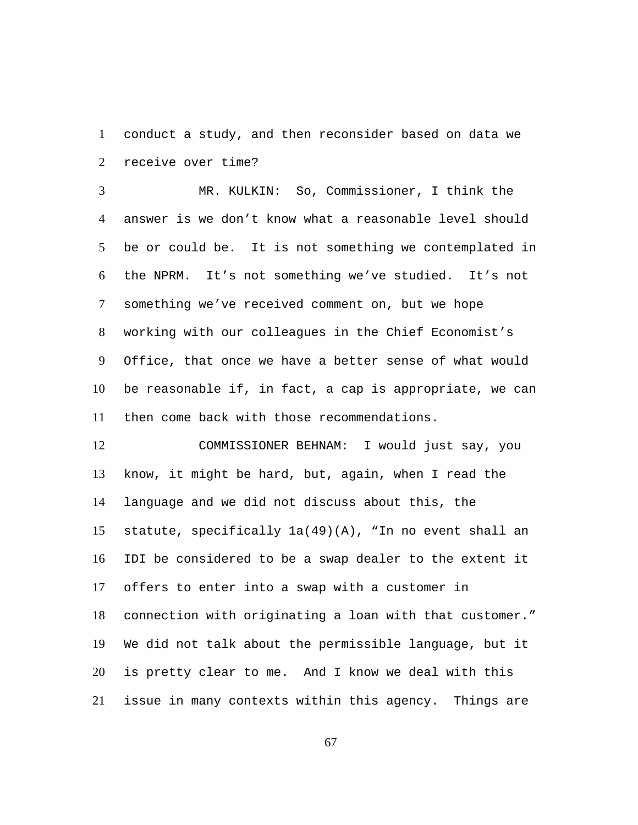conduct a study, and then reconsider based on data we receive over time? 1  $\mathcal{L}$ 

MR. KULKIN: So, Commissioner, I think the answer is we don't know what a reasonable level should be or could be. It is not something we contemplated in the NPRM. It's not something we've studied. It's not something we've received comment on, but we hope working with our colleagues in the Chief Economist's Office, that once we have a better sense of what would be reasonable if, in fact, a cap is appropriate, we can then come back with those recommendations. 3 4 5 6 7 8 9 10 11

COMMISSIONER BEHNAM: I would just say, you know, it might be hard, but, again, when I read the language and we did not discuss about this, the statute, specifically  $1a(49)(A)$ , "In no event shall an IDI be considered to be a swap dealer to the extent it offers to enter into a swap with a customer in connection with originating a loan with that customer." We did not talk about the permissible language, but it is pretty clear to me. And I know we deal with this issue in many contexts within this agency. Things are 12 13 14 15 16 17 18 19 20 21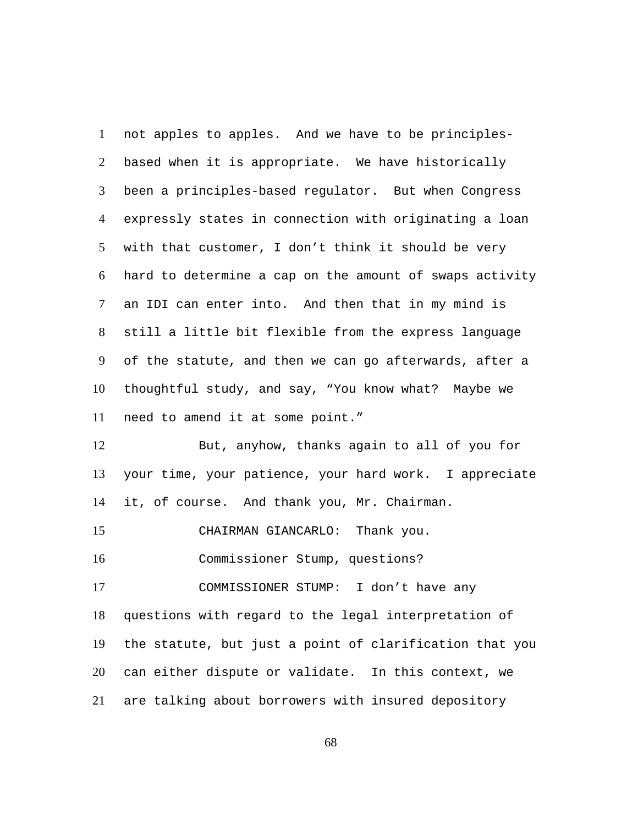not apples to apples. And we have to be principlesbased when it is appropriate. We have historically been a principles-based regulator. But when Congress expressly states in connection with originating a loan with that customer, I don't think it should be very hard to determine a cap on the amount of swaps activity an IDI can enter into. And then that in my mind is still a little bit flexible from the express language of the statute, and then we can go afterwards, after a thoughtful study, and say, "You know what? Maybe we need to amend it at some point." 1  $\mathcal{L}$ 3 4 5 6 7 8 9 10 11 But, anyhow, thanks again to all of you for 12

your time, your patience, your hard work. I appreciate it, of course. And thank you, Mr. Chairman. 13 14

15 CHAIRMAN GIANCARLO: Thank you.

16 Commissioner Stump, questions?

COMMISSIONER STUMP: I don't have any questions with regard to the legal interpretation of the statute, but just a point of clarification that you can either dispute or validate. In this context, we are talking about borrowers with insured depository 17 18 19 20 21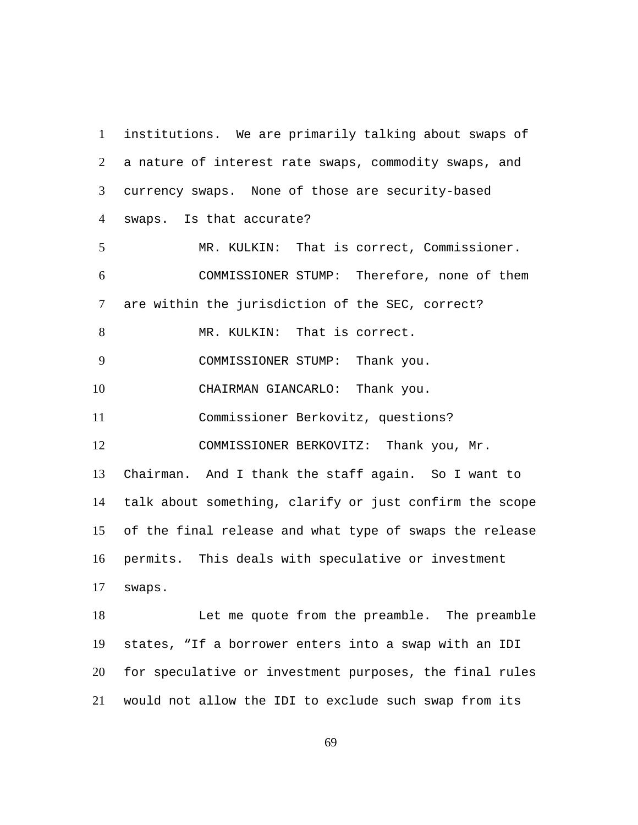institutions. We are primarily talking about swaps of a nature of interest rate swaps, commodity swaps, and currency swaps. None of those are security-based swaps. Is that accurate? 1  $\mathfrak{D}$ 3 4 5 MR. KULKIN: That is correct, Commissioner. COMMISSIONER STUMP: Therefore, none of them are within the jurisdiction of the SEC, correct? 6 7 8 MR. KULKIN: That is correct. 9 COMMISSIONER STUMP: Thank you. 10 CHAIRMAN GIANCARLO: Thank you. 11 Commissioner Berkovitz, questions? COMMISSIONER BERKOVITZ: Thank you, Mr. Chairman. And I thank the staff again. So I want to talk about something, clarify or just confirm the scope of the final release and what type of swaps the release permits. This deals with speculative or investment swaps. 12 13 14 15 16 17 Let me quote from the preamble. The preamble states, "If a borrower enters into a swap with an IDI for speculative or investment purposes, the final rules would not allow the IDI to exclude such swap from its 18 19 20 21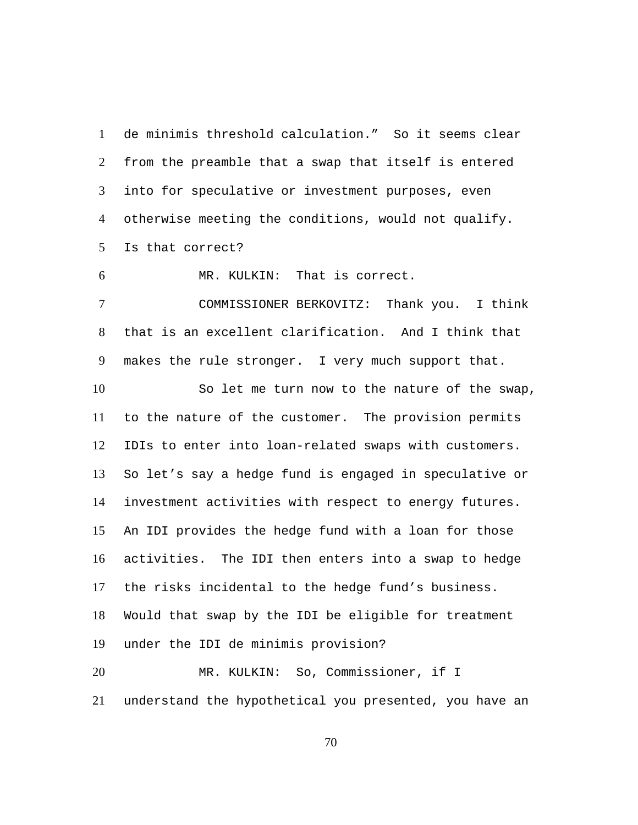de minimis threshold calculation." So it seems clear from the preamble that a swap that itself is entered into for speculative or investment purposes, even otherwise meeting the conditions, would not qualify. Is that correct? 1  $\mathcal{L}$ 3 4 5

6 MR. KULKIN: That is correct.

COMMISSIONER BERKOVITZ: Thank you. I think that is an excellent clarification. And I think that makes the rule stronger. I very much support that. 7 8 9

So let me turn now to the nature of the swap, to the nature of the customer. The provision permits IDIs to enter into loan-related swaps with customers. So let's say a hedge fund is engaged in speculative or investment activities with respect to energy futures. An IDI provides the hedge fund with a loan for those activities. The IDI then enters into a swap to hedge the risks incidental to the hedge fund's business. Would that swap by the IDI be eligible for treatment under the IDI de minimis provision? 10 11 12 13 14 15 16 17 18 19 MR. KULKIN: So, Commissioner, if I 20 21

70

understand the hypothetical you presented, you have an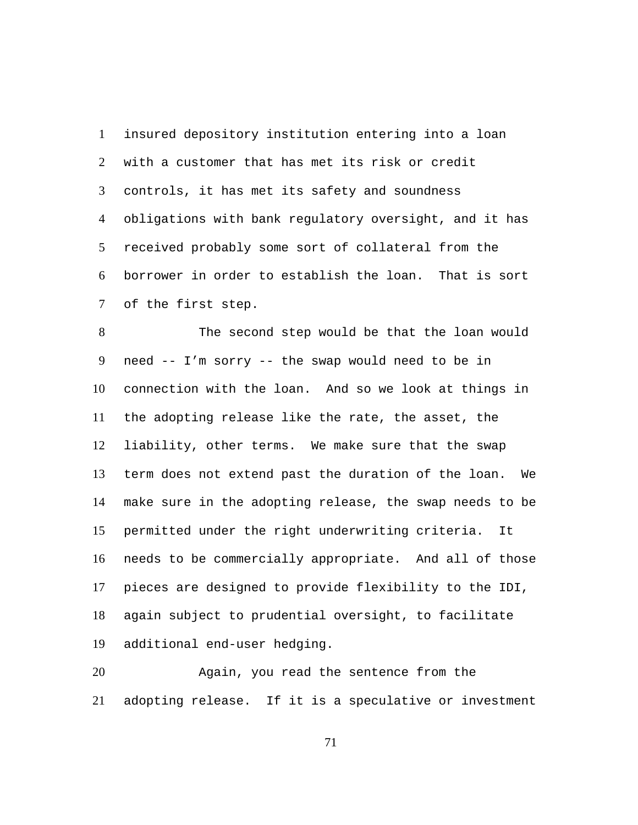insured depository institution entering into a loan with a customer that has met its risk or credit controls, it has met its safety and soundness obligations with bank regulatory oversight, and it has received probably some sort of collateral from the borrower in order to establish the loan. That is sort of the first step. 1  $\mathfrak{D}$ 3 4 5 6 7

The second step would be that the loan would need -- I'm sorry -- the swap would need to be in connection with the loan. And so we look at things in the adopting release like the rate, the asset, the liability, other terms. We make sure that the swap term does not extend past the duration of the loan. We make sure in the adopting release, the swap needs to be permitted under the right underwriting criteria. It needs to be commercially appropriate. And all of those pieces are designed to provide flexibility to the IDI, again subject to prudential oversight, to facilitate additional end-user hedging. 8 9 10 11 12 13 14 15 16 17 18 19

Again, you read the sentence from the adopting release. If it is a speculative or investment 20 21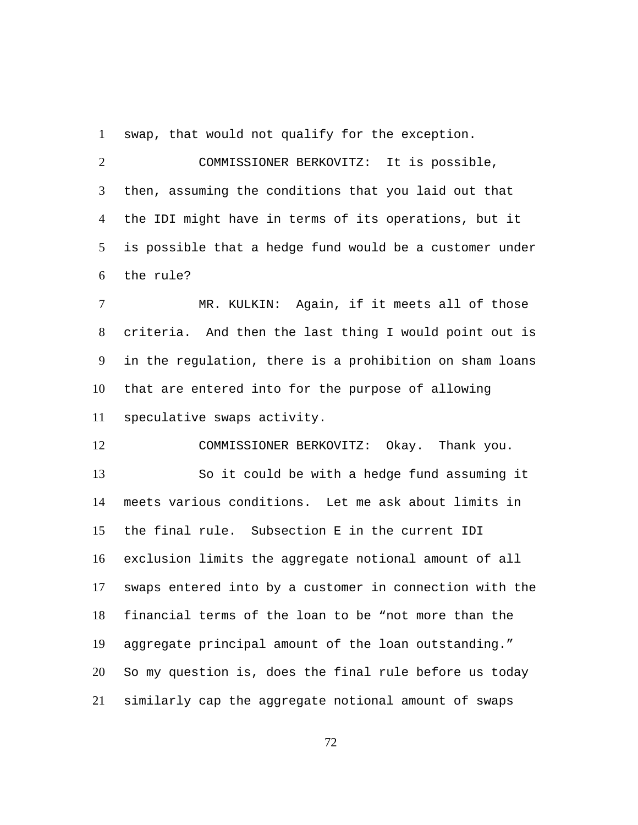1 swap, that would not qualify for the exception.

COMMISSIONER BERKOVITZ: It is possible, then, assuming the conditions that you laid out that the IDI might have in terms of its operations, but it is possible that a hedge fund would be a customer under the rule?  $\mathcal{L}$ 3 4 5 6

MR. KULKIN: Again, if it meets all of those criteria. And then the last thing I would point out is in the regulation, there is a prohibition on sham loans that are entered into for the purpose of allowing speculative swaps activity. 7 8 9 10 11

12 COMMISSIONER BERKOVITZ: Okay. Thank you. So it could be with a hedge fund assuming it meets various conditions. Let me ask about limits in the final rule. Subsection E in the current IDI exclusion limits the aggregate notional amount of all swaps entered into by a customer in connection with the financial terms of the loan to be "not more than the aggregate principal amount of the loan outstanding." So my question is, does the final rule before us today similarly cap the aggregate notional amount of swaps 13 14 15 16 17 18 19 20 21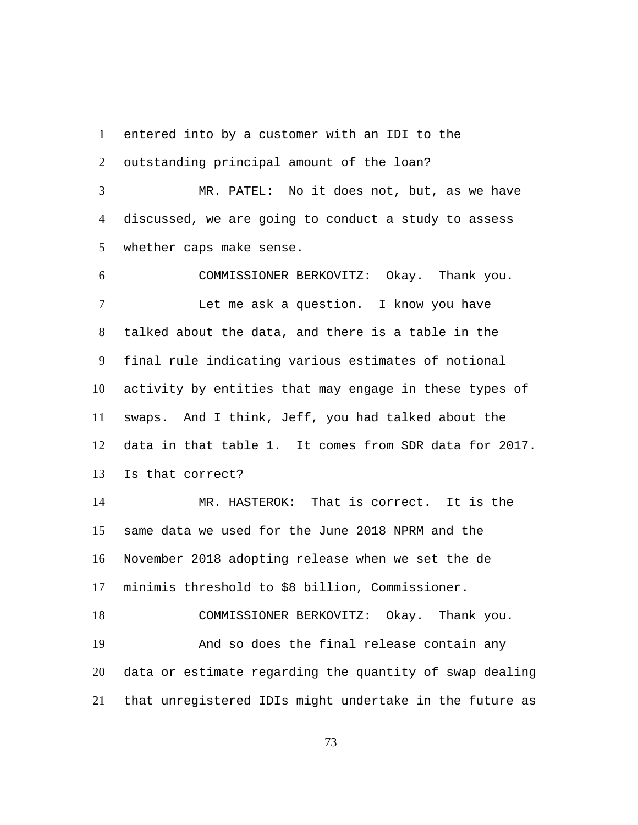entered into by a customer with an IDI to the 1

outstanding principal amount of the loan?  $\mathcal{L}$ 

MR. PATEL: No it does not, but, as we have discussed, we are going to conduct a study to assess whether caps make sense. 3 4 5

6 COMMISSIONER BERKOVITZ: Okay. Thank you. Let me ask a question. I know you have talked about the data, and there is a table in the final rule indicating various estimates of notional activity by entities that may engage in these types of swaps. And I think, Jeff, you had talked about the data in that table 1. It comes from SDR data for 2017. Is that correct? 7 8 9 10 11 12 13

MR. HASTEROK: That is correct. It is the same data we used for the June 2018 NPRM and the November 2018 adopting release when we set the de minimis threshold to \$8 billion, Commissioner. 14 15 16 17

18 COMMISSIONER BERKOVITZ: Okay. Thank you. And so does the final release contain any data or estimate regarding the quantity of swap dealing that unregistered IDIs might undertake in the future as 19 20 21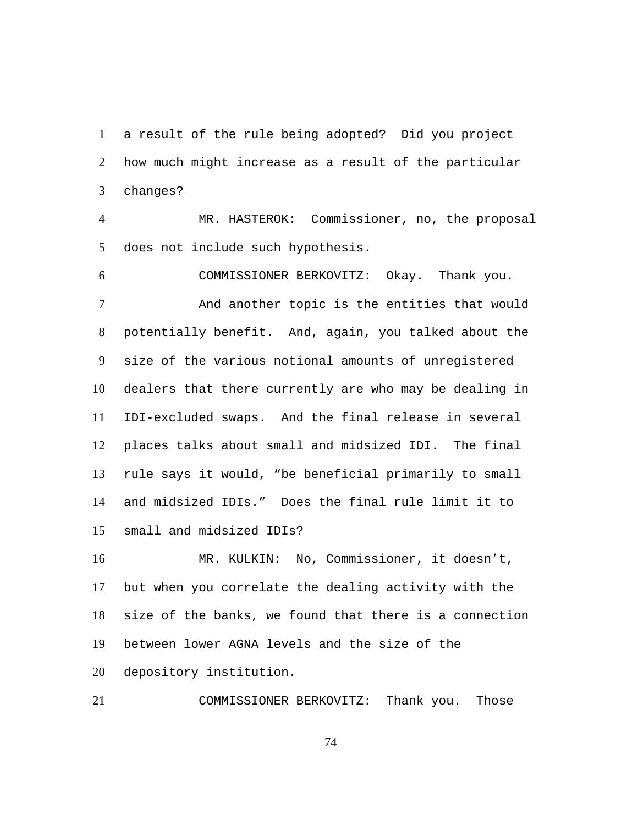a result of the rule being adopted? Did you project how much might increase as a result of the particular changes? 1  $\mathcal{L}$ 3

MR. HASTEROK: Commissioner, no, the proposal does not include such hypothesis. 4 5

6 COMMISSIONER BERKOVITZ: Okay. Thank you. And another topic is the entities that would potentially benefit. And, again, you talked about the size of the various notional amounts of unregistered dealers that there currently are who may be dealing in IDI-excluded swaps. And the final release in several places talks about small and midsized IDI. The final rule says it would, "be beneficial primarily to small and midsized IDIs." Does the final rule limit it to small and midsized IDIs? 7 8 9 10 11 12 13 14 15

MR. KULKIN: No, Commissioner, it doesn't, but when you correlate the dealing activity with the size of the banks, we found that there is a connection between lower AGNA levels and the size of the depository institution. 16 17 18 19 20

21 COMMISSIONER BERKOVITZ: Thank you. Those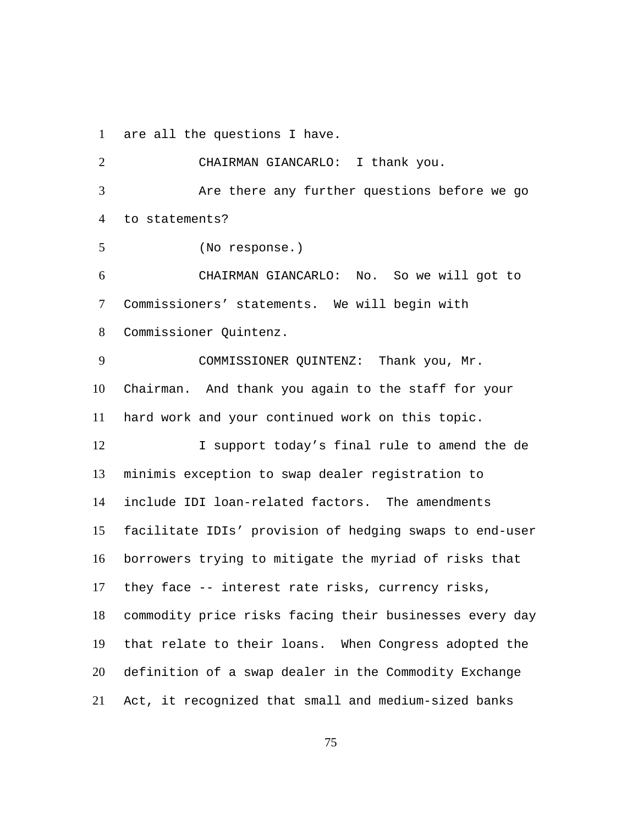1 are all the questions I have.

2 CHAIRMAN GIANCARLO: I thank you. Are there any further questions before we go to statements? 3 4 5 (No response.) CHAIRMAN GIANCARLO: No. So we will got to Commissioners' statements. We will begin with Commissioner Quintenz. 6 7 8 COMMISSIONER QUINTENZ: Thank you, Mr. Chairman. And thank you again to the staff for your hard work and your continued work on this topic. 9 10 11 I support today's final rule to amend the de minimis exception to swap dealer registration to include IDI loan-related factors. The amendments facilitate IDIs' provision of hedging swaps to end-user borrowers trying to mitigate the myriad of risks that they face -- interest rate risks, currency risks, commodity price risks facing their businesses every day that relate to their loans. When Congress adopted the definition of a swap dealer in the Commodity Exchange Act, it recognized that small and medium-sized banks 12 13 14 15 16 17 18 19 20 21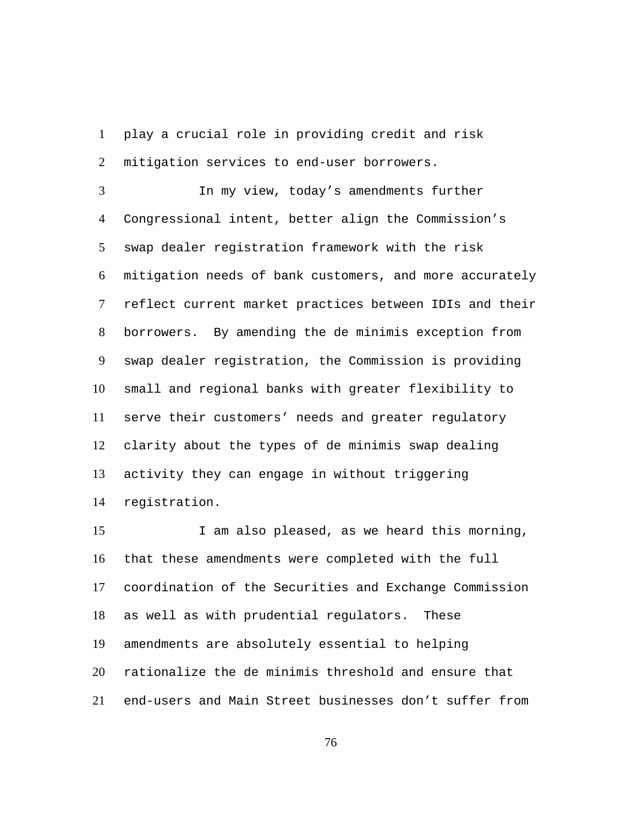play a crucial role in providing credit and risk mitigation services to end-user borrowers. 1  $\mathcal{L}$ 

In my view, today's amendments further Congressional intent, better align the Commission's swap dealer registration framework with the risk mitigation needs of bank customers, and more accurately reflect current market practices between IDIs and their borrowers. By amending the de minimis exception from swap dealer registration, the Commission is providing small and regional banks with greater flexibility to serve their customers' needs and greater regulatory clarity about the types of de minimis swap dealing activity they can engage in without triggering registration. 3 4 5 6 7 8 9 10 11 12 13 14

I am also pleased, as we heard this morning, that these amendments were completed with the full coordination of the Securities and Exchange Commission as well as with prudential regulators. These amendments are absolutely essential to helping rationalize the de minimis threshold and ensure that end-users and Main Street businesses don't suffer from 15 16 17 18 19 20 21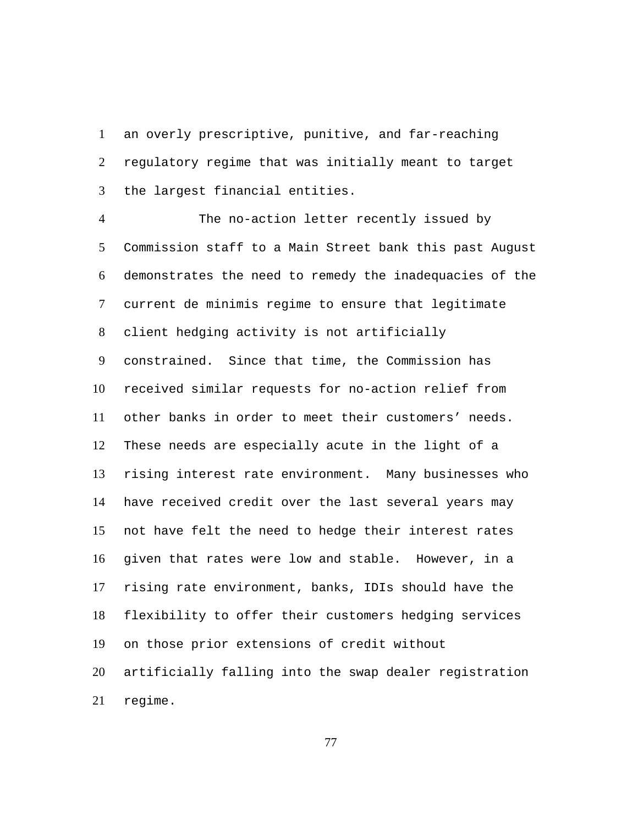an overly prescriptive, punitive, and far-reaching regulatory regime that was initially meant to target the largest financial entities. 1  $\mathcal{L}$ 3

The no-action letter recently issued by Commission staff to a Main Street bank this past August demonstrates the need to remedy the inadequacies of the current de minimis regime to ensure that legitimate client hedging activity is not artificially constrained. Since that time, the Commission has received similar requests for no-action relief from other banks in order to meet their customers' needs. These needs are especially acute in the light of a rising interest rate environment. Many businesses who have received credit over the last several years may not have felt the need to hedge their interest rates given that rates were low and stable. However, in a rising rate environment, banks, IDIs should have the flexibility to offer their customers hedging services on those prior extensions of credit without artificially falling into the swap dealer registration regime. 4 5 6 7 8 9 10 11 12 13 14 15 16 17 18 19 20 21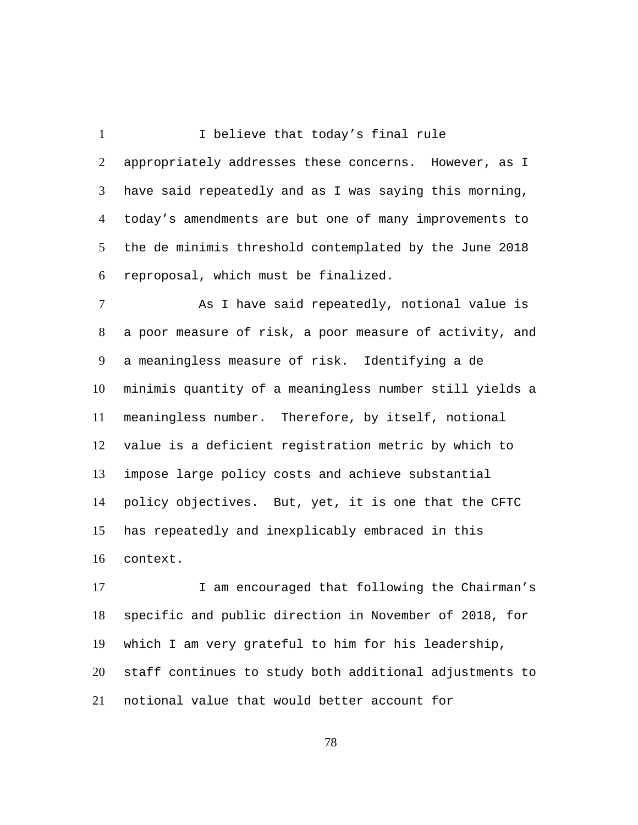I believe that today's final rule appropriately addresses these concerns. However, as I have said repeatedly and as I was saying this morning, today's amendments are but one of many improvements to the de minimis threshold contemplated by the June 2018 reproposal, which must be finalized. 1  $\mathcal{L}$ 3 4 5 6 As I have said repeatedly, notional value is a meaningless measure of risk. Identifying a de 7 8 9

a poor measure of risk, a poor measure of activity, and minimis quantity of a meaningless number still yields a meaningless number. Therefore, by itself, notional value is a deficient registration metric by which to impose large policy costs and achieve substantial policy objectives. But, yet, it is one that the CFTC has repeatedly and inexplicably embraced in this context. 10 11 12 13 14 15 16

I am encouraged that following the Chairman's specific and public direction in November of 2018, for which I am very grateful to him for his leadership, staff continues to study both additional adjustments to notional value that would better account for 17 18 19 20 21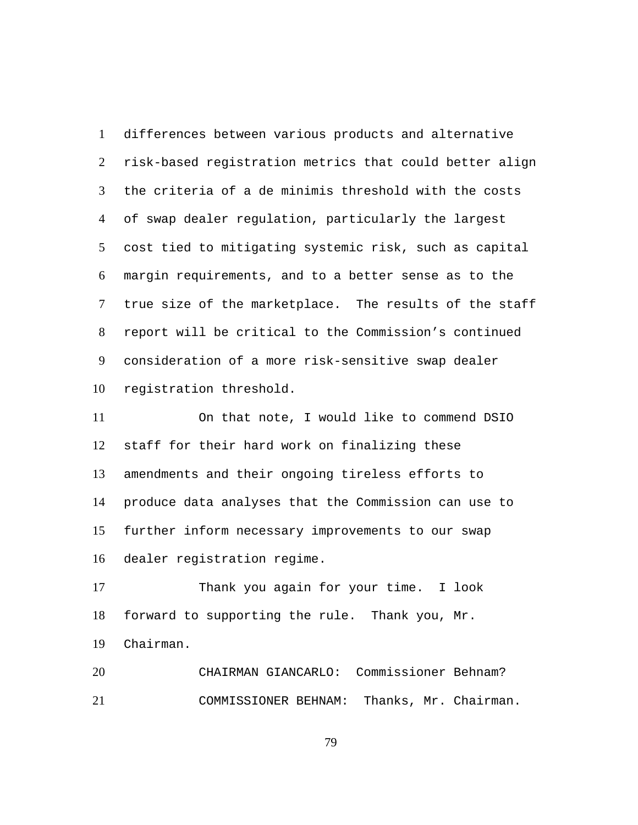differences between various products and alternative risk-based registration metrics that could better align the criteria of a de minimis threshold with the costs of swap dealer regulation, particularly the largest cost tied to mitigating systemic risk, such as capital margin requirements, and to a better sense as to the true size of the marketplace. The results of the staff report will be critical to the Commission's continued consideration of a more risk-sensitive swap dealer registration threshold. 1  $2<sup>1</sup>$ 3 4 5 6 7 8 9 10

On that note, I would like to commend DSIO staff for their hard work on finalizing these amendments and their ongoing tireless efforts to produce data analyses that the Commission can use to further inform necessary improvements to our swap dealer registration regime. 11 12 13 14 15 16

Thank you again for your time. I look forward to supporting the rule. Thank you, Mr. Chairman. 17 18 19

20 CHAIRMAN GIANCARLO: Commissioner Behnam? 21 COMMISSIONER BEHNAM: Thanks, Mr. Chairman.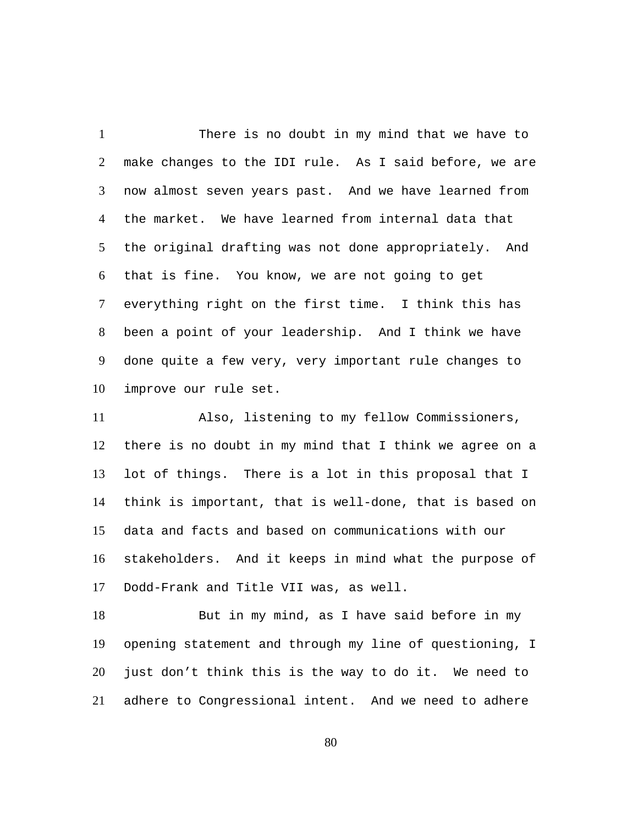There is no doubt in my mind that we have to make changes to the IDI rule. As I said before, we are now almost seven years past. And we have learned from the market. We have learned from internal data that the original drafting was not done appropriately. And that is fine. You know, we are not going to get everything right on the first time. I think this has been a point of your leadership. And I think we have done quite a few very, very important rule changes to improve our rule set. 1  $\mathcal{L}$ 3 4 5 6 7 8 9 10

Also, listening to my fellow Commissioners, there is no doubt in my mind that I think we agree on a lot of things. There is a lot in this proposal that I think is important, that is well-done, that is based on data and facts and based on communications with our stakeholders. And it keeps in mind what the purpose of Dodd-Frank and Title VII was, as well. 11 12 13 14 15 16 17

But in my mind, as I have said before in my opening statement and through my line of questioning, I just don't think this is the way to do it. We need to adhere to Congressional intent. And we need to adhere 18 19 20 21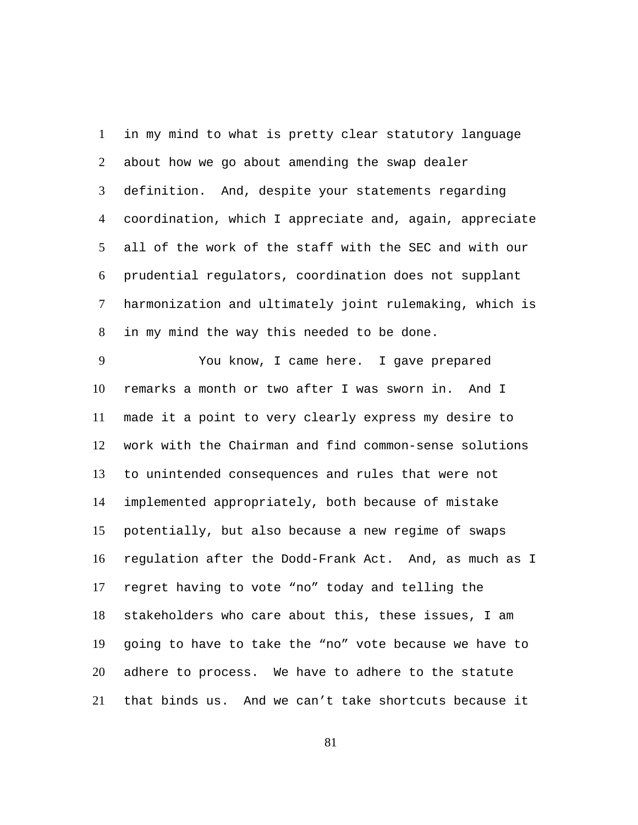in my mind to what is pretty clear statutory language about how we go about amending the swap dealer definition. And, despite your statements regarding coordination, which I appreciate and, again, appreciate all of the work of the staff with the SEC and with our prudential regulators, coordination does not supplant harmonization and ultimately joint rulemaking, which is in my mind the way this needed to be done. 1  $\mathcal{L}$ 3 4 5 6 7 8

You know, I came here. I gave prepared remarks a month or two after I was sworn in. And I made it a point to very clearly express my desire to work with the Chairman and find common-sense solutions to unintended consequences and rules that were not implemented appropriately, both because of mistake potentially, but also because a new regime of swaps regulation after the Dodd-Frank Act. And, as much as I regret having to vote "no" today and telling the stakeholders who care about this, these issues, I am going to have to take the "no" vote because we have to adhere to process. We have to adhere to the statute that binds us. And we can't take shortcuts because it 9 10 11 12 13 14 15 16 17 18 19 20 21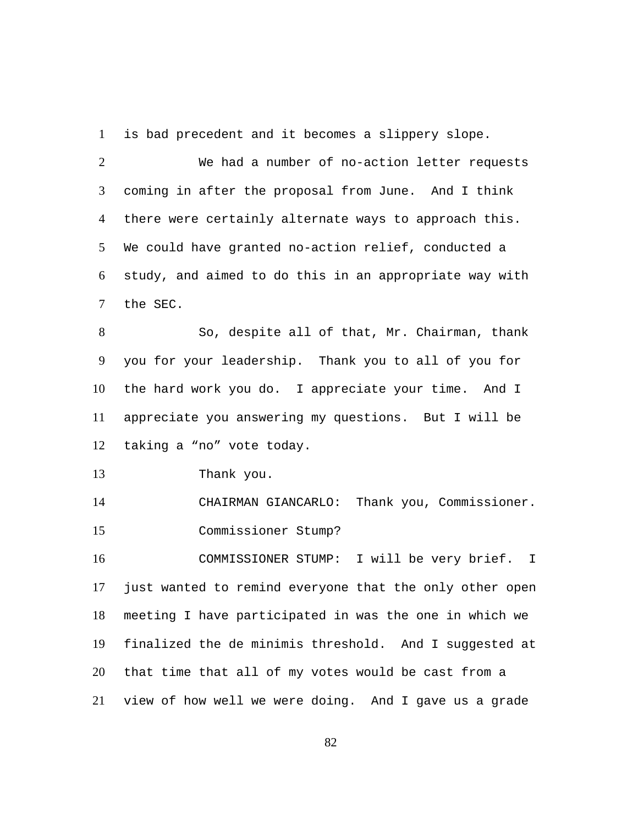1 is bad precedent and it becomes a slippery slope.

We had a number of no-action letter requests coming in after the proposal from June. And I think there were certainly alternate ways to approach this. We could have granted no-action relief, conducted a study, and aimed to do this in an appropriate way with the SEC.  $\mathcal{L}$ 3 4 5 6 7

So, despite all of that, Mr. Chairman, thank you for your leadership. Thank you to all of you for the hard work you do. I appreciate your time. And I appreciate you answering my questions. But I will be taking a "no" vote today. 8 9 10 11 12

13 Thank you.

14 CHAIRMAN GIANCARLO: Thank you, Commissioner. 15 Commissioner Stump?

COMMISSIONER STUMP: I will be very brief. I just wanted to remind everyone that the only other open meeting I have participated in was the one in which we finalized the de minimis threshold. And I suggested at that time that all of my votes would be cast from a view of how well we were doing. And I gave us a grade 16 17 18 19 20 21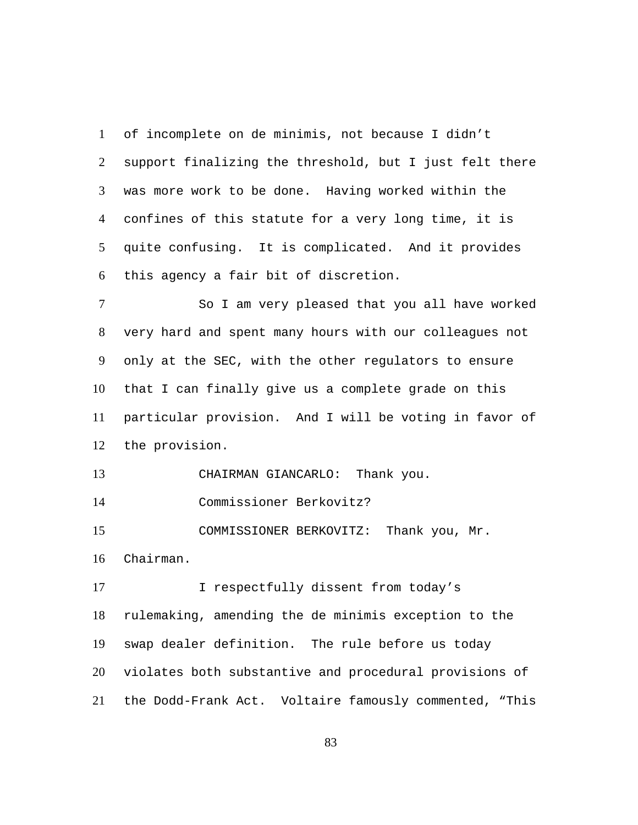of incomplete on de minimis, not because I didn't support finalizing the threshold, but I just felt there was more work to be done. Having worked within the confines of this statute for a very long time, it is quite confusing. It is complicated. And it provides this agency a fair bit of discretion. 1  $\mathcal{L}$ 3 4 5 6

So I am very pleased that you all have worked very hard and spent many hours with our colleagues not only at the SEC, with the other regulators to ensure that I can finally give us a complete grade on this particular provision. And I will be voting in favor of the provision. 7 8 9 10 11 12

13 CHAIRMAN GIANCARLO: Thank you.

14 Commissioner Berkovitz?

COMMISSIONER BERKOVITZ: Thank you, Mr. Chairman. 15 16

I respectfully dissent from today's rulemaking, amending the de minimis exception to the swap dealer definition. The rule before us today violates both substantive and procedural provisions of the Dodd-Frank Act. Voltaire famously commented, "This 17 18 19 20 21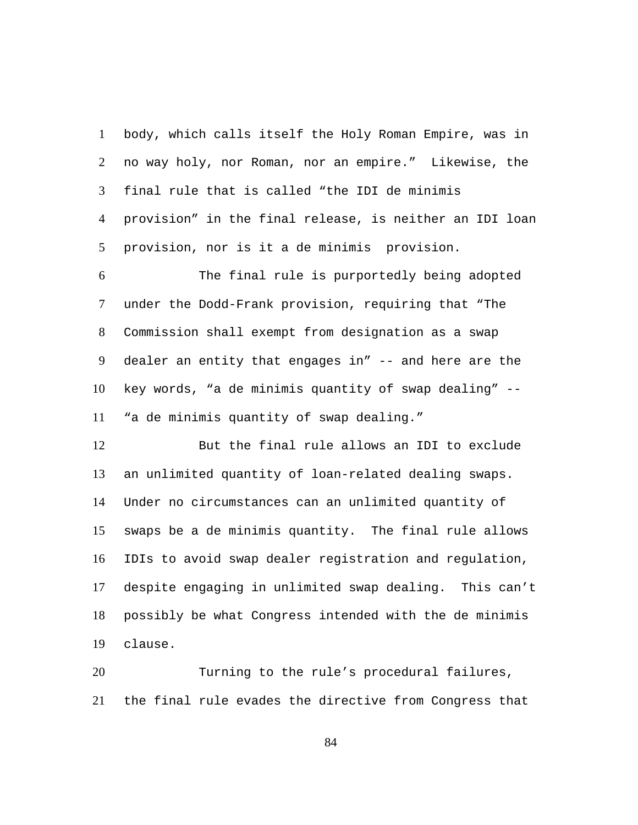body, which calls itself the Holy Roman Empire, was in no way holy, nor Roman, nor an empire." Likewise, the final rule that is called "the IDI de minimis provision" in the final release, is neither an IDI loan provision, nor is it a de minimis provision. 1  $\mathcal{L}$ 3 4 5

The final rule is purportedly being adopted under the Dodd-Frank provision, requiring that "The Commission shall exempt from designation as a swap dealer an entity that engages in" -- and here are the key words, "a de minimis quantity of swap dealing" -- "a de minimis quantity of swap dealing." 6 7 8 9 10 11

But the final rule allows an IDI to exclude an unlimited quantity of loan-related dealing swaps. Under no circumstances can an unlimited quantity of swaps be a de minimis quantity. The final rule allows IDIs to avoid swap dealer registration and regulation, despite engaging in unlimited swap dealing. This can't possibly be what Congress intended with the de minimis clause. 12 13 14 15 16 17 18 19

Turning to the rule's procedural failures, the final rule evades the directive from Congress that 20 21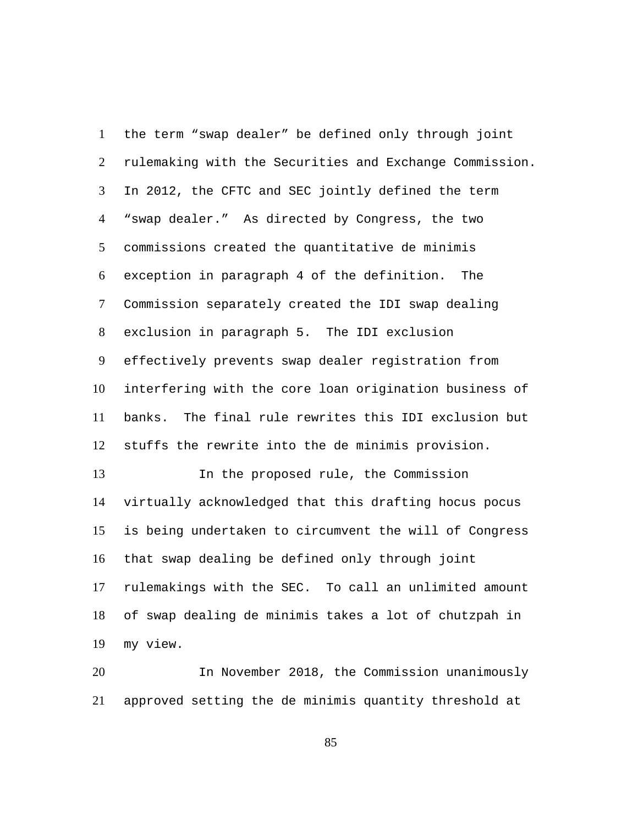the term "swap dealer" be defined only through joint rulemaking with the Securities and Exchange Commission. In 2012, the CFTC and SEC jointly defined the term "swap dealer." As directed by Congress, the two commissions created the quantitative de minimis exception in paragraph 4 of the definition. The Commission separately created the IDI swap dealing exclusion in paragraph 5. The IDI exclusion effectively prevents swap dealer registration from interfering with the core loan origination business of banks. The final rule rewrites this IDI exclusion but stuffs the rewrite into the de minimis provision. 1  $\mathcal{L}$ 3 4 5 6 7 8 9 10 11 12 In the proposed rule, the Commission 13

virtually acknowledged that this drafting hocus pocus is being undertaken to circumvent the will of Congress that swap dealing be defined only through joint rulemakings with the SEC. To call an unlimited amount of swap dealing de minimis takes a lot of chutzpah in my view. 14 15 16 17 18 19

In November 2018, the Commission unanimously approved setting the de minimis quantity threshold at 20 21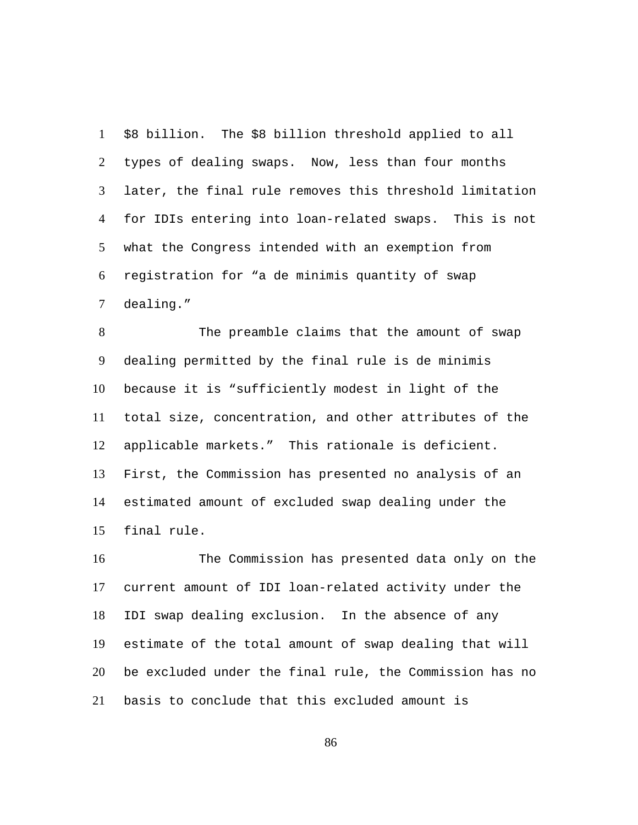\$8 billion. The \$8 billion threshold applied to all types of dealing swaps. Now, less than four months later, the final rule removes this threshold limitation for IDIs entering into loan-related swaps. This is not what the Congress intended with an exemption from registration for "a de minimis quantity of swap dealing." 1  $\mathcal{L}$ 3 4 5 6 7

The preamble claims that the amount of swap dealing permitted by the final rule is de minimis because it is "sufficiently modest in light of the total size, concentration, and other attributes of the applicable markets." This rationale is deficient. First, the Commission has presented no analysis of an estimated amount of excluded swap dealing under the final rule. 8 9 10 11 12 13 14 15

The Commission has presented data only on the current amount of IDI loan-related activity under the IDI swap dealing exclusion. In the absence of any estimate of the total amount of swap dealing that will be excluded under the final rule, the Commission has no basis to conclude that this excluded amount is 16 17 18 19 20 21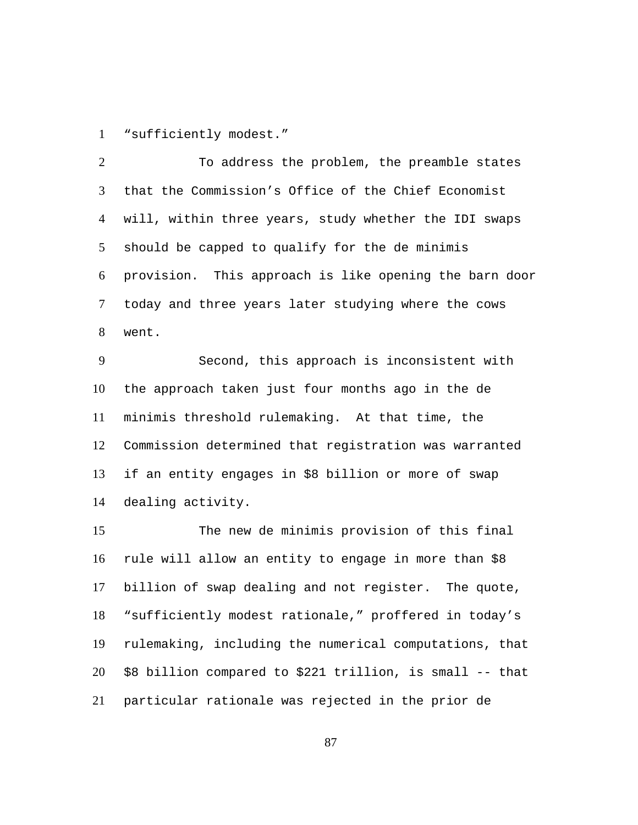1 "sufficiently modest."

To address the problem, the preamble states that the Commission's Office of the Chief Economist will, within three years, study whether the IDI swaps should be capped to qualify for the de minimis provision. This approach is like opening the barn door today and three years later studying where the cows went.  $\mathcal{L}$ 3 4 5 6 7 8

Second, this approach is inconsistent with the approach taken just four months ago in the de minimis threshold rulemaking. At that time, the Commission determined that registration was warranted if an entity engages in \$8 billion or more of swap dealing activity. 9 10 11 12 13 14

The new de minimis provision of this final rule will allow an entity to engage in more than \$8 billion of swap dealing and not register. The quote, "sufficiently modest rationale," proffered in today's rulemaking, including the numerical computations, that \$8 billion compared to \$221 trillion, is small -- that particular rationale was rejected in the prior de 15 16 17 18 19 20 21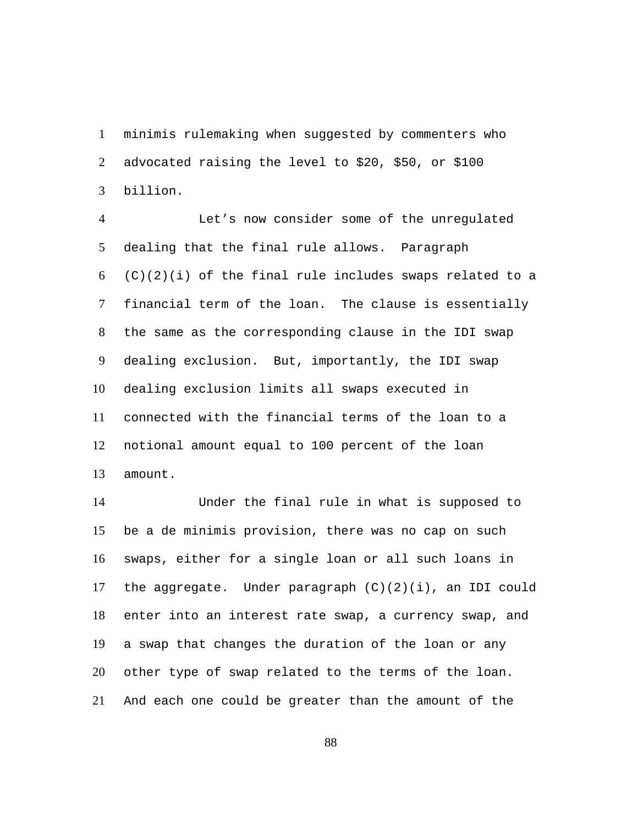minimis rulemaking when suggested by commenters who advocated raising the level to \$20, \$50, or \$100 billion. 1  $\mathcal{L}$ 3

Let's now consider some of the unregulated dealing that the final rule allows. Paragraph  $(C)(2)(i)$  of the final rule includes swaps related to a financial term of the loan. The clause is essentially the same as the corresponding clause in the IDI swap dealing exclusion. But, importantly, the IDI swap dealing exclusion limits all swaps executed in connected with the financial terms of the loan to a notional amount equal to 100 percent of the loan amount. 4 5 6 7 8 9 10 11 12 13

Under the final rule in what is supposed to be a de minimis provision, there was no cap on such swaps, either for a single loan or all such loans in the aggregate. Under paragraph  $(C)(2)(i)$ , an IDI could enter into an interest rate swap, a currency swap, and a swap that changes the duration of the loan or any other type of swap related to the terms of the loan. And each one could be greater than the amount of the 14 15 16 17 18 19 20 21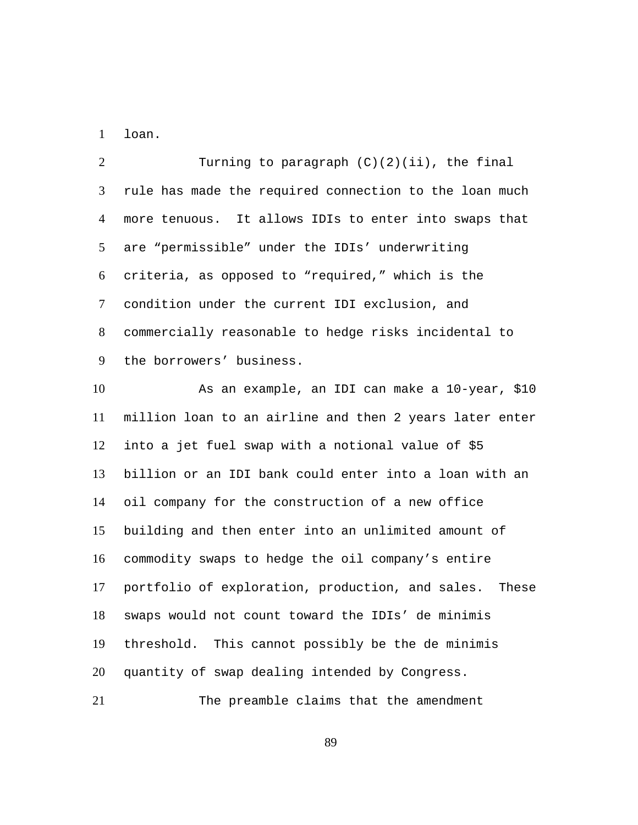1 loan.

Turning to paragraph  $(C)(2)(ii)$ , the final rule has made the required connection to the loan much more tenuous. It allows IDIs to enter into swaps that are "permissible" under the IDIs' underwriting criteria, as opposed to "required," which is the condition under the current IDI exclusion, and commercially reasonable to hedge risks incidental to the borrowers' business.  $\mathcal{L}$ 3 4 5 6 7 8 9

As an example, an IDI can make a 10-year, \$10 million loan to an airline and then 2 years later enter into a jet fuel swap with a notional value of \$5 billion or an IDI bank could enter into a loan with an oil company for the construction of a new office building and then enter into an unlimited amount of commodity swaps to hedge the oil company's entire portfolio of exploration, production, and sales. These swaps would not count toward the IDIs' de minimis threshold. This cannot possibly be the de minimis quantity of swap dealing intended by Congress. 10 11 12 13 14 15 16 17 18 19 20

21 The preamble claims that the amendment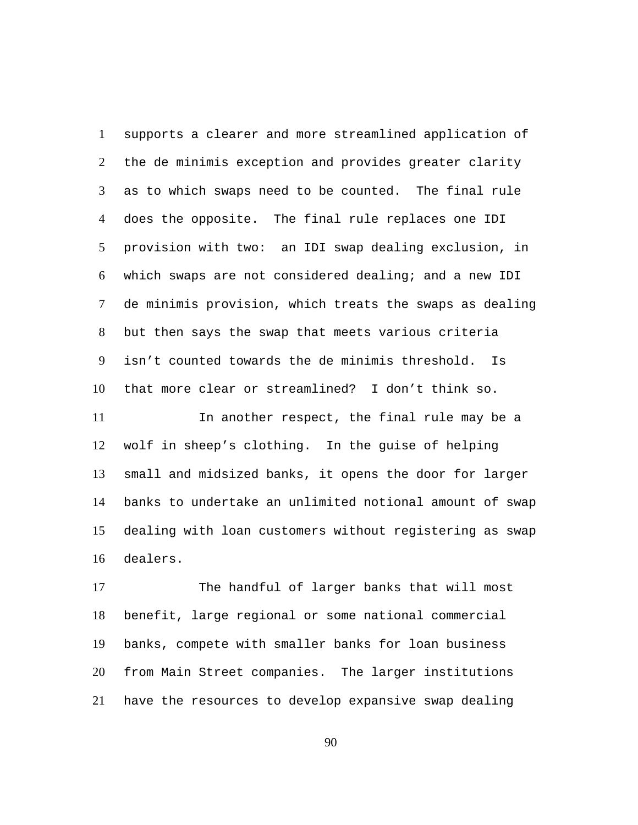supports a clearer and more streamlined application of the de minimis exception and provides greater clarity as to which swaps need to be counted. The final rule does the opposite. The final rule replaces one IDI provision with two: an IDI swap dealing exclusion, in which swaps are not considered dealing; and a new IDI de minimis provision, which treats the swaps as dealing but then says the swap that meets various criteria isn't counted towards the de minimis threshold. Is that more clear or streamlined? I don't think so. 1  $\mathcal{L}$ 3 4 5 6 7 8 9 10

In another respect, the final rule may be a wolf in sheep's clothing. In the guise of helping small and midsized banks, it opens the door for larger banks to undertake an unlimited notional amount of swap dealing with loan customers without registering as swap dealers. 11 12 13 14 15 16

The handful of larger banks that will most benefit, large regional or some national commercial banks, compete with smaller banks for loan business from Main Street companies. The larger institutions have the resources to develop expansive swap dealing 17 18 19 20 21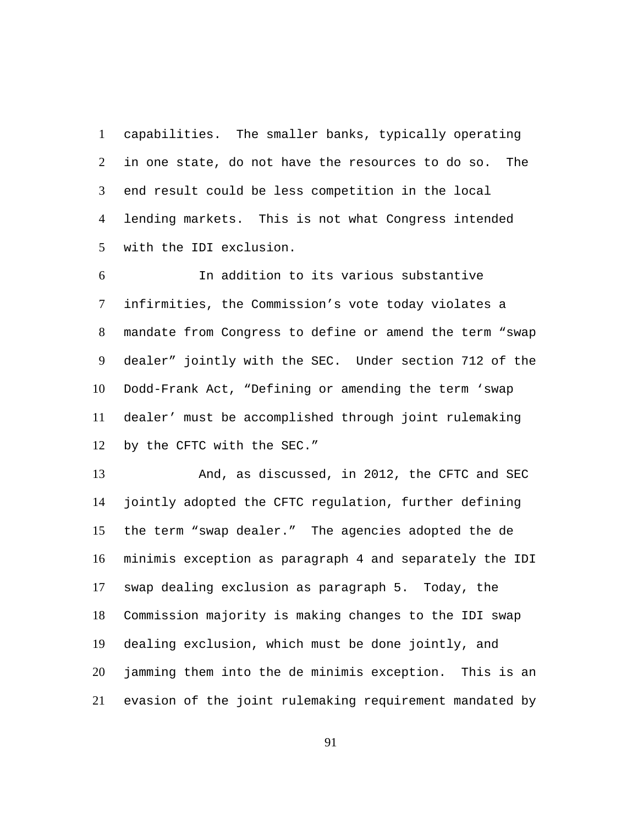capabilities. The smaller banks, typically operating in one state, do not have the resources to do so. The end result could be less competition in the local lending markets. This is not what Congress intended with the IDI exclusion. 1  $\mathcal{L}$ 3 4 5

In addition to its various substantive infirmities, the Commission's vote today violates a mandate from Congress to define or amend the term "swap dealer" jointly with the SEC. Under section 712 of the Dodd-Frank Act, "Defining or amending the term 'swap dealer' must be accomplished through joint rulemaking by the CFTC with the SEC." 6 7 8 9 10 11 12

And, as discussed, in 2012, the CFTC and SEC jointly adopted the CFTC regulation, further defining the term "swap dealer." The agencies adopted the de minimis exception as paragraph 4 and separately the IDI swap dealing exclusion as paragraph 5. Today, the Commission majority is making changes to the IDI swap dealing exclusion, which must be done jointly, and jamming them into the de minimis exception. This is an evasion of the joint rulemaking requirement mandated by 13 14 15 16 17 18 19 20 21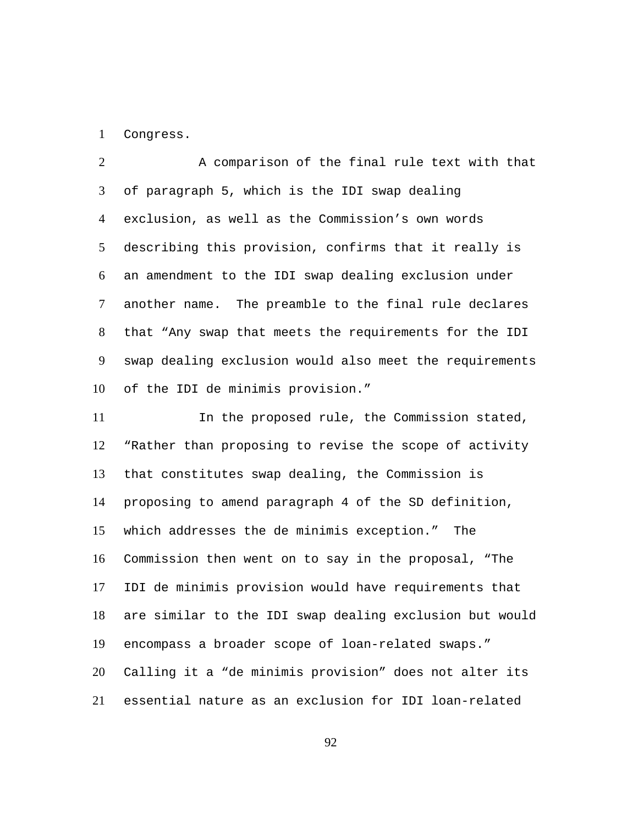1 Congress.

A comparison of the final rule text with that of paragraph 5, which is the IDI swap dealing exclusion, as well as the Commission's own words describing this provision, confirms that it really is an amendment to the IDI swap dealing exclusion under another name. The preamble to the final rule declares that "Any swap that meets the requirements for the IDI swap dealing exclusion would also meet the requirements of the IDI de minimis provision."  $\mathcal{L}$ 3 4 5 6 7 8 9 10

In the proposed rule, the Commission stated, "Rather than proposing to revise the scope of activity that constitutes swap dealing, the Commission is proposing to amend paragraph 4 of the SD definition, which addresses the de minimis exception." The Commission then went on to say in the proposal, "The IDI de minimis provision would have requirements that are similar to the IDI swap dealing exclusion but would encompass a broader scope of loan-related swaps." Calling it a "de minimis provision" does not alter its essential nature as an exclusion for IDI loan-related 11 12 13 14 15 16 17 18 19 20 21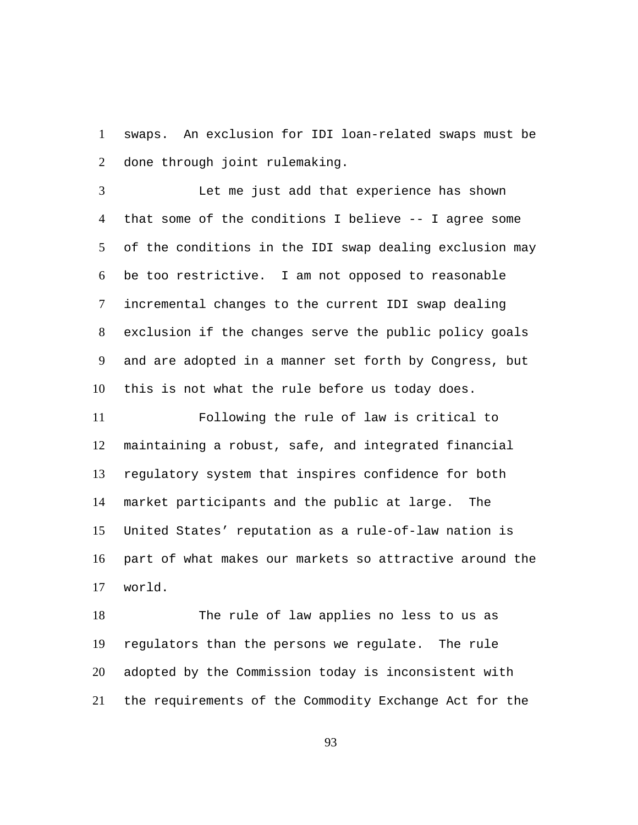swaps. An exclusion for IDI loan-related swaps must be done through joint rulemaking. 1  $\mathcal{L}$ 

Let me just add that experience has shown that some of the conditions I believe -- I agree some of the conditions in the IDI swap dealing exclusion may be too restrictive. I am not opposed to reasonable incremental changes to the current IDI swap dealing exclusion if the changes serve the public policy goals and are adopted in a manner set forth by Congress, but this is not what the rule before us today does. 3 4 5 6 7 8 9 10

Following the rule of law is critical to maintaining a robust, safe, and integrated financial regulatory system that inspires confidence for both market participants and the public at large. The United States' reputation as a rule-of-law nation is part of what makes our markets so attractive around the world. 11 12 13 14 15 16 17

The rule of law applies no less to us as regulators than the persons we regulate. The rule adopted by the Commission today is inconsistent with the requirements of the Commodity Exchange Act for the 18 19 20 21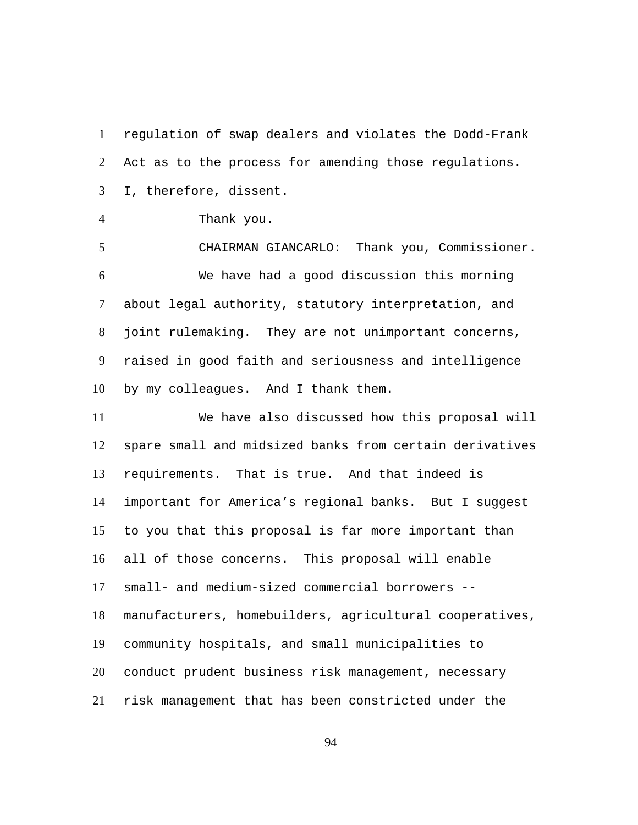regulation of swap dealers and violates the Dodd-Frank Act as to the process for amending those regulations. I, therefore, dissent. 1  $\mathcal{L}$ 3

4 Thank you.

5 CHAIRMAN GIANCARLO: Thank you, Commissioner. We have had a good discussion this morning about legal authority, statutory interpretation, and joint rulemaking. They are not unimportant concerns, raised in good faith and seriousness and intelligence by my colleagues. And I thank them. 6 7 8 9 10

We have also discussed how this proposal will spare small and midsized banks from certain derivatives requirements. That is true. And that indeed is important for America's regional banks. But I suggest to you that this proposal is far more important than all of those concerns. This proposal will enable small- and medium-sized commercial borrowers - manufacturers, homebuilders, agricultural cooperatives, community hospitals, and small municipalities to conduct prudent business risk management, necessary risk management that has been constricted under the 11 12 13 14 15 16 17 18 19 20 21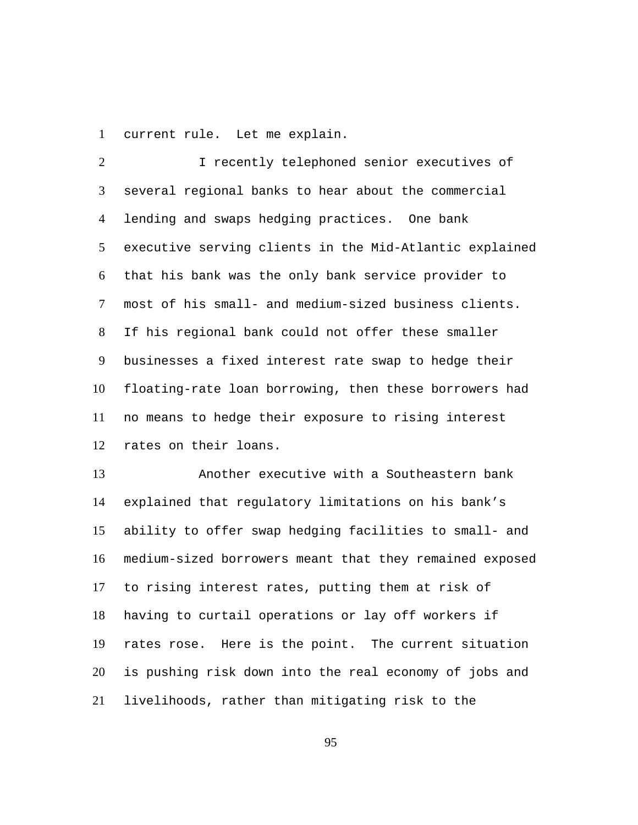1 current rule. Let me explain.

I recently telephoned senior executives of several regional banks to hear about the commercial lending and swaps hedging practices. One bank executive serving clients in the Mid-Atlantic explained that his bank was the only bank service provider to most of his small- and medium-sized business clients. If his regional bank could not offer these smaller businesses a fixed interest rate swap to hedge their floating-rate loan borrowing, then these borrowers had no means to hedge their exposure to rising interest rates on their loans.  $\mathcal{L}$ 3 4 5 6 7 8 9 10 11 12

Another executive with a Southeastern bank explained that regulatory limitations on his bank's ability to offer swap hedging facilities to small- and medium-sized borrowers meant that they remained exposed to rising interest rates, putting them at risk of having to curtail operations or lay off workers if rates rose. Here is the point. The current situation is pushing risk down into the real economy of jobs and livelihoods, rather than mitigating risk to the 13 14 15 16 17 18 19 20 21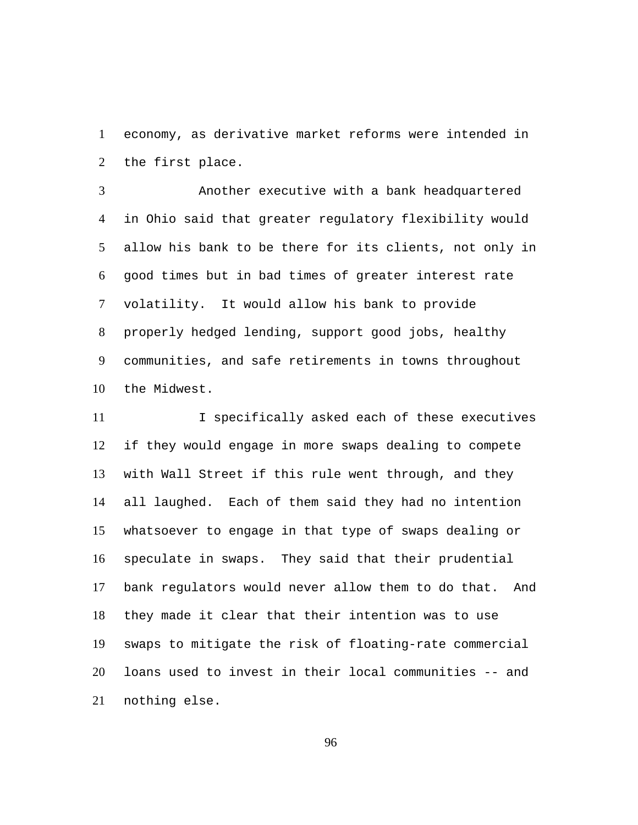economy, as derivative market reforms were intended in the first place. 1  $\mathcal{L}$ 

Another executive with a bank headquartered in Ohio said that greater regulatory flexibility would allow his bank to be there for its clients, not only in good times but in bad times of greater interest rate volatility. It would allow his bank to provide properly hedged lending, support good jobs, healthy communities, and safe retirements in towns throughout the Midwest. 3 4 5 6 7 8 9 10

I specifically asked each of these executives if they would engage in more swaps dealing to compete with Wall Street if this rule went through, and they all laughed. Each of them said they had no intention whatsoever to engage in that type of swaps dealing or speculate in swaps. They said that their prudential bank regulators would never allow them to do that. And they made it clear that their intention was to use swaps to mitigate the risk of floating-rate commercial loans used to invest in their local communities -- and nothing else. 11 12 13 14 15 16 17 18 19 20 21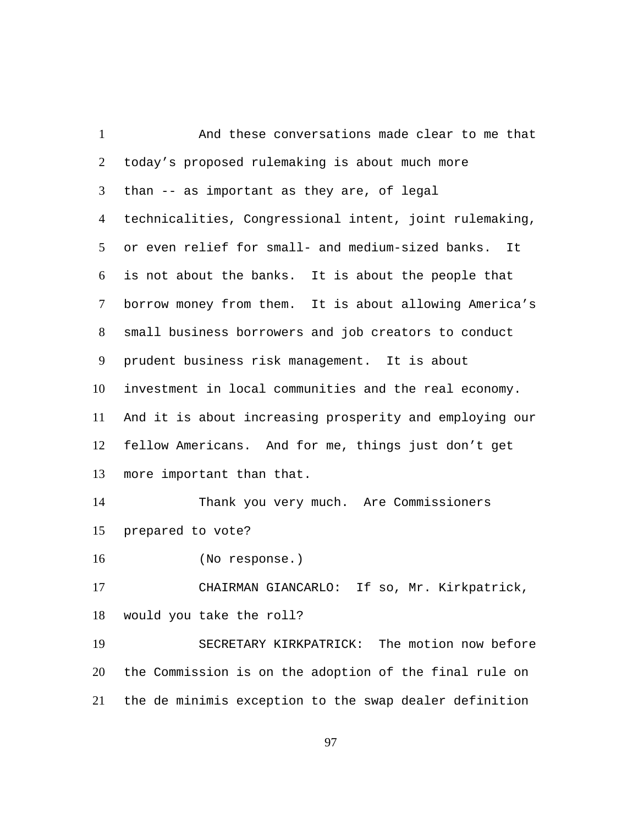| $\mathbf{1}$   | And these conversations made clear to me that           |  |  |  |
|----------------|---------------------------------------------------------|--|--|--|
| 2              | today's proposed rulemaking is about much more          |  |  |  |
| 3              | than -- as important as they are, of legal              |  |  |  |
| 4              | technicalities, Congressional intent, joint rulemaking, |  |  |  |
| 5 <sup>5</sup> | or even relief for small- and medium-sized banks. It    |  |  |  |
| 6              | is not about the banks. It is about the people that     |  |  |  |
| 7              | borrow money from them. It is about allowing America's  |  |  |  |
| 8              | small business borrowers and job creators to conduct    |  |  |  |
| 9              | prudent business risk management. It is about           |  |  |  |
| 10             | investment in local communities and the real economy.   |  |  |  |
| 11             | And it is about increasing prosperity and employing our |  |  |  |
| 12             | fellow Americans. And for me, things just don't get     |  |  |  |
| 13             | more important than that.                               |  |  |  |
| 14             | Thank you very much. Are Commissioners                  |  |  |  |
| 15             | prepared to vote?                                       |  |  |  |
| 16             | (No response.)                                          |  |  |  |
| 17             | CHAIRMAN GIANCARLO: If so, Mr. Kirkpatrick,             |  |  |  |
| 18             | would you take the roll?                                |  |  |  |
| 19             | SECRETARY KIRKPATRICK: The motion now before            |  |  |  |
| 20             | the Commission is on the adoption of the final rule on  |  |  |  |
| 21             | the de minimis exception to the swap dealer definition  |  |  |  |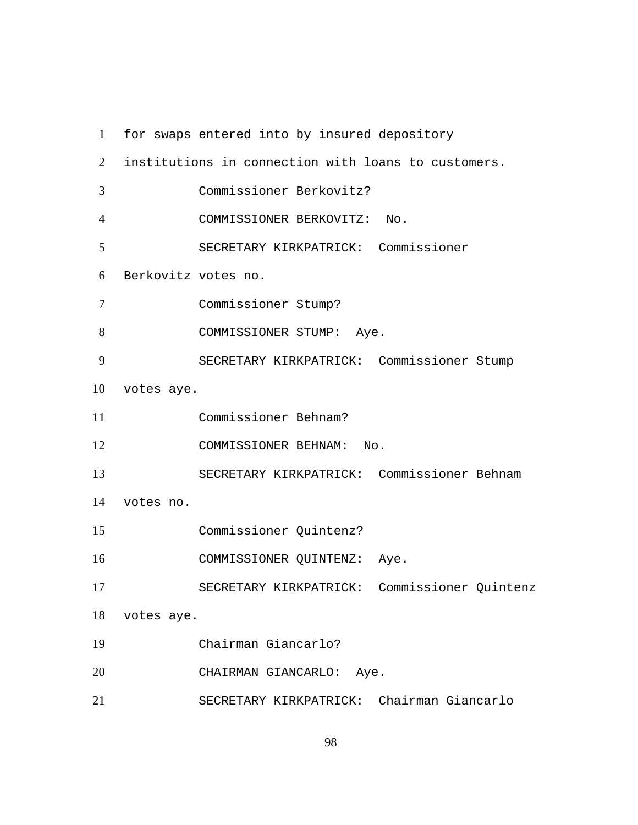| $\mathbf{1}$   |                     | for swaps entered into by insured depository        |  |
|----------------|---------------------|-----------------------------------------------------|--|
| $\overline{2}$ |                     | institutions in connection with loans to customers. |  |
| 3              |                     | Commissioner Berkovitz?                             |  |
| 4              |                     | COMMISSIONER BERKOVITZ: No.                         |  |
| 5              |                     | SECRETARY KIRKPATRICK: Commissioner                 |  |
| 6              | Berkovitz votes no. |                                                     |  |
| 7              |                     | Commissioner Stump?                                 |  |
| 8              |                     | COMMISSIONER STUMP: Aye.                            |  |
| 9              |                     | SECRETARY KIRKPATRICK: Commissioner Stump           |  |
| 10             | votes aye.          |                                                     |  |
| 11             |                     | Commissioner Behnam?                                |  |
| 12             |                     | COMMISSIONER BEHNAM:<br>No.                         |  |
| 13             |                     | SECRETARY KIRKPATRICK: Commissioner Behnam          |  |
| 14             | votes no.           |                                                     |  |
| 15             |                     | Commissioner Quintenz?                              |  |
| 16             |                     | COMMISSIONER QUINTENZ: Aye.                         |  |
| 17             |                     | SECRETARY KIRKPATRICK: Commissioner Quintenz        |  |
| 18             | votes aye.          |                                                     |  |
| 19             |                     | Chairman Giancarlo?                                 |  |
| 20             |                     | CHAIRMAN GIANCARLO:<br>Aye.                         |  |
| 21             |                     | SECRETARY KIRKPATRICK: Chairman Giancarlo           |  |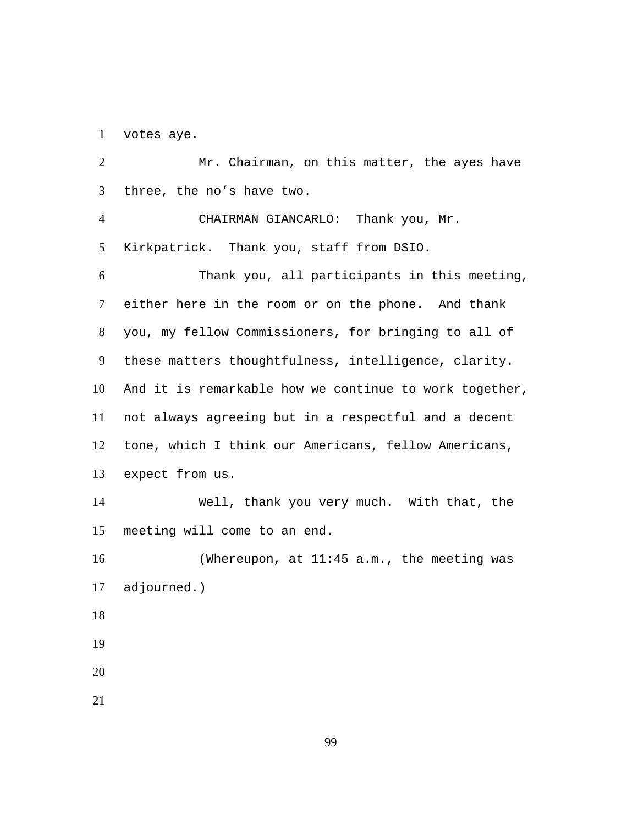1 votes aye.

Mr. Chairman, on this matter, the ayes have three, the no's have two.  $\mathcal{L}$ 3 CHAIRMAN GIANCARLO: Thank you, Mr. Kirkpatrick. Thank you, staff from DSIO. 4 5 Thank you, all participants in this meeting, either here in the room or on the phone. And thank you, my fellow Commissioners, for bringing to all of these matters thoughtfulness, intelligence, clarity. And it is remarkable how we continue to work together, not always agreeing but in a respectful and a decent tone, which I think our Americans, fellow Americans, expect from us. 6 7 8 9 10 11 12 13 Well, thank you very much. With that, the meeting will come to an end. 14 15 (Whereupon, at 11:45 a.m., the meeting was adjourned.) 16 17 18 19 20 21